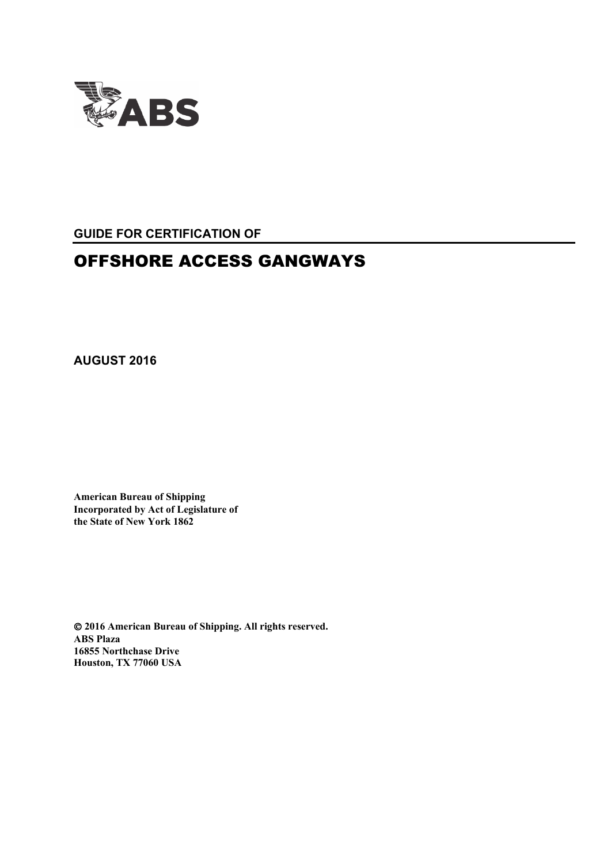

**GUIDE FOR CERTIFICATION OF**

# OFFSHORE ACCESS GANGWAYS

**AUGUST 2016**

**American Bureau of Shipping Incorporated by Act of Legislature of the State of New York 1862**

 **2016 American Bureau of Shipping. All rights reserved. ABS Plaza 16855 Northchase Drive Houston, TX 77060 USA**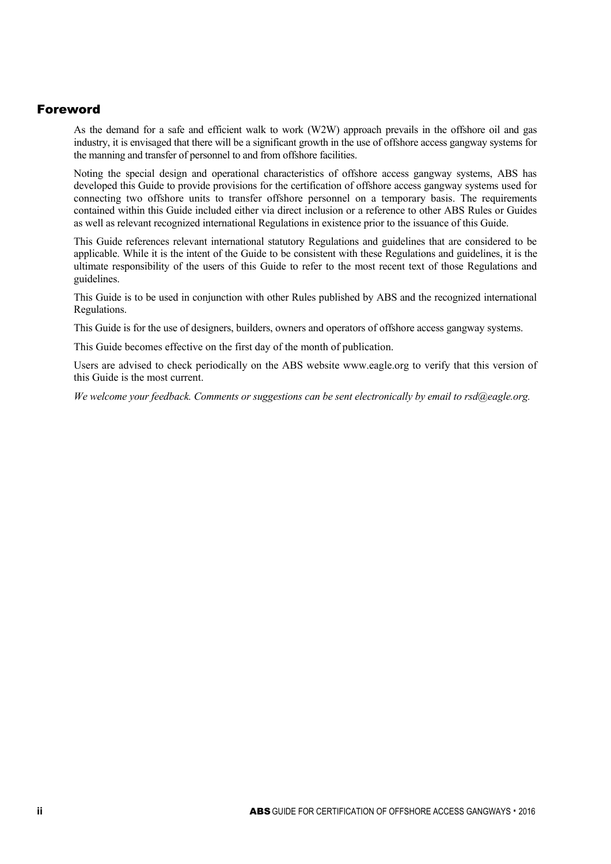## Foreword

As the demand for a safe and efficient walk to work (W2W) approach prevails in the offshore oil and gas industry, it is envisaged that there will be a significant growth in the use of offshore access gangway systems for the manning and transfer of personnel to and from offshore facilities.

Noting the special design and operational characteristics of offshore access gangway systems, ABS has developed this Guide to provide provisions for the certification of offshore access gangway systems used for connecting two offshore units to transfer offshore personnel on a temporary basis. The requirements contained within this Guide included either via direct inclusion or a reference to other ABS Rules or Guides as well as relevant recognized international Regulations in existence prior to the issuance of this Guide.

This Guide references relevant international statutory Regulations and guidelines that are considered to be applicable. While it is the intent of the Guide to be consistent with these Regulations and guidelines, it is the ultimate responsibility of the users of this Guide to refer to the most recent text of those Regulations and guidelines.

This Guide is to be used in conjunction with other Rules published by ABS and the recognized international Regulations.

This Guide is for the use of designers, builders, owners and operators of offshore access gangway systems.

This Guide becomes effective on the first day of the month of publication.

Users are advised to check periodically on the ABS website www.eagle.org to verify that this version of this Guide is the most current.

*We welcome your feedback. Comments or suggestions can be sent electronically by email to rsd@eagle.org.*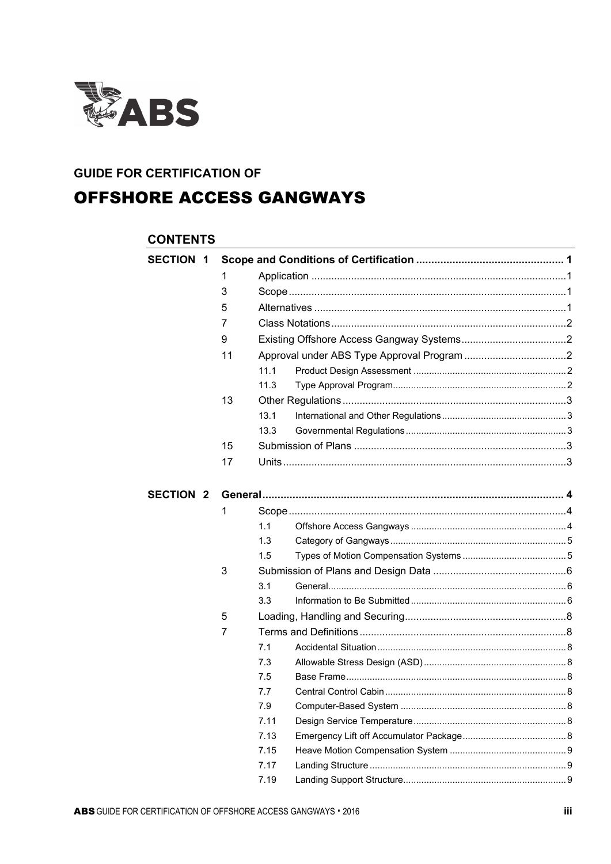

## **GUIDE FOR CERTIFICATION OF**

# **OFFSHORE ACCESS GANGWAYS**

## **CONTENTS**

| <b>SECTION 1</b> |    |      |  |
|------------------|----|------|--|
|                  | 1  |      |  |
|                  | 3  |      |  |
|                  | 5  |      |  |
|                  | 7  |      |  |
|                  | 9  |      |  |
|                  | 11 |      |  |
|                  |    | 11.1 |  |
|                  |    | 11.3 |  |
|                  | 13 |      |  |
|                  |    | 13.1 |  |
|                  |    | 13.3 |  |
|                  | 15 |      |  |
|                  | 17 |      |  |
|                  |    |      |  |
| <b>SECTION 2</b> |    |      |  |
|                  | 1  |      |  |
|                  |    | 1.1  |  |
|                  |    | 1.3  |  |
|                  |    | 1.5  |  |
|                  | 3  |      |  |
|                  |    | 3.1  |  |
|                  |    | 3.3  |  |
|                  | 5  |      |  |
|                  | 7  |      |  |
|                  |    | 7.1  |  |
|                  |    | 7.3  |  |
|                  |    | 7.5  |  |
|                  |    | 7.7  |  |
|                  |    | 7.9  |  |
|                  |    | 7.11 |  |
|                  |    | 7.13 |  |
|                  |    | 7.15 |  |
|                  |    | 7.17 |  |
|                  |    | 7.19 |  |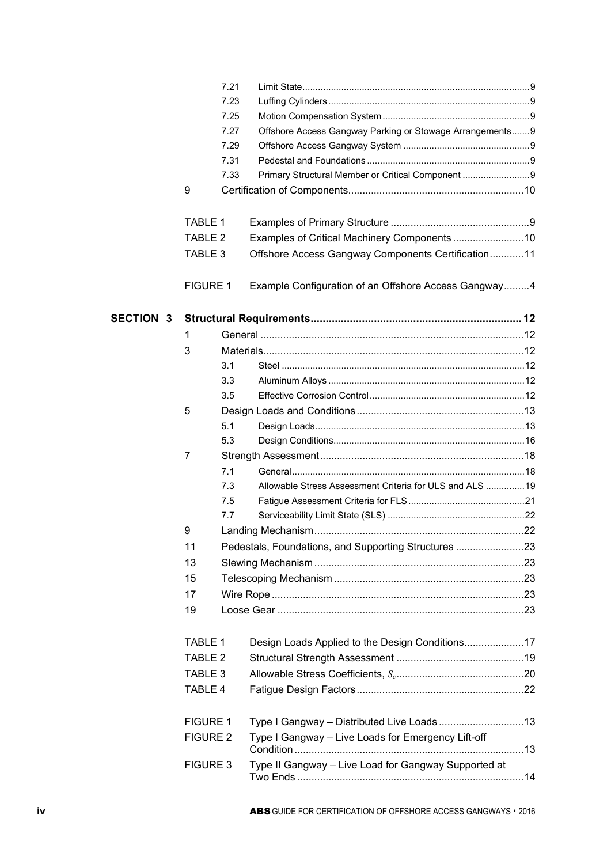|                  |                    | 7.21 |                                                           |  |
|------------------|--------------------|------|-----------------------------------------------------------|--|
|                  |                    | 7.23 |                                                           |  |
|                  |                    | 7.25 |                                                           |  |
|                  |                    | 7.27 | Offshore Access Gangway Parking or Stowage Arrangements 9 |  |
|                  |                    | 7.29 |                                                           |  |
|                  |                    | 7.31 |                                                           |  |
|                  |                    | 7.33 | Primary Structural Member or Critical Component 9         |  |
|                  | 9                  |      |                                                           |  |
|                  | <b>TABLE 1</b>     |      |                                                           |  |
|                  | TABLE <sub>2</sub> |      |                                                           |  |
|                  | TABLE 3            |      | Offshore Access Gangway Components Certification11        |  |
|                  | <b>FIGURE 1</b>    |      | Example Configuration of an Offshore Access Gangway4      |  |
| <b>SECTION 3</b> |                    |      |                                                           |  |
|                  | 1                  |      |                                                           |  |
|                  | 3                  |      |                                                           |  |
|                  |                    | 3.1  |                                                           |  |
|                  |                    | 3.3  |                                                           |  |
|                  |                    | 3.5  |                                                           |  |
|                  | 5                  |      |                                                           |  |
|                  |                    | 5.1  |                                                           |  |
|                  |                    | 5.3  |                                                           |  |
|                  | 7                  |      |                                                           |  |
|                  |                    | 7.1  |                                                           |  |
|                  |                    | 7.3  | Allowable Stress Assessment Criteria for ULS and ALS  19  |  |
|                  |                    | 7.5  |                                                           |  |
|                  |                    | 7.7  |                                                           |  |
|                  | 9                  |      |                                                           |  |
|                  |                    |      |                                                           |  |
|                  | 11                 |      | Pedestals, Foundations, and Supporting Structures 23      |  |
|                  | 13                 |      |                                                           |  |
|                  | 15                 |      |                                                           |  |
|                  | 17                 |      |                                                           |  |
|                  | 19                 |      |                                                           |  |
|                  | <b>TABLE 1</b>     |      |                                                           |  |
|                  | TABLE <sub>2</sub> |      |                                                           |  |
|                  | TABLE 3            |      |                                                           |  |
|                  | TABLE 4            |      |                                                           |  |
|                  | <b>FIGURE 1</b>    |      |                                                           |  |
|                  | <b>FIGURE 2</b>    |      | Type I Gangway - Live Loads for Emergency Lift-off        |  |
|                  | <b>FIGURE 3</b>    |      | Type II Gangway - Live Load for Gangway Supported at      |  |
|                  |                    |      |                                                           |  |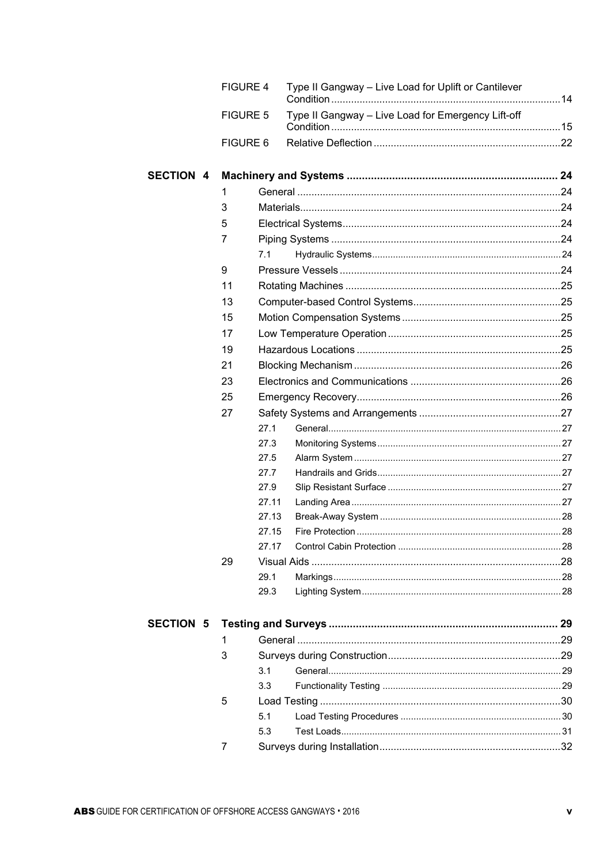|                  | <b>FIGURE 4</b> | Type II Gangway - Live Load for Uplift or Cantilever |  |
|------------------|-----------------|------------------------------------------------------|--|
|                  | <b>FIGURE 5</b> | Type II Gangway - Live Load for Emergency Lift-off   |  |
|                  | FIGURE 6        |                                                      |  |
| <b>SECTION 4</b> |                 |                                                      |  |
|                  | 1               |                                                      |  |
|                  | 3               |                                                      |  |
|                  | 5               |                                                      |  |
|                  | 7               |                                                      |  |
|                  | 7.1             |                                                      |  |
|                  | 9               |                                                      |  |
|                  | 11              |                                                      |  |
|                  | 13              |                                                      |  |
|                  | 15              |                                                      |  |
|                  | 17              |                                                      |  |
|                  | 19              |                                                      |  |
|                  | 21              |                                                      |  |
|                  | 23              |                                                      |  |
|                  | 25              |                                                      |  |
|                  | 27              |                                                      |  |
|                  |                 | 27.1                                                 |  |
|                  |                 | 27.3                                                 |  |
|                  |                 | 27.5                                                 |  |
|                  |                 | 27.7                                                 |  |
|                  |                 | 27.9                                                 |  |
|                  |                 | 27.11                                                |  |
|                  |                 | 27.13                                                |  |
|                  |                 | 27.15                                                |  |
|                  |                 | 27.17                                                |  |
|                  | 29              |                                                      |  |
|                  |                 | 29.1                                                 |  |
|                  |                 | 29.3                                                 |  |
| <b>SECTION 5</b> |                 |                                                      |  |
|                  | 1               |                                                      |  |
|                  | 3               |                                                      |  |
|                  | 3.1             |                                                      |  |
|                  | 3.3             |                                                      |  |
|                  | 5               |                                                      |  |
|                  | 5.1             |                                                      |  |
|                  | 5.3             |                                                      |  |
|                  | 7               |                                                      |  |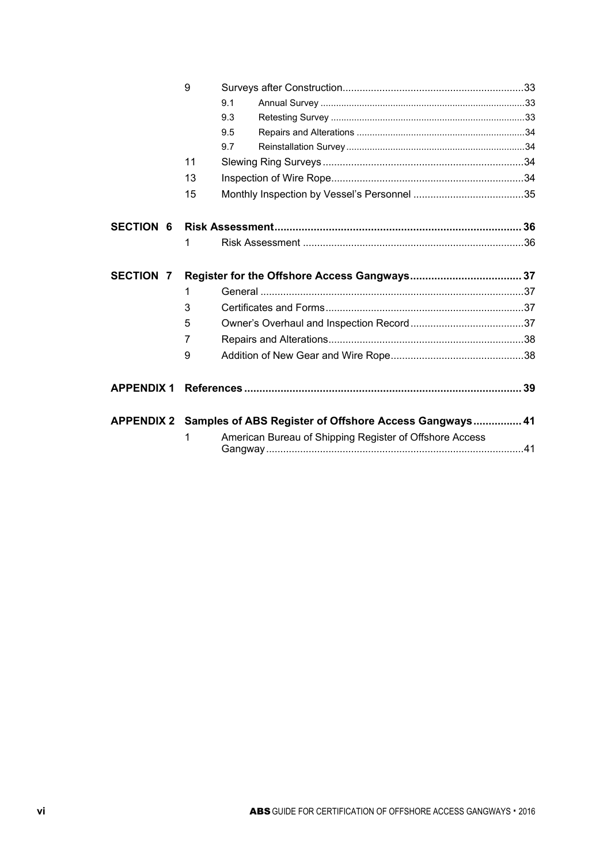|                   | 9  |     |                                                                   |  |
|-------------------|----|-----|-------------------------------------------------------------------|--|
|                   |    | 9.1 |                                                                   |  |
|                   |    | 9.3 |                                                                   |  |
|                   |    | 9.5 |                                                                   |  |
|                   |    | 9.7 |                                                                   |  |
|                   | 11 |     |                                                                   |  |
|                   | 13 |     |                                                                   |  |
|                   | 15 |     |                                                                   |  |
| <b>SECTION 6</b>  |    |     |                                                                   |  |
|                   | 1  |     |                                                                   |  |
|                   |    |     |                                                                   |  |
| <b>SECTION 7</b>  |    |     |                                                                   |  |
|                   | 1  |     |                                                                   |  |
|                   | 3  |     |                                                                   |  |
|                   | 5  |     |                                                                   |  |
|                   | 7  |     |                                                                   |  |
|                   | 9  |     |                                                                   |  |
| <b>APPENDIX 1</b> |    |     |                                                                   |  |
|                   |    |     | APPENDIX 2 Samples of ABS Register of Offshore Access Gangways 41 |  |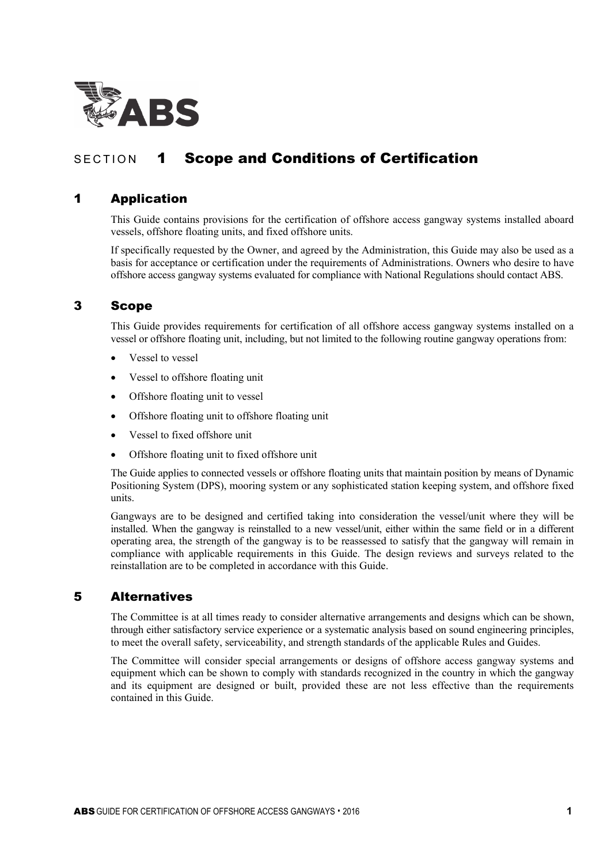

# SECTION 1 Scope and Conditions of Certification

## 1 Application

This Guide contains provisions for the certification of offshore access gangway systems installed aboard vessels, offshore floating units, and fixed offshore units.

If specifically requested by the Owner, and agreed by the Administration, this Guide may also be used as a basis for acceptance or certification under the requirements of Administrations. Owners who desire to have offshore access gangway systems evaluated for compliance with National Regulations should contact ABS.

## 3 Scope

This Guide provides requirements for certification of all offshore access gangway systems installed on a vessel or offshore floating unit, including, but not limited to the following routine gangway operations from:

- Vessel to vessel
- Vessel to offshore floating unit
- Offshore floating unit to vessel
- Offshore floating unit to offshore floating unit
- Vessel to fixed offshore unit
- Offshore floating unit to fixed offshore unit

The Guide applies to connected vessels or offshore floating units that maintain position by means of Dynamic Positioning System (DPS), mooring system or any sophisticated station keeping system, and offshore fixed units.

Gangways are to be designed and certified taking into consideration the vessel/unit where they will be installed. When the gangway is reinstalled to a new vessel/unit, either within the same field or in a different operating area, the strength of the gangway is to be reassessed to satisfy that the gangway will remain in compliance with applicable requirements in this Guide. The design reviews and surveys related to the reinstallation are to be completed in accordance with this Guide.

## 5 Alternatives

The Committee is at all times ready to consider alternative arrangements and designs which can be shown, through either satisfactory service experience or a systematic analysis based on sound engineering principles, to meet the overall safety, serviceability, and strength standards of the applicable Rules and Guides.

The Committee will consider special arrangements or designs of offshore access gangway systems and equipment which can be shown to comply with standards recognized in the country in which the gangway and its equipment are designed or built, provided these are not less effective than the requirements contained in this Guide.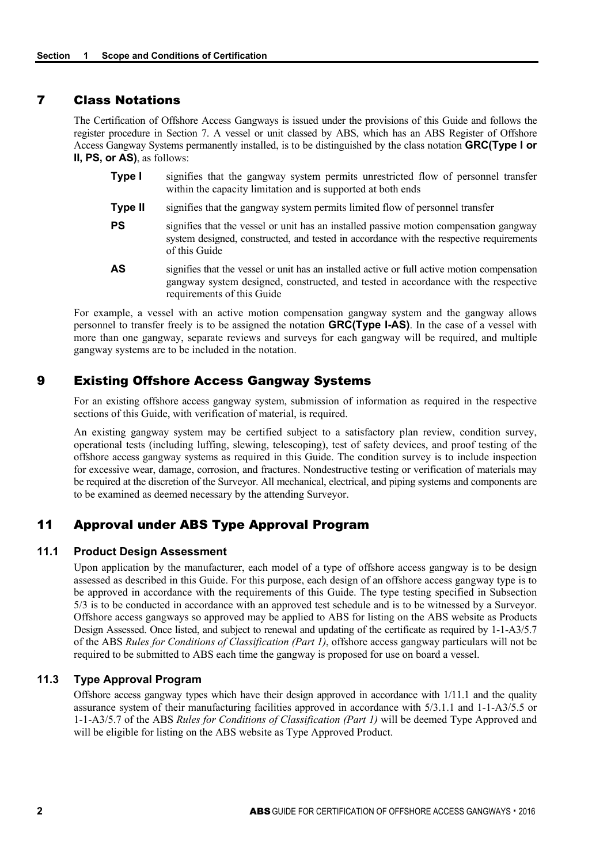## 7 Class Notations

The Certification of Offshore Access Gangways is issued under the provisions of this Guide and follows the register procedure in Section 7. A vessel or unit classed by ABS, which has an ABS Register of Offshore Access Gangway Systems permanently installed, is to be distinguished by the class notation **GRC(Type I or II, PS, or AS)**, as follows:

- **Type I** signifies that the gangway system permits unrestricted flow of personnel transfer within the capacity limitation and is supported at both ends
- **Type II** signifies that the gangway system permits limited flow of personnel transfer
- **PS** signifies that the vessel or unit has an installed passive motion compensation gangway system designed, constructed, and tested in accordance with the respective requirements of this Guide
- **AS** signifies that the vessel or unit has an installed active or full active motion compensation gangway system designed, constructed, and tested in accordance with the respective requirements of this Guide

For example, a vessel with an active motion compensation gangway system and the gangway allows personnel to transfer freely is to be assigned the notation **GRC(Type I-AS)**. In the case of a vessel with more than one gangway, separate reviews and surveys for each gangway will be required, and multiple gangway systems are to be included in the notation.

## 9 Existing Offshore Access Gangway Systems

For an existing offshore access gangway system, submission of information as required in the respective sections of this Guide, with verification of material, is required.

An existing gangway system may be certified subject to a satisfactory plan review, condition survey, operational tests (including luffing, slewing, telescoping), test of safety devices, and proof testing of the offshore access gangway systems as required in this Guide. The condition survey is to include inspection for excessive wear, damage, corrosion, and fractures. Nondestructive testing or verification of materials may be required at the discretion of the Surveyor. All mechanical, electrical, and piping systems and components are to be examined as deemed necessary by the attending Surveyor.

## 11 Approval under ABS Type Approval Program

#### **11.1 Product Design Assessment**

Upon application by the manufacturer, each model of a type of offshore access gangway is to be design assessed as described in this Guide. For this purpose, each design of an offshore access gangway type is to be approved in accordance with the requirements of this Guide. The type testing specified in Subsection 5/3 is to be conducted in accordance with an approved test schedule and is to be witnessed by a Surveyor. Offshore access gangways so approved may be applied to ABS for listing on the ABS website as Products Design Assessed. Once listed, and subject to renewal and updating of the certificate as required by 1-1-A3/5.7 of the ABS *Rules for Conditions of Classification (Part 1)*, offshore access gangway particulars will not be required to be submitted to ABS each time the gangway is proposed for use on board a vessel.

## **11.3 Type Approval Program**

Offshore access gangway types which have their design approved in accordance with 1/11.1 and the quality assurance system of their manufacturing facilities approved in accordance with 5/3.1.1 and 1-1-A3/5.5 or 1-1-A3/5.7 of the ABS *Rules for Conditions of Classification (Part 1)* will be deemed Type Approved and will be eligible for listing on the ABS website as Type Approved Product.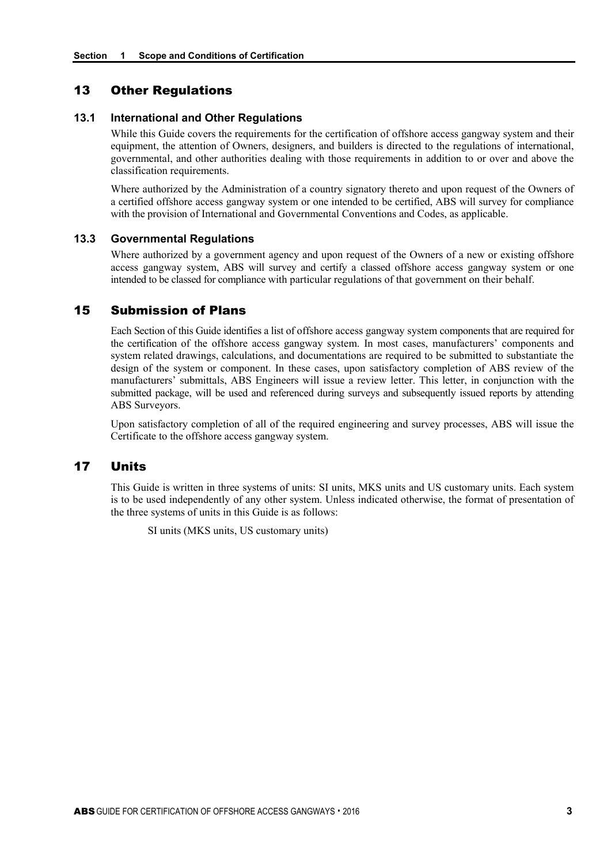## 13 Other Regulations

#### **13.1 International and Other Regulations**

While this Guide covers the requirements for the certification of offshore access gangway system and their equipment, the attention of Owners, designers, and builders is directed to the regulations of international, governmental, and other authorities dealing with those requirements in addition to or over and above the classification requirements.

Where authorized by the Administration of a country signatory thereto and upon request of the Owners of a certified offshore access gangway system or one intended to be certified, ABS will survey for compliance with the provision of International and Governmental Conventions and Codes, as applicable.

#### **13.3 Governmental Regulations**

Where authorized by a government agency and upon request of the Owners of a new or existing offshore access gangway system, ABS will survey and certify a classed offshore access gangway system or one intended to be classed for compliance with particular regulations of that government on their behalf.

## 15 Submission of Plans

Each Section of this Guide identifies a list of offshore access gangway system components that are required for the certification of the offshore access gangway system. In most cases, manufacturers' components and system related drawings, calculations, and documentations are required to be submitted to substantiate the design of the system or component. In these cases, upon satisfactory completion of ABS review of the manufacturers' submittals, ABS Engineers will issue a review letter. This letter, in conjunction with the submitted package, will be used and referenced during surveys and subsequently issued reports by attending ABS Surveyors.

Upon satisfactory completion of all of the required engineering and survey processes, ABS will issue the Certificate to the offshore access gangway system.

## 17 Units

This Guide is written in three systems of units: SI units, MKS units and US customary units. Each system is to be used independently of any other system. Unless indicated otherwise, the format of presentation of the three systems of units in this Guide is as follows:

SI units (MKS units, US customary units)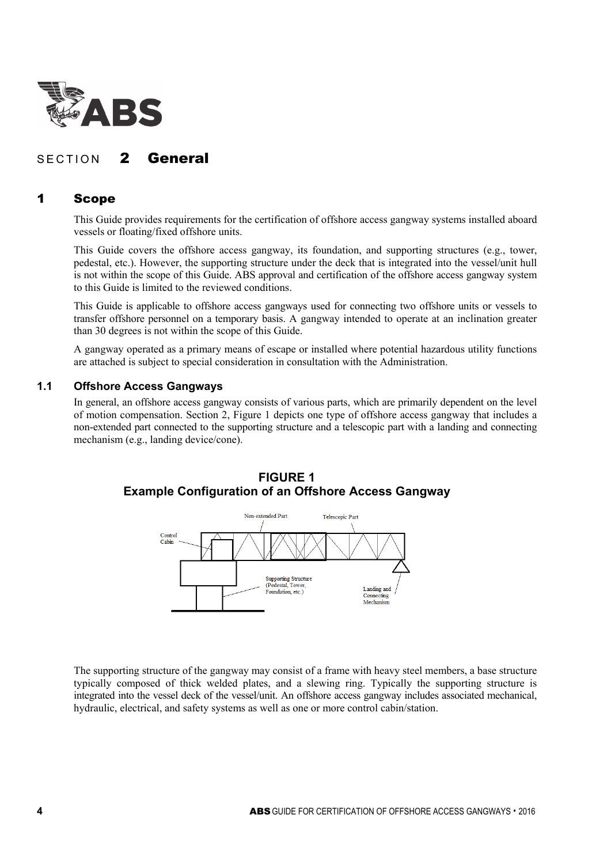

## SECTION 2 General

## 1 Scope

This Guide provides requirements for the certification of offshore access gangway systems installed aboard vessels or floating/fixed offshore units.

This Guide covers the offshore access gangway, its foundation, and supporting structures (e.g., tower, pedestal, etc.). However, the supporting structure under the deck that is integrated into the vessel/unit hull is not within the scope of this Guide. ABS approval and certification of the offshore access gangway system to this Guide is limited to the reviewed conditions.

This Guide is applicable to offshore access gangways used for connecting two offshore units or vessels to transfer offshore personnel on a temporary basis. A gangway intended to operate at an inclination greater than 30 degrees is not within the scope of this Guide.

A gangway operated as a primary means of escape or installed where potential hazardous utility functions are attached is subject to special consideration in consultation with the Administration.

## **1.1 Offshore Access Gangways**

In general, an offshore access gangway consists of various parts, which are primarily dependent on the level of motion compensation. Section 2, Figure 1 depicts one type of offshore access gangway that includes a non-extended part connected to the supporting structure and a telescopic part with a landing and connecting mechanism (e.g., landing device/cone).



## **FIGURE 1 Example Configuration of an Offshore Access Gangway**

The supporting structure of the gangway may consist of a frame with heavy steel members, a base structure typically composed of thick welded plates, and a slewing ring. Typically the supporting structure is integrated into the vessel deck of the vessel/unit. An offshore access gangway includes associated mechanical, hydraulic, electrical, and safety systems as well as one or more control cabin/station.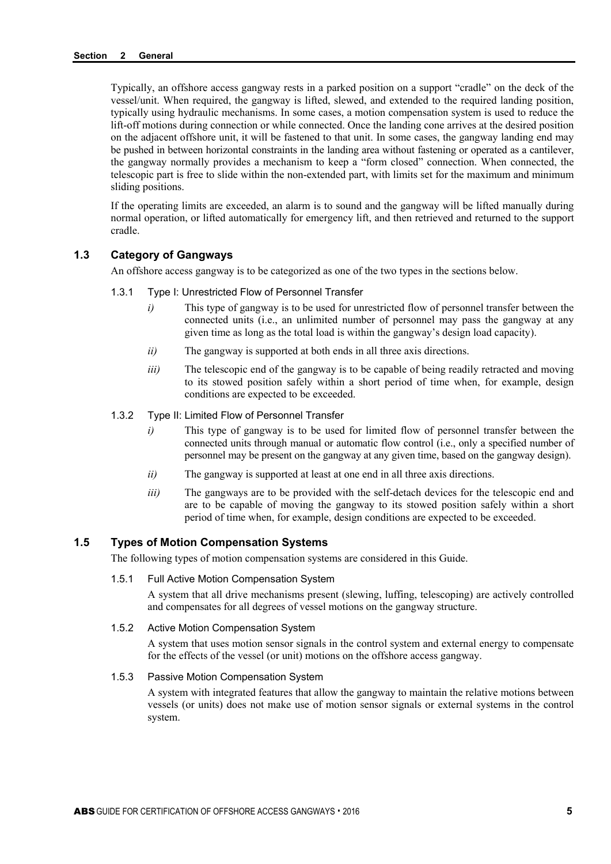Typically, an offshore access gangway rests in a parked position on a support "cradle" on the deck of the vessel/unit. When required, the gangway is lifted, slewed, and extended to the required landing position, typically using hydraulic mechanisms. In some cases, a motion compensation system is used to reduce the lift-off motions during connection or while connected. Once the landing cone arrives at the desired position on the adjacent offshore unit, it will be fastened to that unit. In some cases, the gangway landing end may be pushed in between horizontal constraints in the landing area without fastening or operated as a cantilever, the gangway normally provides a mechanism to keep a "form closed" connection. When connected, the telescopic part is free to slide within the non-extended part, with limits set for the maximum and minimum sliding positions.

If the operating limits are exceeded, an alarm is to sound and the gangway will be lifted manually during normal operation, or lifted automatically for emergency lift, and then retrieved and returned to the support cradle.

#### **1.3 Category of Gangways**

An offshore access gangway is to be categorized as one of the two types in the sections below.

- 1.3.1 Type I: Unrestricted Flow of Personnel Transfer
	- *i*) This type of gangway is to be used for unrestricted flow of personnel transfer between the connected units (i.e., an unlimited number of personnel may pass the gangway at any given time as long as the total load is within the gangway's design load capacity).
	- *ii)* The gangway is supported at both ends in all three axis directions.
	- *iii*) The telescopic end of the gangway is to be capable of being readily retracted and moving to its stowed position safely within a short period of time when, for example, design conditions are expected to be exceeded.
- 1.3.2 Type II: Limited Flow of Personnel Transfer
	- *i*) This type of gangway is to be used for limited flow of personnel transfer between the connected units through manual or automatic flow control (i.e., only a specified number of personnel may be present on the gangway at any given time, based on the gangway design).
	- *ii)* The gangway is supported at least at one end in all three axis directions.
	- *iii*) The gangways are to be provided with the self-detach devices for the telescopic end and are to be capable of moving the gangway to its stowed position safely within a short period of time when, for example, design conditions are expected to be exceeded.

### **1.5 Types of Motion Compensation Systems**

The following types of motion compensation systems are considered in this Guide.

#### 1.5.1 Full Active Motion Compensation System

A system that all drive mechanisms present (slewing, luffing, telescoping) are actively controlled and compensates for all degrees of vessel motions on the gangway structure.

#### 1.5.2 Active Motion Compensation System

A system that uses motion sensor signals in the control system and external energy to compensate for the effects of the vessel (or unit) motions on the offshore access gangway.

#### 1.5.3 Passive Motion Compensation System

A system with integrated features that allow the gangway to maintain the relative motions between vessels (or units) does not make use of motion sensor signals or external systems in the control system.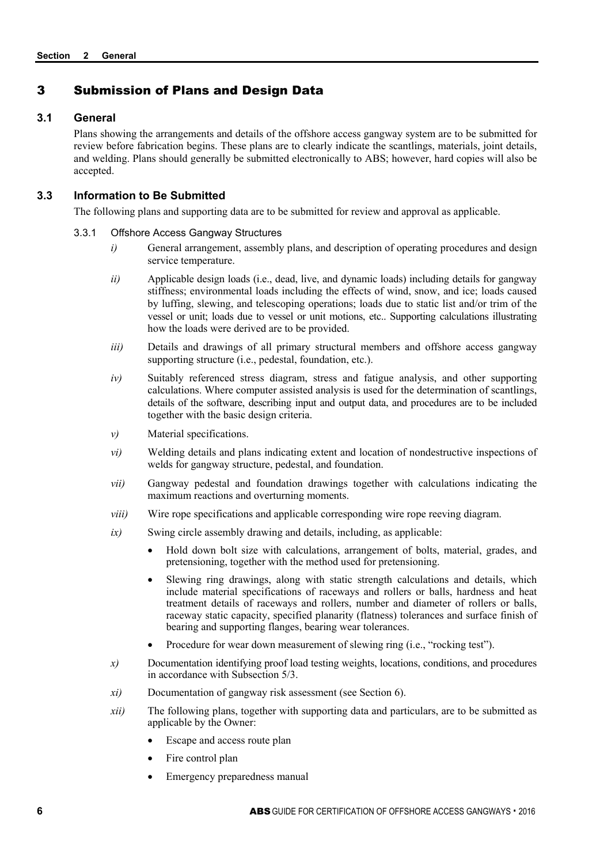## 3 Submission of Plans and Design Data

#### **3.1 General**

Plans showing the arrangements and details of the offshore access gangway system are to be submitted for review before fabrication begins. These plans are to clearly indicate the scantlings, materials, joint details, and welding. Plans should generally be submitted electronically to ABS; however, hard copies will also be accepted.

## **3.3 Information to Be Submitted**

The following plans and supporting data are to be submitted for review and approval as applicable.

#### 3.3.1 Offshore Access Gangway Structures

- *i*) General arrangement, assembly plans, and description of operating procedures and design service temperature.
- *ii*) Applicable design loads (i.e., dead, live, and dynamic loads) including details for gangway stiffness; environmental loads including the effects of wind, snow, and ice; loads caused by luffing, slewing, and telescoping operations; loads due to static list and/or trim of the vessel or unit; loads due to vessel or unit motions, etc.. Supporting calculations illustrating how the loads were derived are to be provided.
- *iii*) Details and drawings of all primary structural members and offshore access gangway supporting structure (i.e., pedestal, foundation, etc.).
- *iv)* Suitably referenced stress diagram, stress and fatigue analysis, and other supporting calculations. Where computer assisted analysis is used for the determination of scantlings, details of the software, describing input and output data, and procedures are to be included together with the basic design criteria.
- *v)* Material specifications.
- *vi)* Welding details and plans indicating extent and location of nondestructive inspections of welds for gangway structure, pedestal, and foundation.
- *vii)* Gangway pedestal and foundation drawings together with calculations indicating the maximum reactions and overturning moments.
- *viii*) Wire rope specifications and applicable corresponding wire rope reeving diagram.
- *ix)* Swing circle assembly drawing and details, including, as applicable:
	- Hold down bolt size with calculations, arrangement of bolts, material, grades, and pretensioning, together with the method used for pretensioning.
	- Slewing ring drawings, along with static strength calculations and details, which include material specifications of raceways and rollers or balls, hardness and heat treatment details of raceways and rollers, number and diameter of rollers or balls, raceway static capacity, specified planarity (flatness) tolerances and surface finish of bearing and supporting flanges, bearing wear tolerances.
	- Procedure for wear down measurement of slewing ring (i.e., "rocking test").
- *x)* Documentation identifying proof load testing weights, locations, conditions, and procedures in accordance with Subsection 5/3.
- *xi)* Documentation of gangway risk assessment (see Section 6).
- *xii*) The following plans, together with supporting data and particulars, are to be submitted as applicable by the Owner:
	- Escape and access route plan
	- Fire control plan
	- Emergency preparedness manual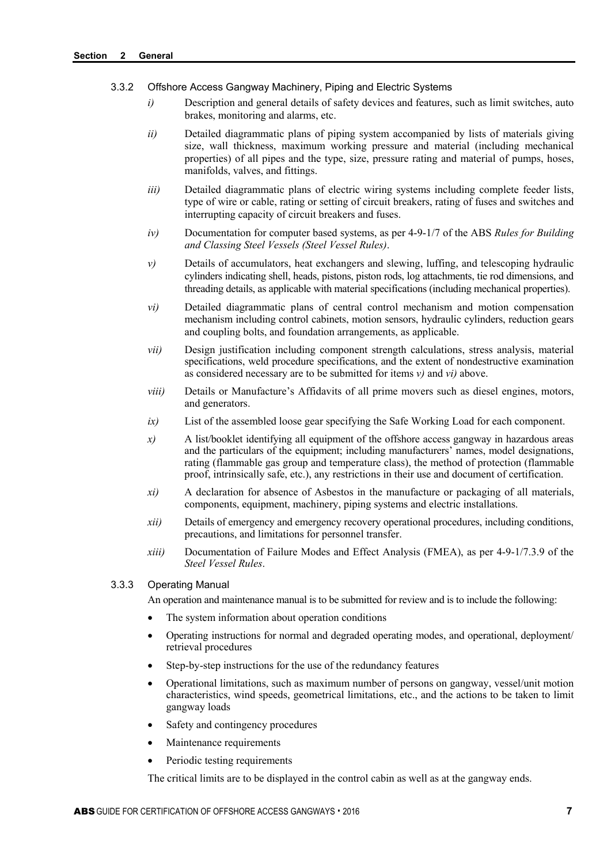#### 3.3.2 Offshore Access Gangway Machinery, Piping and Electric Systems

- *i*) Description and general details of safety devices and features, such as limit switches, auto brakes, monitoring and alarms, etc.
- *ii*) Detailed diagrammatic plans of piping system accompanied by lists of materials giving size, wall thickness, maximum working pressure and material (including mechanical properties) of all pipes and the type, size, pressure rating and material of pumps, hoses, manifolds, valves, and fittings.
- *iii*) Detailed diagrammatic plans of electric wiring systems including complete feeder lists, type of wire or cable, rating or setting of circuit breakers, rating of fuses and switches and interrupting capacity of circuit breakers and fuses.
- *iv)* Documentation for computer based systems, as per 4-9-1/7 of the ABS *Rules for Building and Classing Steel Vessels (Steel Vessel Rules)*.
- *v*) Details of accumulators, heat exchangers and slewing, luffing, and telescoping hydraulic cylinders indicating shell, heads, pistons, piston rods, log attachments, tie rod dimensions, and threading details, as applicable with material specifications (including mechanical properties).
- *vi)* Detailed diagrammatic plans of central control mechanism and motion compensation mechanism including control cabinets, motion sensors, hydraulic cylinders, reduction gears and coupling bolts, and foundation arrangements, as applicable.
- *vii)* Design justification including component strength calculations, stress analysis, material specifications, weld procedure specifications, and the extent of nondestructive examination as considered necessary are to be submitted for items *v)* and *vi)* above.
- *viii*) Details or Manufacture's Affidavits of all prime movers such as diesel engines, motors, and generators.
- *ix)* List of the assembled loose gear specifying the Safe Working Load for each component.
- *x)* A list/booklet identifying all equipment of the offshore access gangway in hazardous areas and the particulars of the equipment; including manufacturers' names, model designations, rating (flammable gas group and temperature class), the method of protection (flammable proof, intrinsically safe, etc.), any restrictions in their use and document of certification.
- *xi)* A declaration for absence of Asbestos in the manufacture or packaging of all materials, components, equipment, machinery, piping systems and electric installations.
- *xii)* Details of emergency and emergency recovery operational procedures, including conditions, precautions, and limitations for personnel transfer.
- *xiii)* Documentation of Failure Modes and Effect Analysis (FMEA), as per 4-9-1/7.3.9 of the *Steel Vessel Rules*.

#### 3.3.3 Operating Manual

An operation and maintenance manual is to be submitted for review and is to include the following:

- The system information about operation conditions
- Operating instructions for normal and degraded operating modes, and operational, deployment/ retrieval procedures
- Step-by-step instructions for the use of the redundancy features
- Operational limitations, such as maximum number of persons on gangway, vessel/unit motion characteristics, wind speeds, geometrical limitations, etc., and the actions to be taken to limit gangway loads
- Safety and contingency procedures
- Maintenance requirements
- Periodic testing requirements

The critical limits are to be displayed in the control cabin as well as at the gangway ends.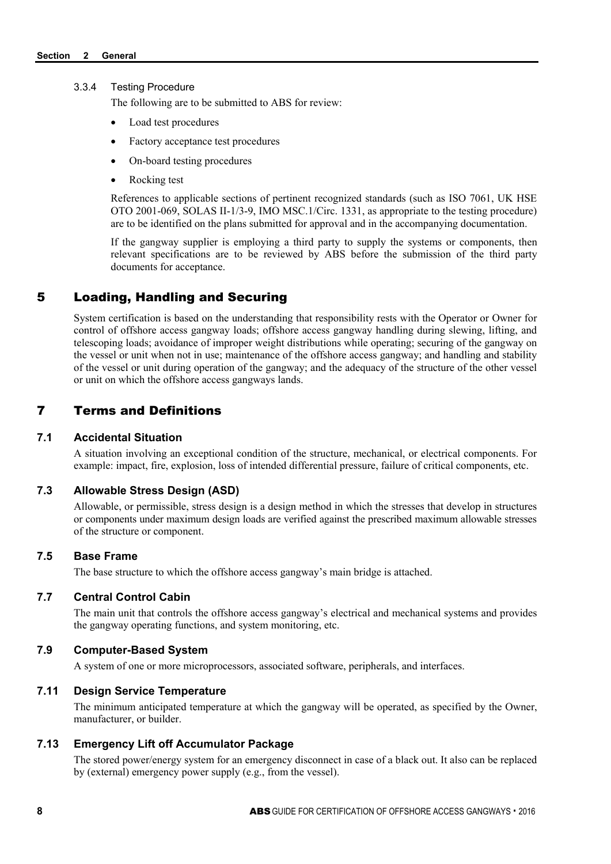#### 3.3.4 Testing Procedure

The following are to be submitted to ABS for review:

- Load test procedures
- Factory acceptance test procedures
- On-board testing procedures
- Rocking test

References to applicable sections of pertinent recognized standards (such as ISO 7061, UK HSE OTO 2001-069, SOLAS II-1/3-9, IMO MSC.1/Circ. 1331, as appropriate to the testing procedure) are to be identified on the plans submitted for approval and in the accompanying documentation.

If the gangway supplier is employing a third party to supply the systems or components, then relevant specifications are to be reviewed by ABS before the submission of the third party documents for acceptance.

## 5 Loading, Handling and Securing

System certification is based on the understanding that responsibility rests with the Operator or Owner for control of offshore access gangway loads; offshore access gangway handling during slewing, lifting, and telescoping loads; avoidance of improper weight distributions while operating; securing of the gangway on the vessel or unit when not in use; maintenance of the offshore access gangway; and handling and stability of the vessel or unit during operation of the gangway; and the adequacy of the structure of the other vessel or unit on which the offshore access gangways lands.

## 7 Terms and Definitions

#### **7.1 Accidental Situation**

A situation involving an exceptional condition of the structure, mechanical, or electrical components. For example: impact, fire, explosion, loss of intended differential pressure, failure of critical components, etc.

## **7.3 Allowable Stress Design (ASD)**

Allowable, or permissible, stress design is a design method in which the stresses that develop in structures or components under maximum design loads are verified against the prescribed maximum allowable stresses of the structure or component.

#### **7.5 Base Frame**

The base structure to which the offshore access gangway's main bridge is attached.

#### **7.7 Central Control Cabin**

The main unit that controls the offshore access gangway's electrical and mechanical systems and provides the gangway operating functions, and system monitoring, etc.

## **7.9 Computer-Based System**

A system of one or more microprocessors, associated software, peripherals, and interfaces.

## **7.11 Design Service Temperature**

The minimum anticipated temperature at which the gangway will be operated, as specified by the Owner, manufacturer, or builder.

## **7.13 Emergency Lift off Accumulator Package**

The stored power/energy system for an emergency disconnect in case of a black out. It also can be replaced by (external) emergency power supply (e.g., from the vessel).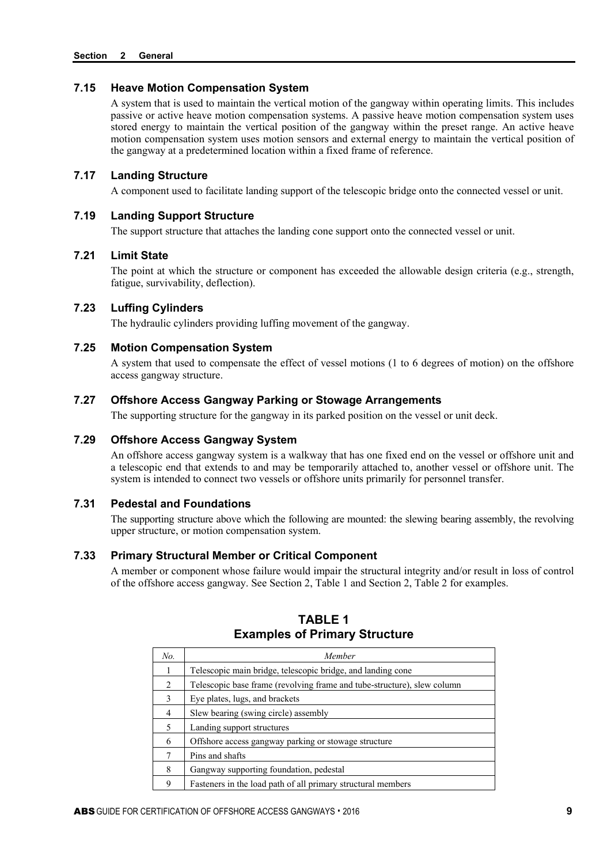## **7.15 Heave Motion Compensation System**

A system that is used to maintain the vertical motion of the gangway within operating limits. This includes passive or active heave motion compensation systems. A passive heave motion compensation system uses stored energy to maintain the vertical position of the gangway within the preset range. An active heave motion compensation system uses motion sensors and external energy to maintain the vertical position of the gangway at a predetermined location within a fixed frame of reference.

#### **7.17 Landing Structure**

A component used to facilitate landing support of the telescopic bridge onto the connected vessel or unit.

#### **7.19 Landing Support Structure**

The support structure that attaches the landing cone support onto the connected vessel or unit.

## **7.21 Limit State**

The point at which the structure or component has exceeded the allowable design criteria (e.g., strength, fatigue, survivability, deflection).

## **7.23 Luffing Cylinders**

The hydraulic cylinders providing luffing movement of the gangway.

#### **7.25 Motion Compensation System**

A system that used to compensate the effect of vessel motions (1 to 6 degrees of motion) on the offshore access gangway structure.

## **7.27 Offshore Access Gangway Parking or Stowage Arrangements**

The supporting structure for the gangway in its parked position on the vessel or unit deck.

## **7.29 Offshore Access Gangway System**

An offshore access gangway system is a walkway that has one fixed end on the vessel or offshore unit and a telescopic end that extends to and may be temporarily attached to, another vessel or offshore unit. The system is intended to connect two vessels or offshore units primarily for personnel transfer.

## **7.31 Pedestal and Foundations**

The supporting structure above which the following are mounted: the slewing bearing assembly, the revolving upper structure, or motion compensation system.

#### **7.33 Primary Structural Member or Critical Component**

A member or component whose failure would impair the structural integrity and/or result in loss of control of the offshore access gangway. See Section 2, Table 1 and Section 2, Table 2 for examples.

| No.            | Member                                                                  |
|----------------|-------------------------------------------------------------------------|
|                | Telescopic main bridge, telescopic bridge, and landing cone             |
| $\mathfrak{D}$ | Telescopic base frame (revolving frame and tube-structure), slew column |
| 3              | Eye plates, lugs, and brackets                                          |
| 4              | Slew bearing (swing circle) assembly                                    |
| 5              | Landing support structures                                              |
| 6              | Offshore access gangway parking or stowage structure                    |
| 7              | Pins and shafts                                                         |
| 8              | Gangway supporting foundation, pedestal                                 |
| 9              | Fasteners in the load path of all primary structural members            |

## **TABLE 1 Examples of Primary Structure**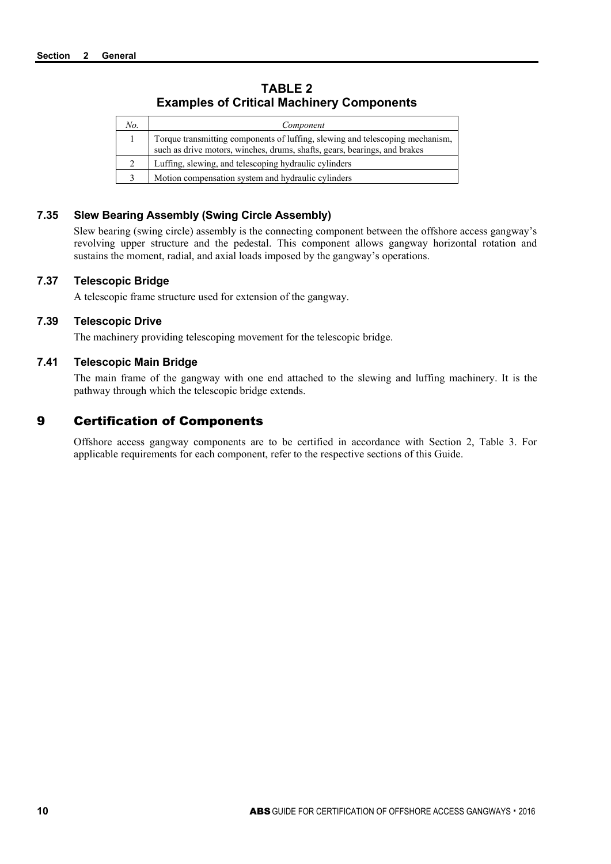## **TABLE 2 Examples of Critical Machinery Components**

| No. | Component                                                                                                                                                  |
|-----|------------------------------------------------------------------------------------------------------------------------------------------------------------|
|     | Torque transmitting components of luffing, slewing and telescoping mechanism,<br>such as drive motors, winches, drums, shafts, gears, bearings, and brakes |
|     | Luffing, slewing, and telescoping hydraulic cylinders                                                                                                      |
|     | Motion compensation system and hydraulic cylinders                                                                                                         |

## **7.35 Slew Bearing Assembly (Swing Circle Assembly)**

Slew bearing (swing circle) assembly is the connecting component between the offshore access gangway's revolving upper structure and the pedestal. This component allows gangway horizontal rotation and sustains the moment, radial, and axial loads imposed by the gangway's operations.

## **7.37 Telescopic Bridge**

A telescopic frame structure used for extension of the gangway.

## **7.39 Telescopic Drive**

The machinery providing telescoping movement for the telescopic bridge.

## **7.41 Telescopic Main Bridge**

The main frame of the gangway with one end attached to the slewing and luffing machinery. It is the pathway through which the telescopic bridge extends.

## 9 Certification of Components

Offshore access gangway components are to be certified in accordance with Section 2, Table 3. For applicable requirements for each component, refer to the respective sections of this Guide.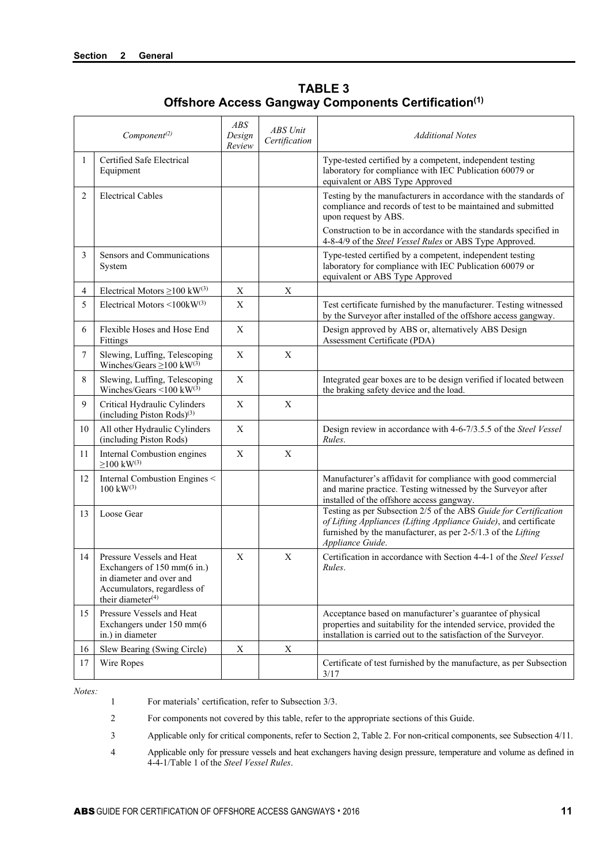| Component <sup>(2)</sup> |                                                                                                                                                      | <b>ABS</b><br>Design<br>Review | <b>ABS</b> Unit<br>Certification | <b>Additional Notes</b>                                                                                                                                                                                                       |
|--------------------------|------------------------------------------------------------------------------------------------------------------------------------------------------|--------------------------------|----------------------------------|-------------------------------------------------------------------------------------------------------------------------------------------------------------------------------------------------------------------------------|
| 1                        | Certified Safe Electrical<br>Equipment                                                                                                               |                                |                                  | Type-tested certified by a competent, independent testing<br>laboratory for compliance with IEC Publication 60079 or<br>equivalent or ABS Type Approved                                                                       |
| 2                        | <b>Electrical Cables</b>                                                                                                                             |                                |                                  | Testing by the manufacturers in accordance with the standards of<br>compliance and records of test to be maintained and submitted<br>upon request by ABS.<br>Construction to be in accordance with the standards specified in |
| 3                        | Sensors and Communications<br>System                                                                                                                 |                                |                                  | 4-8-4/9 of the Steel Vessel Rules or ABS Type Approved.<br>Type-tested certified by a competent, independent testing<br>laboratory for compliance with IEC Publication 60079 or<br>equivalent or ABS Type Approved            |
| 4                        | Electrical Motors $\geq$ 100 kW <sup>(3)</sup>                                                                                                       | $\mathbf X$                    | $\boldsymbol{\mathrm{X}}$        |                                                                                                                                                                                                                               |
| 5                        | Electrical Motors $\leq 100$ kW <sup>(3)</sup>                                                                                                       | $\mathbf{X}$                   |                                  | Test certificate furnished by the manufacturer. Testing witnessed<br>by the Surveyor after installed of the offshore access gangway.                                                                                          |
| 6                        | Flexible Hoses and Hose End<br>Fittings                                                                                                              | X                              |                                  | Design approved by ABS or, alternatively ABS Design<br>Assessment Certificate (PDA)                                                                                                                                           |
| 7                        | Slewing, Luffing, Telescoping<br>Winches/Gears $\geq$ 100 kW <sup>(3)</sup>                                                                          | X                              | X                                |                                                                                                                                                                                                                               |
| 8                        | Slewing, Luffing, Telescoping<br>Winches/Gears <100 kW(3)                                                                                            | X                              |                                  | Integrated gear boxes are to be design verified if located between<br>the braking safety device and the load.                                                                                                                 |
| 9                        | Critical Hydraulic Cylinders<br>(including Piston Rods) $(3)$                                                                                        | X                              | $\mathbf X$                      |                                                                                                                                                                                                                               |
| 10                       | All other Hydraulic Cylinders<br>(including Piston Rods)                                                                                             | X                              |                                  | Design review in accordance with 4-6-7/3.5.5 of the Steel Vessel<br>Rules.                                                                                                                                                    |
| 11                       | Internal Combustion engines<br>$\geq$ 100 kW <sup>(3)</sup>                                                                                          | X                              | X                                |                                                                                                                                                                                                                               |
| 12                       | Internal Combustion Engines <<br>$100 \text{ kW}^{(3)}$                                                                                              |                                |                                  | Manufacturer's affidavit for compliance with good commercial<br>and marine practice. Testing witnessed by the Surveyor after<br>installed of the offshore access gangway.                                                     |
| 13                       | Loose Gear                                                                                                                                           |                                |                                  | Testing as per Subsection 2/5 of the ABS Guide for Certification<br>of Lifting Appliances (Lifting Appliance Guide), and certificate<br>furnished by the manufacturer, as per 2-5/1.3 of the Lifting<br>Appliance Guide.      |
| 14                       | Pressure Vessels and Heat<br>Exchangers of 150 mm(6 in.)<br>in diameter and over and<br>Accumulators, regardless of<br>their diameter <sup>(4)</sup> | $\mathbf{X}$                   | $\mathbf X$                      | Certification in accordance with Section 4-4-1 of the Steel Vessel<br>Rules.                                                                                                                                                  |
| 15                       | Pressure Vessels and Heat<br>Exchangers under 150 mm(6<br>in.) in diameter                                                                           |                                |                                  | Acceptance based on manufacturer's guarantee of physical<br>properties and suitability for the intended service, provided the<br>installation is carried out to the satisfaction of the Surveyor.                             |
| 16                       | Slew Bearing (Swing Circle)                                                                                                                          | X                              | Χ                                |                                                                                                                                                                                                                               |
| 17                       | Wire Ropes                                                                                                                                           |                                |                                  | Certificate of test furnished by the manufacture, as per Subsection<br>3/17                                                                                                                                                   |

**TABLE 3 Offshore Access Gangway Components Certification(1)**

*Notes:*

1 For materials' certification, refer to Subsection 3/3.

2 For components not covered by this table, refer to the appropriate sections of this Guide.

3 Applicable only for critical components, refer to Section 2, Table 2. For non-critical components, see Subsection 4/11.

4 Applicable only for pressure vessels and heat exchangers having design pressure, temperature and volume as defined in 4-4-1/Table 1 of the *Steel Vessel Rules*.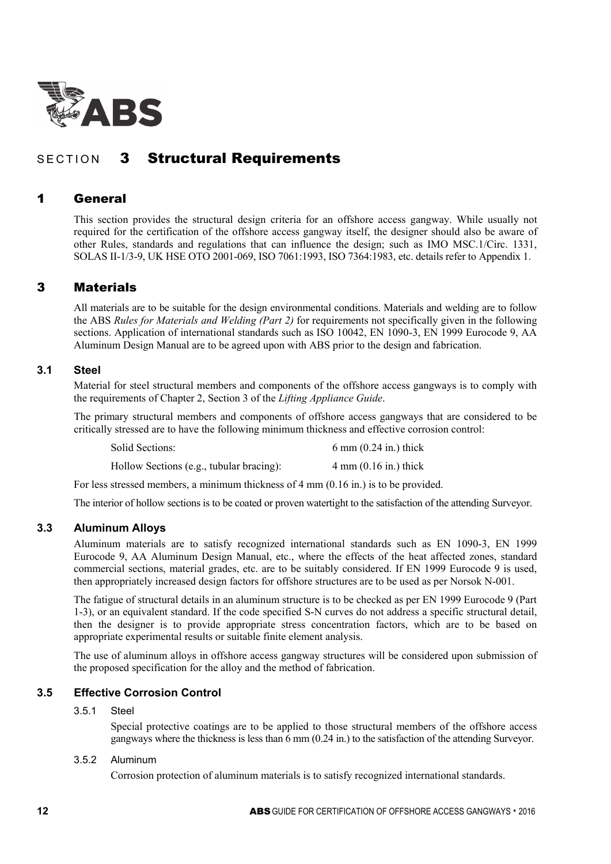

# SECTION 3 Structural Requirements

## 1 General

This section provides the structural design criteria for an offshore access gangway. While usually not required for the certification of the offshore access gangway itself, the designer should also be aware of other Rules, standards and regulations that can influence the design; such as IMO MSC.1/Circ. 1331, SOLAS II-1/3-9, UK HSE OTO 2001-069, ISO 7061:1993, ISO 7364:1983, etc. details refer to Appendix 1.

## 3 Materials

All materials are to be suitable for the design environmental conditions. Materials and welding are to follow the ABS *Rules for Materials and Welding (Part 2)* for requirements not specifically given in the following sections. Application of international standards such as ISO 10042, EN 1090-3, EN 1999 Eurocode 9, AA Aluminum Design Manual are to be agreed upon with ABS prior to the design and fabrication.

## **3.1 Steel**

Material for steel structural members and components of the offshore access gangways is to comply with the requirements of Chapter 2, Section 3 of the *Lifting Appliance Guide*.

The primary structural members and components of offshore access gangways that are considered to be critically stressed are to have the following minimum thickness and effective corrosion control:

Solid Sections: 6 mm (0.24 in.) thick Hollow Sections (e.g., tubular bracing): 4 mm (0.16 in.) thick

For less stressed members, a minimum thickness of 4 mm (0.16 in.) is to be provided.

The interior of hollow sections is to be coated or proven watertight to the satisfaction of the attending Surveyor.

#### **3.3 Aluminum Alloys**

Aluminum materials are to satisfy recognized international standards such as EN 1090-3, EN 1999 Eurocode 9, AA Aluminum Design Manual, etc., where the effects of the heat affected zones, standard commercial sections, material grades, etc. are to be suitably considered. If EN 1999 Eurocode 9 is used, then appropriately increased design factors for offshore structures are to be used as per Norsok N-001.

The fatigue of structural details in an aluminum structure is to be checked as per EN 1999 Eurocode 9 (Part 1-3), or an equivalent standard. If the code specified S-N curves do not address a specific structural detail, then the designer is to provide appropriate stress concentration factors, which are to be based on appropriate experimental results or suitable finite element analysis.

The use of aluminum alloys in offshore access gangway structures will be considered upon submission of the proposed specification for the alloy and the method of fabrication.

## **3.5 Effective Corrosion Control**

#### 3.5.1 Steel

Special protective coatings are to be applied to those structural members of the offshore access gangways where the thickness is less than 6 mm (0.24 in.) to the satisfaction of the attending Surveyor.

#### 3.5.2 Aluminum

Corrosion protection of aluminum materials is to satisfy recognized international standards.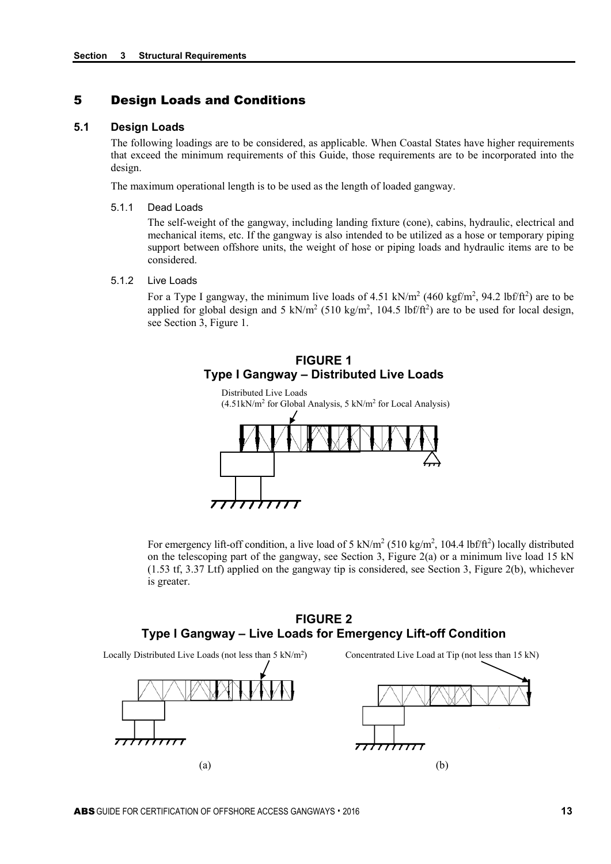## 5 Design Loads and Conditions

#### **5.1 Design Loads**

The following loadings are to be considered, as applicable. When Coastal States have higher requirements that exceed the minimum requirements of this Guide, those requirements are to be incorporated into the design.

The maximum operational length is to be used as the length of loaded gangway.

5.1.1 Dead Loads

The self-weight of the gangway, including landing fixture (cone), cabins, hydraulic, electrical and mechanical items, etc. If the gangway is also intended to be utilized as a hose or temporary piping support between offshore units, the weight of hose or piping loads and hydraulic items are to be considered.

5.1.2 Live Loads

For a Type I gangway, the minimum live loads of 4.51 kN/m<sup>2</sup> (460 kgf/m<sup>2</sup>, 94.2 lbf/ft<sup>2</sup>) are to be applied for global design and 5 kN/m<sup>2</sup> (510 kg/m<sup>2</sup>, 104.5 lbf/ft<sup>2</sup>) are to be used for local design, see Section 3, Figure 1.

## **FIGURE 1 Type I Gangway – Distributed Live Loads**



For emergency lift-off condition, a live load of 5 kN/m<sup>2</sup> (510 kg/m<sup>2</sup>, 104.4 lbf/ft<sup>2</sup>) locally distributed on the telescoping part of the gangway, see Section 3, Figure 2(a) or a minimum live load 15 kN (1.53 tf, 3.37 Ltf) applied on the gangway tip is considered, see Section 3, Figure 2(b), whichever is greater.

## **FIGURE 2 Type I Gangway – Live Loads for Emergency Lift-off Condition**

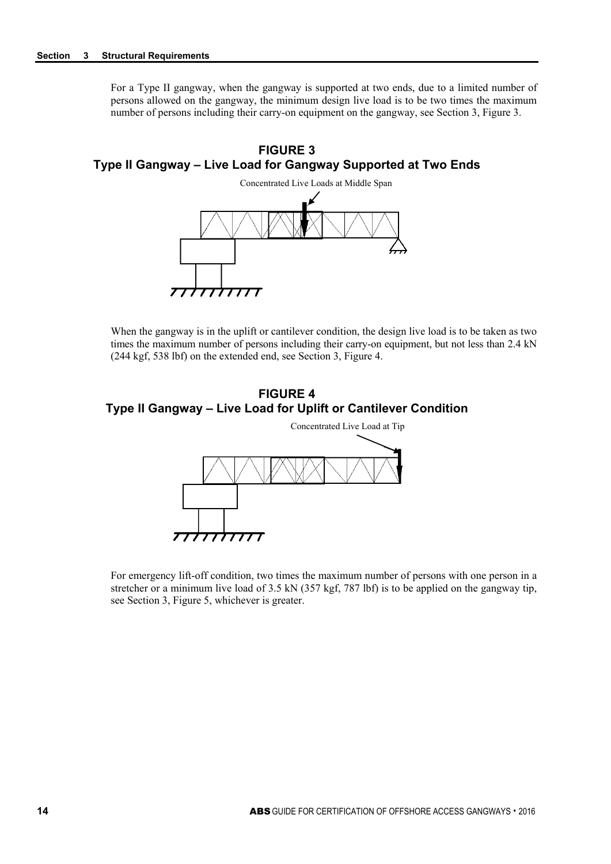For a Type II gangway, when the gangway is supported at two ends, due to a limited number of persons allowed on the gangway, the minimum design live load is to be two times the maximum number of persons including their carry-on equipment on the gangway, see Section 3, Figure 3.





When the gangway is in the uplift or cantilever condition, the design live load is to be taken as two times the maximum number of persons including their carry-on equipment, but not less than 2.4 kN (244 kgf, 538 lbf) on the extended end, see Section 3, Figure 4.





For emergency lift-off condition, two times the maximum number of persons with one person in a stretcher or a minimum live load of 3.5 kN (357 kgf, 787 lbf) is to be applied on the gangway tip, see Section 3, Figure 5, whichever is greater.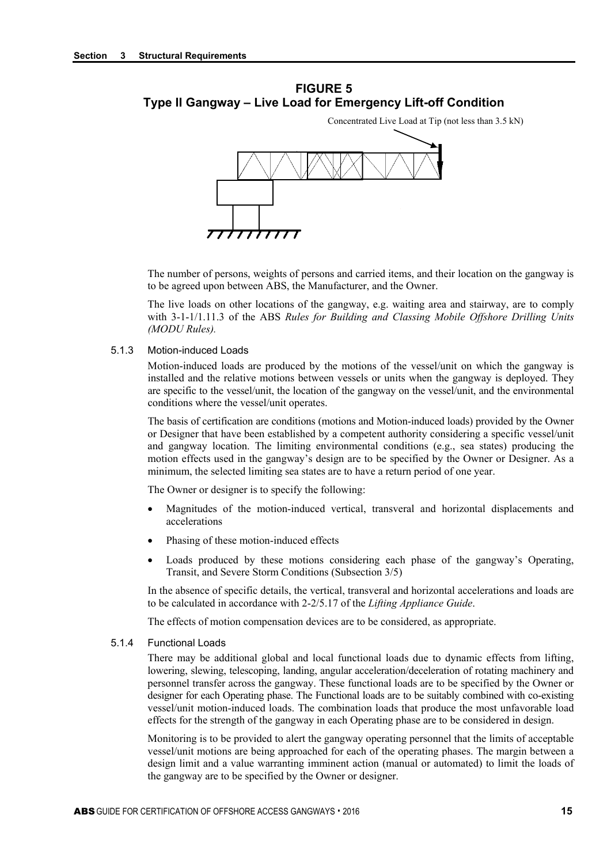## **FIGURE 5 Type II Gangway – Live Load for Emergency Lift-off Condition**

The number of persons, weights of persons and carried items, and their location on the gangway is to be agreed upon between ABS, the Manufacturer, and the Owner.

Concentrated Live Load at Tip (not less than 3.5 kN)

The live loads on other locations of the gangway, e.g. waiting area and stairway, are to comply with 3-1-1/1.11.3 of the ABS *Rules for Building and Classing Mobile Offshore Drilling Units (MODU Rules).*

#### 5.1.3 Motion-induced Loads

Motion-induced loads are produced by the motions of the vessel/unit on which the gangway is installed and the relative motions between vessels or units when the gangway is deployed. They are specific to the vessel/unit, the location of the gangway on the vessel/unit, and the environmental conditions where the vessel/unit operates.

The basis of certification are conditions (motions and Motion-induced loads) provided by the Owner or Designer that have been established by a competent authority considering a specific vessel/unit and gangway location. The limiting environmental conditions (e.g., sea states) producing the motion effects used in the gangway's design are to be specified by the Owner or Designer. As a minimum, the selected limiting sea states are to have a return period of one year.

The Owner or designer is to specify the following:

- Magnitudes of the motion-induced vertical, transveral and horizontal displacements and accelerations
- Phasing of these motion-induced effects
- Loads produced by these motions considering each phase of the gangway's Operating, Transit, and Severe Storm Conditions (Subsection 3/5)

In the absence of specific details, the vertical, transveral and horizontal accelerations and loads are to be calculated in accordance with 2-2/5.17 of the *Lifting Appliance Guide*.

The effects of motion compensation devices are to be considered, as appropriate.

5.1.4 Functional Loads

There may be additional global and local functional loads due to dynamic effects from lifting, lowering, slewing, telescoping, landing, angular acceleration/deceleration of rotating machinery and personnel transfer across the gangway. These functional loads are to be specified by the Owner or designer for each Operating phase. The Functional loads are to be suitably combined with co-existing vessel/unit motion-induced loads. The combination loads that produce the most unfavorable load effects for the strength of the gangway in each Operating phase are to be considered in design.

Monitoring is to be provided to alert the gangway operating personnel that the limits of acceptable vessel/unit motions are being approached for each of the operating phases. The margin between a design limit and a value warranting imminent action (manual or automated) to limit the loads of the gangway are to be specified by the Owner or designer.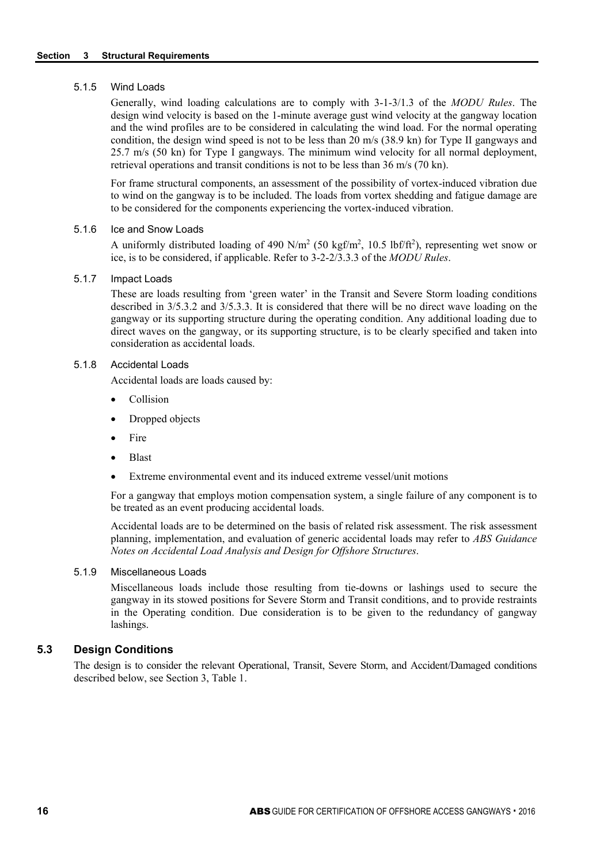#### 5.1.5 Wind Loads

Generally, wind loading calculations are to comply with 3-1-3/1.3 of the *MODU Rules*. The design wind velocity is based on the 1-minute average gust wind velocity at the gangway location and the wind profiles are to be considered in calculating the wind load. For the normal operating condition, the design wind speed is not to be less than 20 m/s (38.9 kn) for Type II gangways and 25.7 m/s (50 kn) for Type I gangways. The minimum wind velocity for all normal deployment, retrieval operations and transit conditions is not to be less than 36 m/s (70 kn).

For frame structural components, an assessment of the possibility of vortex-induced vibration due to wind on the gangway is to be included. The loads from vortex shedding and fatigue damage are to be considered for the components experiencing the vortex-induced vibration.

#### 5.1.6 Ice and Snow Loads

A uniformly distributed loading of 490 N/m<sup>2</sup> (50 kgf/m<sup>2</sup>, 10.5 lbf/ft<sup>2</sup>), representing wet snow or ice, is to be considered, if applicable. Refer to 3-2-2/3.3.3 of the *MODU Rules*.

#### 5.1.7 Impact Loads

These are loads resulting from 'green water' in the Transit and Severe Storm loading conditions described in 3/5.3.2 and 3/5.3.3. It is considered that there will be no direct wave loading on the gangway or its supporting structure during the operating condition. Any additional loading due to direct waves on the gangway, or its supporting structure, is to be clearly specified and taken into consideration as accidental loads.

#### 5.1.8 Accidental Loads

Accidental loads are loads caused by:

- Collision
- Dropped objects
- **Fire**
- Blast
- Extreme environmental event and its induced extreme vessel/unit motions

For a gangway that employs motion compensation system, a single failure of any component is to be treated as an event producing accidental loads.

Accidental loads are to be determined on the basis of related risk assessment. The risk assessment planning, implementation, and evaluation of generic accidental loads may refer to *ABS Guidance Notes on Accidental Load Analysis and Design for Offshore Structures*.

#### 5.1.9 Miscellaneous Loads

Miscellaneous loads include those resulting from tie-downs or lashings used to secure the gangway in its stowed positions for Severe Storm and Transit conditions, and to provide restraints in the Operating condition. Due consideration is to be given to the redundancy of gangway lashings.

## **5.3 Design Conditions**

The design is to consider the relevant Operational, Transit, Severe Storm, and Accident/Damaged conditions described below, see Section 3, Table 1.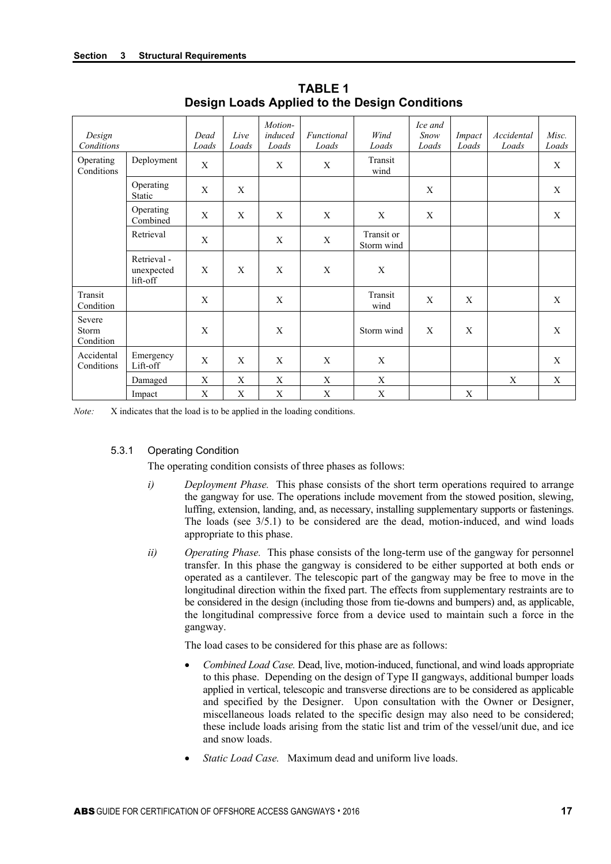| Design<br>Conditions         |                                       | Dead<br>Loads | Live<br>Loads | Motion-<br>induced<br>Loads | Functional<br>Loads | Wind<br>Loads            | Ice and<br>Snow<br>Loads | Impact<br>Loads  | Accidental<br>Loads | Misc.<br>Loads |
|------------------------------|---------------------------------------|---------------|---------------|-----------------------------|---------------------|--------------------------|--------------------------|------------------|---------------------|----------------|
| Operating<br>Conditions      | Deployment                            | X             |               | X                           | X                   | Transit<br>wind          |                          |                  |                     | X              |
|                              | Operating<br>Static                   | $\mathbf X$   | X             |                             |                     |                          | $\mathbf X$              |                  |                     | $\mathbf X$    |
|                              | Operating<br>Combined                 | X             | X             | X                           | X                   | X                        | X                        |                  |                     | X              |
|                              | Retrieval                             | X             |               | X                           | X                   | Transit or<br>Storm wind |                          |                  |                     |                |
|                              | Retrieval -<br>unexpected<br>lift-off | X             | X             | $\boldsymbol{X}$            | X                   | X                        |                          |                  |                     |                |
| Transit<br>Condition         |                                       | X             |               | X                           |                     | Transit<br>wind          | X                        | $\boldsymbol{X}$ |                     | $\mathbf{X}$   |
| Severe<br>Storm<br>Condition |                                       | X             |               | X                           |                     | Storm wind               | X                        | X                |                     | X              |
| Accidental<br>Conditions     | Emergency<br>Lift-off                 | X             | X             | $\mathbf{X}$                | X                   | X                        |                          |                  |                     | X              |
|                              | Damaged                               | X             | X             | X                           | X                   | X                        |                          |                  | X                   | X              |
|                              | Impact                                | X             | X             | X                           | $\mathbf X$         | $\mathbf X$              |                          | X                |                     |                |

**TABLE 1 Design Loads Applied to the Design Conditions** 

*Note:* X indicates that the load is to be applied in the loading conditions.

#### 5.3.1 Operating Condition

The operating condition consists of three phases as follows:

- *i*) *Deployment Phase.* This phase consists of the short term operations required to arrange the gangway for use. The operations include movement from the stowed position, slewing, luffing, extension, landing, and, as necessary, installing supplementary supports or fastenings. The loads (see 3/5.1) to be considered are the dead, motion-induced, and wind loads appropriate to this phase.
- *ii) Operating Phase.* This phase consists of the long-term use of the gangway for personnel transfer. In this phase the gangway is considered to be either supported at both ends or operated as a cantilever. The telescopic part of the gangway may be free to move in the longitudinal direction within the fixed part. The effects from supplementary restraints are to be considered in the design (including those from tie-downs and bumpers) and, as applicable, the longitudinal compressive force from a device used to maintain such a force in the gangway.

The load cases to be considered for this phase are as follows:

- *Combined Load Case.* Dead, live, motion-induced, functional, and wind loads appropriate to this phase. Depending on the design of Type II gangways, additional bumper loads applied in vertical, telescopic and transverse directions are to be considered as applicable and specified by the Designer. Upon consultation with the Owner or Designer, miscellaneous loads related to the specific design may also need to be considered; these include loads arising from the static list and trim of the vessel/unit due, and ice and snow loads.
- *Static Load Case.* Maximum dead and uniform live loads.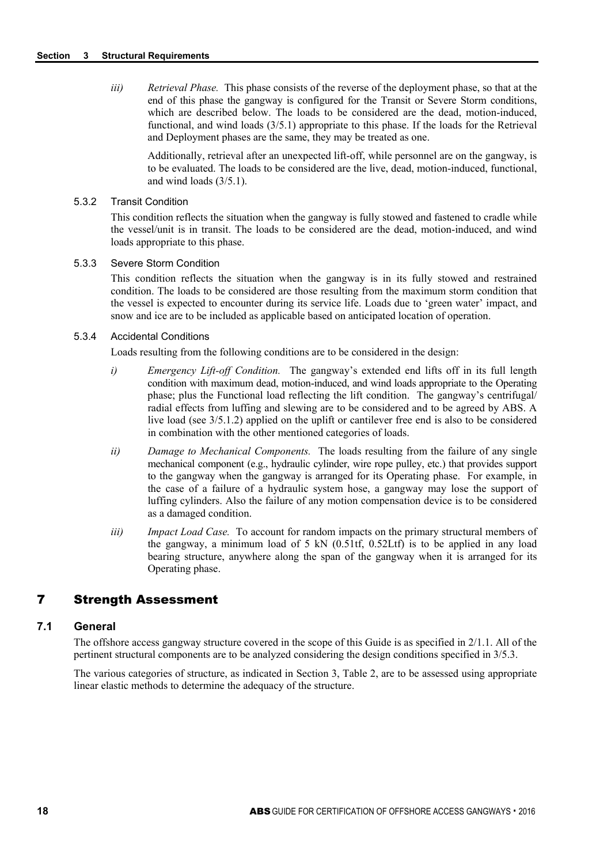*iii) Retrieval Phase.* This phase consists of the reverse of the deployment phase, so that at the end of this phase the gangway is configured for the Transit or Severe Storm conditions, which are described below. The loads to be considered are the dead, motion-induced, functional, and wind loads (3/5.1) appropriate to this phase. If the loads for the Retrieval and Deployment phases are the same, they may be treated as one.

Additionally, retrieval after an unexpected lift-off, while personnel are on the gangway, is to be evaluated. The loads to be considered are the live, dead, motion-induced, functional, and wind loads (3/5.1).

#### 5.3.2 Transit Condition

This condition reflects the situation when the gangway is fully stowed and fastened to cradle while the vessel/unit is in transit. The loads to be considered are the dead, motion-induced, and wind loads appropriate to this phase.

#### 5.3.3 Severe Storm Condition

This condition reflects the situation when the gangway is in its fully stowed and restrained condition. The loads to be considered are those resulting from the maximum storm condition that the vessel is expected to encounter during its service life. Loads due to 'green water' impact, and snow and ice are to be included as applicable based on anticipated location of operation.

#### 5.3.4 Accidental Conditions

Loads resulting from the following conditions are to be considered in the design:

- *i) Emergency Lift-off Condition.* The gangway's extended end lifts off in its full length condition with maximum dead, motion-induced, and wind loads appropriate to the Operating phase; plus the Functional load reflecting the lift condition. The gangway's centrifugal/ radial effects from luffing and slewing are to be considered and to be agreed by ABS. A live load (see 3/5.1.2) applied on the uplift or cantilever free end is also to be considered in combination with the other mentioned categories of loads.
- *ii) Damage to Mechanical Components.* The loads resulting from the failure of any single mechanical component (e.g., hydraulic cylinder, wire rope pulley, etc.) that provides support to the gangway when the gangway is arranged for its Operating phase. For example, in the case of a failure of a hydraulic system hose, a gangway may lose the support of luffing cylinders. Also the failure of any motion compensation device is to be considered as a damaged condition.
- *iii) Impact Load Case.* To account for random impacts on the primary structural members of the gangway, a minimum load of 5 kN  $(0.51tf, 0.52Ltf)$  is to be applied in any load bearing structure, anywhere along the span of the gangway when it is arranged for its Operating phase.

## 7 Strength Assessment

### **7.1 General**

The offshore access gangway structure covered in the scope of this Guide is as specified in 2/1.1. All of the pertinent structural components are to be analyzed considering the design conditions specified in 3/5.3.

The various categories of structure, as indicated in Section 3, Table 2, are to be assessed using appropriate linear elastic methods to determine the adequacy of the structure.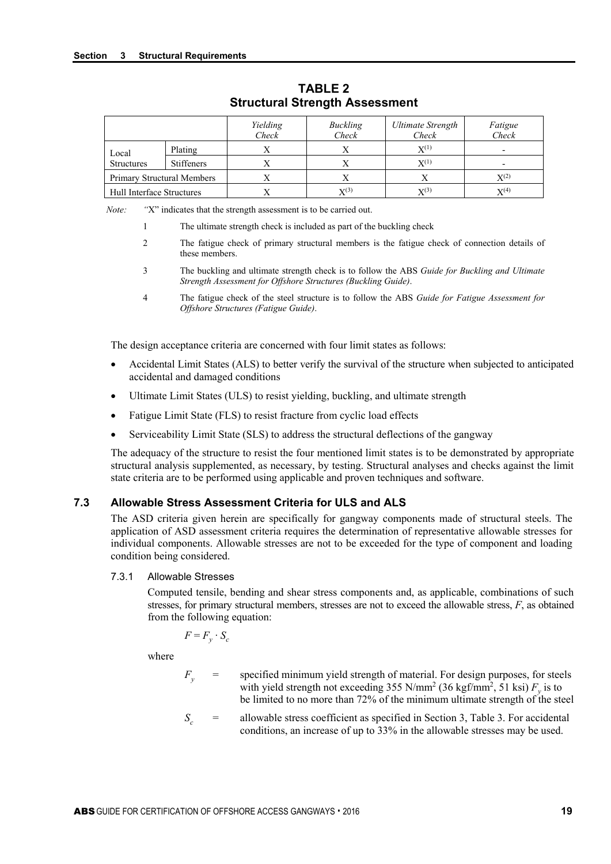|                            |                   | Yielding<br>Check | Buckling<br>Check  | Ultimate Strength<br>Check | Fatigue<br>Check |
|----------------------------|-------------------|-------------------|--------------------|----------------------------|------------------|
| Local                      | Plating           |                   |                    | $X^{(1)}$                  |                  |
| <b>Structures</b>          | <b>Stiffeners</b> |                   |                    | $X^{(1)}$                  |                  |
| Primary Structural Members |                   |                   |                    |                            | $X^{(2)}$        |
| Hull Interface Structures  |                   |                   | $\mathbf{X}^{(3)}$ | $X^{(3)}$                  | $X^{(4)}$        |

**TABLE 2 Structural Strength Assessment** 

*Note:* "X" indicates that the strength assessment is to be carried out.

- 1 The ultimate strength check is included as part of the buckling check
- 2 The fatigue check of primary structural members is the fatigue check of connection details of these members.
- 3 The buckling and ultimate strength check is to follow the ABS *Guide for Buckling and Ultimate Strength Assessment for Offshore Structures (Buckling Guide)*.
- 4 The fatigue check of the steel structure is to follow the ABS *Guide for Fatigue Assessment for Offshore Structures (Fatigue Guide)*.

The design acceptance criteria are concerned with four limit states as follows:

- Accidental Limit States (ALS) to better verify the survival of the structure when subjected to anticipated accidental and damaged conditions
- Ultimate Limit States (ULS) to resist yielding, buckling, and ultimate strength
- Fatigue Limit State (FLS) to resist fracture from cyclic load effects
- Serviceability Limit State (SLS) to address the structural deflections of the gangway

The adequacy of the structure to resist the four mentioned limit states is to be demonstrated by appropriate structural analysis supplemented, as necessary, by testing. Structural analyses and checks against the limit state criteria are to be performed using applicable and proven techniques and software.

## **7.3 Allowable Stress Assessment Criteria for ULS and ALS**

The ASD criteria given herein are specifically for gangway components made of structural steels. The application of ASD assessment criteria requires the determination of representative allowable stresses for individual components. Allowable stresses are not to be exceeded for the type of component and loading condition being considered.

#### 7.3.1 Allowable Stresses

Computed tensile, bending and shear stress components and, as applicable, combinations of such stresses, for primary structural members, stresses are not to exceed the allowable stress, *F*, as obtained from the following equation:

$$
F = F_y \cdot S_c
$$

where

- $F_y$  = specified minimum yield strength of material. For design purposes, for steels with yield strength not exceeding 355 N/mm<sup>2</sup> (36 kgf/mm<sup>2</sup>, 51 ksi)  $F_y$  is to be limited to no more than 72% of the minimum ultimate strength of the steel
- $S_c$  = allowable stress coefficient as specified in Section 3, Table 3. For accidental conditions, an increase of up to 33% in the allowable stresses may be used.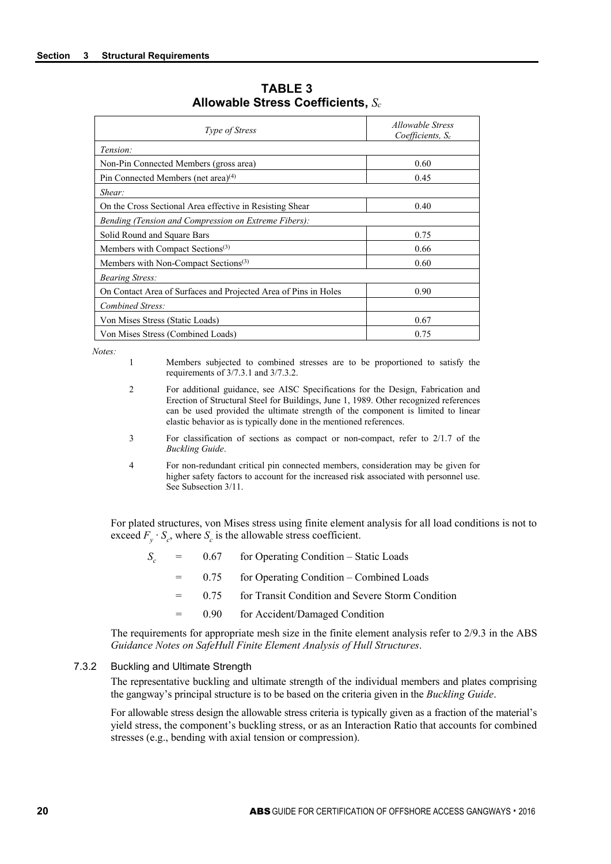| <i>Type of Stress</i>                                           | <i>Allowable Stress</i><br>Coefficients, Sc |
|-----------------------------------------------------------------|---------------------------------------------|
| Tension:                                                        |                                             |
| Non-Pin Connected Members (gross area)                          | 0.60                                        |
| Pin Connected Members (net area) <sup>(4)</sup>                 | 0.45                                        |
| Shear:                                                          |                                             |
| On the Cross Sectional Area effective in Resisting Shear        | 0.40                                        |
| Bending (Tension and Compression on Extreme Fibers):            |                                             |
| Solid Round and Square Bars                                     | 0.75                                        |
| Members with Compact Sections <sup>(3)</sup>                    | 0.66                                        |
| Members with Non-Compact Sections <sup>(3)</sup>                | 0.60                                        |
| <b>Bearing Stress:</b>                                          |                                             |
| On Contact Area of Surfaces and Projected Area of Pins in Holes | 0.90                                        |
| Combined Stress:                                                |                                             |
| Von Mises Stress (Static Loads)                                 | 0.67                                        |
| Von Mises Stress (Combined Loads)                               | 0.75                                        |

**TABLE 3 Allowable Stress Coefficients,** *Sc*

*Notes:*

- 1 Members subjected to combined stresses are to be proportioned to satisfy the requirements of 3/7.3.1 and 3/7.3.2.
- 2 For additional guidance, see AISC Specifications for the Design, Fabrication and Erection of Structural Steel for Buildings, June 1, 1989. Other recognized references can be used provided the ultimate strength of the component is limited to linear elastic behavior as is typically done in the mentioned references.
- 3 For classification of sections as compact or non-compact, refer to 2/1.7 of the *Buckling Guide*.
- 4 For non-redundant critical pin connected members, consideration may be given for higher safety factors to account for the increased risk associated with personnel use. See Subsection 3/11.

For plated structures, von Mises stress using finite element analysis for all load conditions is not to exceed  $F_v \cdot S_c$ , where  $S_c$  is the allowable stress coefficient.

- $S_c$  = 0.67 for Operating Condition Static Loads
	- = 0.75 for Operating Condition Combined Loads
	- = 0.75 for Transit Condition and Severe Storm Condition
	- = 0.90 for Accident/Damaged Condition

The requirements for appropriate mesh size in the finite element analysis refer to 2/9.3 in the ABS *Guidance Notes on SafeHull Finite Element Analysis of Hull Structures*.

#### 7.3.2 Buckling and Ultimate Strength

The representative buckling and ultimate strength of the individual members and plates comprising the gangway's principal structure is to be based on the criteria given in the *Buckling Guide*.

For allowable stress design the allowable stress criteria is typically given as a fraction of the material's yield stress, the component's buckling stress, or as an Interaction Ratio that accounts for combined stresses (e.g., bending with axial tension or compression).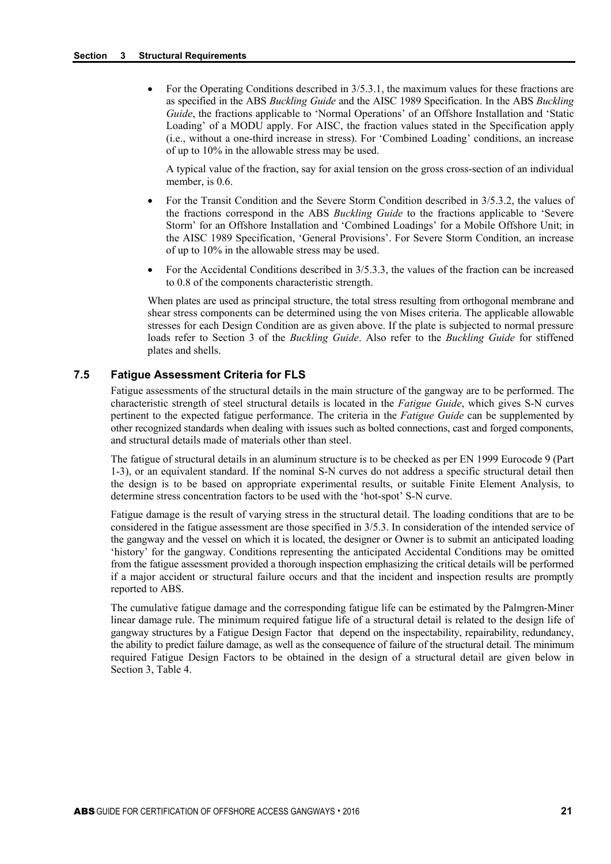• For the Operating Conditions described in 3/5.3.1, the maximum values for these fractions are as specified in the ABS *Buckling Guide* and the AISC 1989 Specification. In the ABS *Buckling Guide*, the fractions applicable to 'Normal Operations' of an Offshore Installation and 'Static Loading' of a MODU apply. For AISC, the fraction values stated in the Specification apply (i.e., without a one-third increase in stress). For 'Combined Loading' conditions, an increase of up to 10% in the allowable stress may be used.

A typical value of the fraction, say for axial tension on the gross cross-section of an individual member, is 0.6.

- For the Transit Condition and the Severe Storm Condition described in 3/5.3.2, the values of the fractions correspond in the ABS *Buckling Guide* to the fractions applicable to 'Severe Storm' for an Offshore Installation and 'Combined Loadings' for a Mobile Offshore Unit; in the AISC 1989 Specification, 'General Provisions'. For Severe Storm Condition, an increase of up to 10% in the allowable stress may be used.
- For the Accidental Conditions described in 3/5.3.3, the values of the fraction can be increased to 0.8 of the components characteristic strength.

When plates are used as principal structure, the total stress resulting from orthogonal membrane and shear stress components can be determined using the von Mises criteria. The applicable allowable stresses for each Design Condition are as given above. If the plate is subjected to normal pressure loads refer to Section 3 of the *Buckling Guide*. Also refer to the *Buckling Guide* for stiffened plates and shells.

#### **7.5 Fatigue Assessment Criteria for FLS**

Fatigue assessments of the structural details in the main structure of the gangway are to be performed. The characteristic strength of steel structural details is located in the *Fatigue Guide*, which gives S-N curves pertinent to the expected fatigue performance. The criteria in the *Fatigue Guide* can be supplemented by other recognized standards when dealing with issues such as bolted connections, cast and forged components, and structural details made of materials other than steel.

The fatigue of structural details in an aluminum structure is to be checked as per EN 1999 Eurocode 9 (Part 1-3), or an equivalent standard. If the nominal S-N curves do not address a specific structural detail then the design is to be based on appropriate experimental results, or suitable Finite Element Analysis, to determine stress concentration factors to be used with the 'hot-spot' S-N curve.

Fatigue damage is the result of varying stress in the structural detail. The loading conditions that are to be considered in the fatigue assessment are those specified in 3/5.3. In consideration of the intended service of the gangway and the vessel on which it is located, the designer or Owner is to submit an anticipated loading 'history' for the gangway. Conditions representing the anticipated Accidental Conditions may be omitted from the fatigue assessment provided a thorough inspection emphasizing the critical details will be performed if a major accident or structural failure occurs and that the incident and inspection results are promptly reported to ABS.

The cumulative fatigue damage and the corresponding fatigue life can be estimated by the Palmgren-Miner linear damage rule. The minimum required fatigue life of a structural detail is related to the design life of gangway structures by a Fatigue Design Factor that depend on the inspectability, repairability, redundancy, the ability to predict failure damage, as well as the consequence of failure of the structural detail. The minimum required Fatigue Design Factors to be obtained in the design of a structural detail are given below in Section 3, Table 4.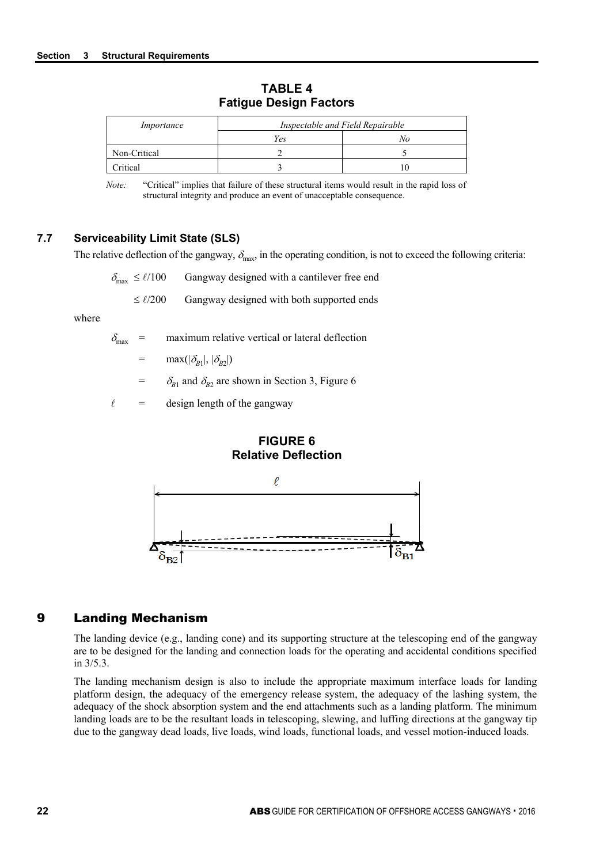| Importance      | Inspectable and Field Repairable |    |  |  |  |
|-----------------|----------------------------------|----|--|--|--|
|                 | Yes                              | vο |  |  |  |
| Non-Critical    |                                  |    |  |  |  |
| <b>Pritical</b> |                                  |    |  |  |  |

**TABLE 4 Fatigue Design Factors**

*Note:* "Critical" implies that failure of these structural items would result in the rapid loss of structural integrity and produce an event of unacceptable consequence.

#### **7.7 Serviceability Limit State (SLS)**

The relative deflection of the gangway,  $\delta_{\text{max}}$ , in the operating condition, is not to exceed the following criteria:

 $\delta_{\text{max}} \leq \ell/100$  Gangway designed with a cantilever free end

 $\leq \ell/200$  Gangway designed with both supported ends

where

 $\delta_{\text{max}}$  = maximum relative vertical or lateral deflection

 $=$  max( $|\delta_{B1}|, |\delta_{B2}|$ )

 $=$   $\delta_{B1}$  and  $\delta_{B2}$  are shown in Section 3, Figure 6

 $\ell$  = design length of the gangway

#### **FIGURE 6 Relative Deflection**



## 9 Landing Mechanism

The landing device (e.g., landing cone) and its supporting structure at the telescoping end of the gangway are to be designed for the landing and connection loads for the operating and accidental conditions specified in 3/5.3.

The landing mechanism design is also to include the appropriate maximum interface loads for landing platform design, the adequacy of the emergency release system, the adequacy of the lashing system, the adequacy of the shock absorption system and the end attachments such as a landing platform. The minimum landing loads are to be the resultant loads in telescoping, slewing, and luffing directions at the gangway tip due to the gangway dead loads, live loads, wind loads, functional loads, and vessel motion-induced loads.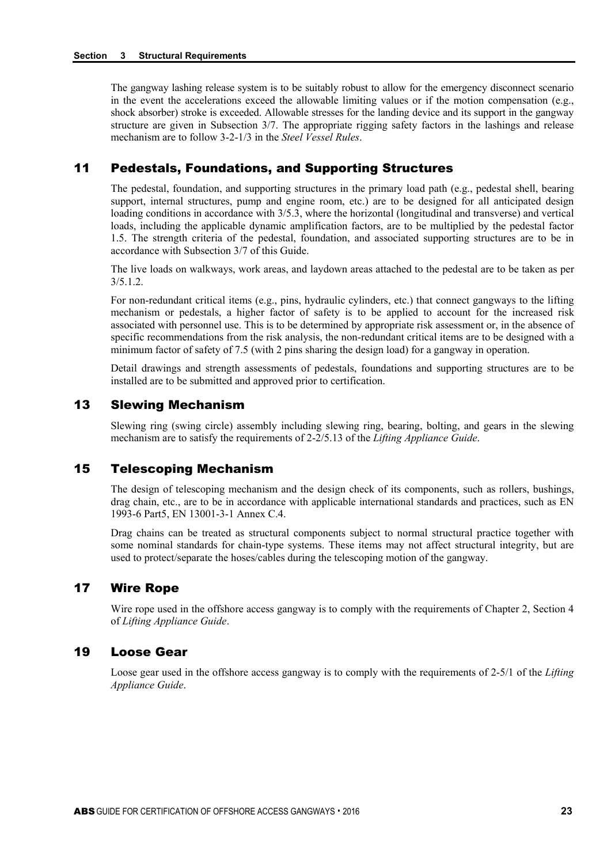The gangway lashing release system is to be suitably robust to allow for the emergency disconnect scenario in the event the accelerations exceed the allowable limiting values or if the motion compensation (e.g., shock absorber) stroke is exceeded. Allowable stresses for the landing device and its support in the gangway structure are given in Subsection 3/7. The appropriate rigging safety factors in the lashings and release mechanism are to follow 3-2-1/3 in the *Steel Vessel Rules*.

## 11 Pedestals, Foundations, and Supporting Structures

The pedestal, foundation, and supporting structures in the primary load path (e.g., pedestal shell, bearing support, internal structures, pump and engine room, etc.) are to be designed for all anticipated design loading conditions in accordance with 3/5.3, where the horizontal (longitudinal and transverse) and vertical loads, including the applicable dynamic amplification factors, are to be multiplied by the pedestal factor 1.5. The strength criteria of the pedestal, foundation, and associated supporting structures are to be in accordance with Subsection 3/7 of this Guide.

The live loads on walkways, work areas, and laydown areas attached to the pedestal are to be taken as per 3/5.1.2.

For non-redundant critical items (e.g., pins, hydraulic cylinders, etc.) that connect gangways to the lifting mechanism or pedestals, a higher factor of safety is to be applied to account for the increased risk associated with personnel use. This is to be determined by appropriate risk assessment or, in the absence of specific recommendations from the risk analysis, the non-redundant critical items are to be designed with a minimum factor of safety of 7.5 (with 2 pins sharing the design load) for a gangway in operation.

Detail drawings and strength assessments of pedestals, foundations and supporting structures are to be installed are to be submitted and approved prior to certification.

## 13 Slewing Mechanism

Slewing ring (swing circle) assembly including slewing ring, bearing, bolting, and gears in the slewing mechanism are to satisfy the requirements of 2-2/5.13 of the *Lifting Appliance Guide*.

## 15 Telescoping Mechanism

The design of telescoping mechanism and the design check of its components, such as rollers, bushings, drag chain, etc., are to be in accordance with applicable international standards and practices, such as EN 1993-6 Part5, EN 13001-3-1 Annex C.4.

Drag chains can be treated as structural components subject to normal structural practice together with some nominal standards for chain-type systems. These items may not affect structural integrity, but are used to protect/separate the hoses/cables during the telescoping motion of the gangway.

## 17 Wire Rope

Wire rope used in the offshore access gangway is to comply with the requirements of Chapter 2, Section 4 of *Lifting Appliance Guide*.

## 19 Loose Gear

Loose gear used in the offshore access gangway is to comply with the requirements of 2-5/1 of the *Lifting Appliance Guide*.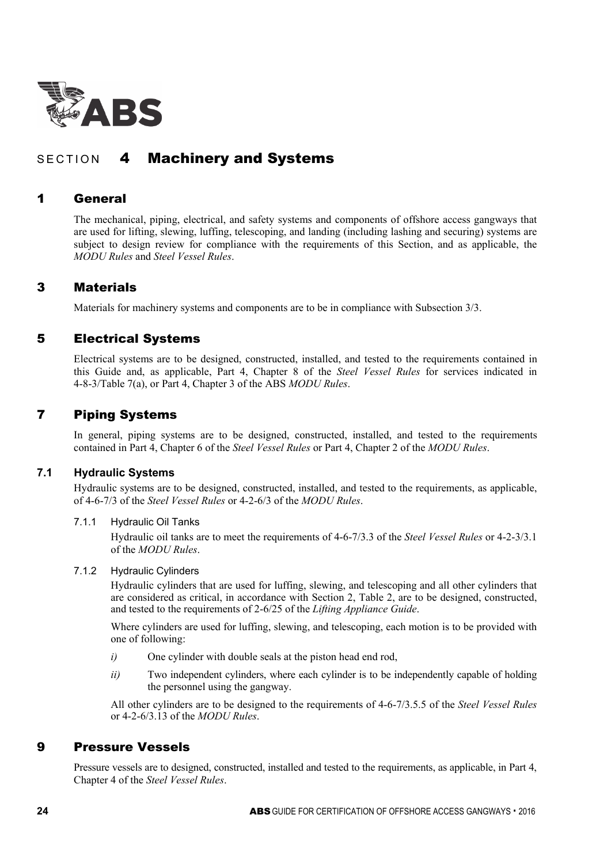

# SECTION 4 Machinery and Systems

## 1 General

The mechanical, piping, electrical, and safety systems and components of offshore access gangways that are used for lifting, slewing, luffing, telescoping, and landing (including lashing and securing) systems are subject to design review for compliance with the requirements of this Section, and as applicable, the *MODU Rules* and *Steel Vessel Rules*.

## 3 Materials

Materials for machinery systems and components are to be in compliance with Subsection 3/3.

## 5 Electrical Systems

Electrical systems are to be designed, constructed, installed, and tested to the requirements contained in this Guide and, as applicable, Part 4, Chapter 8 of the *Steel Vessel Rules* for services indicated in 4-8-3/Table 7(a), or Part 4, Chapter 3 of the ABS *MODU Rules*.

## 7 Piping Systems

In general, piping systems are to be designed, constructed, installed, and tested to the requirements contained in Part 4, Chapter 6 of the *Steel Vessel Rules* or Part 4, Chapter 2 of the *MODU Rules*.

## **7.1 Hydraulic Systems**

Hydraulic systems are to be designed, constructed, installed, and tested to the requirements, as applicable, of 4-6-7/3 of the *Steel Vessel Rules* or 4-2-6/3 of the *MODU Rules*.

#### 7.1.1 Hydraulic Oil Tanks

Hydraulic oil tanks are to meet the requirements of 4-6-7/3.3 of the *Steel Vessel Rules* or 4-2-3/3.1 of the *MODU Rules*.

#### 7.1.2 Hydraulic Cylinders

Hydraulic cylinders that are used for luffing, slewing, and telescoping and all other cylinders that are considered as critical, in accordance with Section 2, Table 2, are to be designed, constructed, and tested to the requirements of 2-6/25 of the *Lifting Appliance Guide*.

Where cylinders are used for luffing, slewing, and telescoping, each motion is to be provided with one of following:

- *i*) One cylinder with double seals at the piston head end rod,
- *ii*) Two independent cylinders, where each cylinder is to be independently capable of holding the personnel using the gangway.

All other cylinders are to be designed to the requirements of 4-6-7/3.5.5 of the *Steel Vessel Rules* or 4-2-6/3.13 of the *MODU Rules*.

## 9 Pressure Vessels

Pressure vessels are to designed, constructed, installed and tested to the requirements, as applicable, in Part 4, Chapter 4 of the *Steel Vessel Rules*.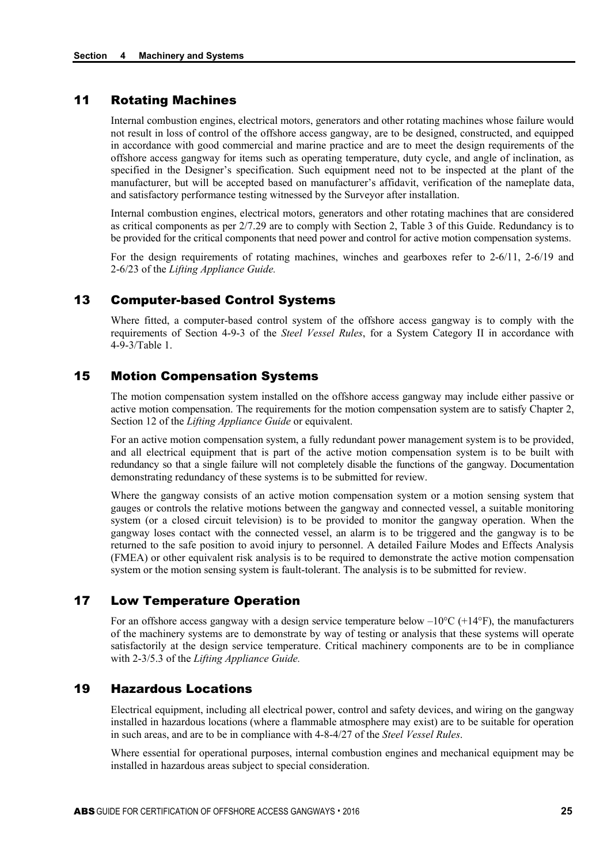## 11 Rotating Machines

Internal combustion engines, electrical motors, generators and other rotating machines whose failure would not result in loss of control of the offshore access gangway, are to be designed, constructed, and equipped in accordance with good commercial and marine practice and are to meet the design requirements of the offshore access gangway for items such as operating temperature, duty cycle, and angle of inclination, as specified in the Designer's specification. Such equipment need not to be inspected at the plant of the manufacturer, but will be accepted based on manufacturer's affidavit, verification of the nameplate data, and satisfactory performance testing witnessed by the Surveyor after installation.

Internal combustion engines, electrical motors, generators and other rotating machines that are considered as critical components as per 2/7.29 are to comply with Section 2, Table 3 of this Guide. Redundancy is to be provided for the critical components that need power and control for active motion compensation systems.

For the design requirements of rotating machines, winches and gearboxes refer to 2-6/11, 2-6/19 and 2-6/23 of the *Lifting Appliance Guide.*

## 13 Computer-based Control Systems

Where fitted, a computer-based control system of the offshore access gangway is to comply with the requirements of Section 4-9-3 of the *Steel Vessel Rules*, for a System Category II in accordance with 4-9-3/Table 1.

## 15 Motion Compensation Systems

The motion compensation system installed on the offshore access gangway may include either passive or active motion compensation. The requirements for the motion compensation system are to satisfy Chapter 2, Section 12 of the *Lifting Appliance Guide* or equivalent.

For an active motion compensation system, a fully redundant power management system is to be provided, and all electrical equipment that is part of the active motion compensation system is to be built with redundancy so that a single failure will not completely disable the functions of the gangway. Documentation demonstrating redundancy of these systems is to be submitted for review.

Where the gangway consists of an active motion compensation system or a motion sensing system that gauges or controls the relative motions between the gangway and connected vessel, a suitable monitoring system (or a closed circuit television) is to be provided to monitor the gangway operation. When the gangway loses contact with the connected vessel, an alarm is to be triggered and the gangway is to be returned to the safe position to avoid injury to personnel. A detailed Failure Modes and Effects Analysis (FMEA) or other equivalent risk analysis is to be required to demonstrate the active motion compensation system or the motion sensing system is fault-tolerant. The analysis is to be submitted for review.

## 17 Low Temperature Operation

For an offshore access gangway with a design service temperature below  $-10^{\circ}C$  (+14 $^{\circ}F$ ), the manufacturers of the machinery systems are to demonstrate by way of testing or analysis that these systems will operate satisfactorily at the design service temperature. Critical machinery components are to be in compliance with 2-3/5.3 of the *Lifting Appliance Guide.*

## 19 Hazardous Locations

Electrical equipment, including all electrical power, control and safety devices, and wiring on the gangway installed in hazardous locations (where a flammable atmosphere may exist) are to be suitable for operation in such areas, and are to be in compliance with 4-8-4/27 of the *Steel Vessel Rules*.

Where essential for operational purposes, internal combustion engines and mechanical equipment may be installed in hazardous areas subject to special consideration.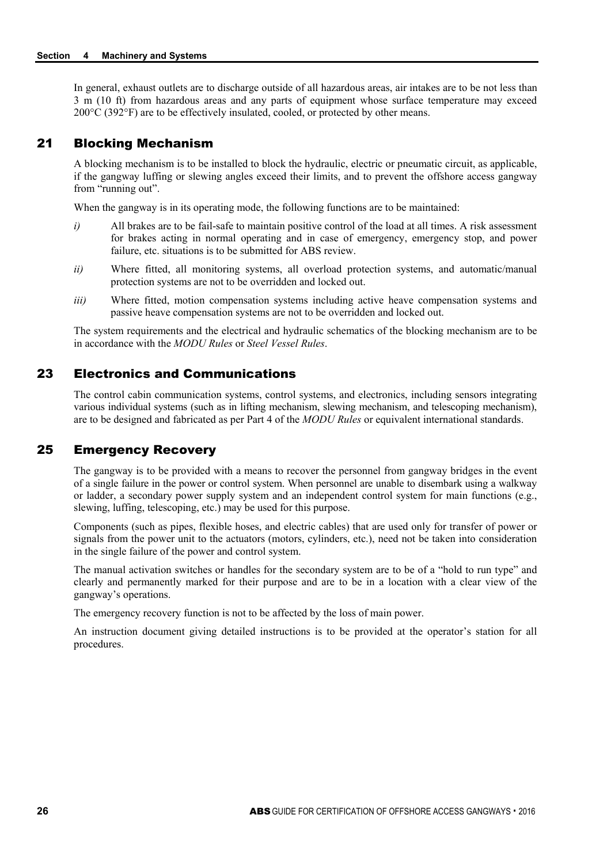In general, exhaust outlets are to discharge outside of all hazardous areas, air intakes are to be not less than 3 m (10 ft) from hazardous areas and any parts of equipment whose surface temperature may exceed 200°C (392°F) are to be effectively insulated, cooled, or protected by other means.

## 21 Blocking Mechanism

A blocking mechanism is to be installed to block the hydraulic, electric or pneumatic circuit, as applicable, if the gangway luffing or slewing angles exceed their limits, and to prevent the offshore access gangway from "running out".

When the gangway is in its operating mode, the following functions are to be maintained:

- *i*) All brakes are to be fail-safe to maintain positive control of the load at all times. A risk assessment for brakes acting in normal operating and in case of emergency, emergency stop, and power failure, etc. situations is to be submitted for ABS review.
- *ii)* Where fitted, all monitoring systems, all overload protection systems, and automatic/manual protection systems are not to be overridden and locked out.
- *iii*) Where fitted, motion compensation systems including active heave compensation systems and passive heave compensation systems are not to be overridden and locked out.

The system requirements and the electrical and hydraulic schematics of the blocking mechanism are to be in accordance with the *MODU Rules* or *Steel Vessel Rules*.

## 23 Electronics and Communications

The control cabin communication systems, control systems, and electronics, including sensors integrating various individual systems (such as in lifting mechanism, slewing mechanism, and telescoping mechanism), are to be designed and fabricated as per Part 4 of the *MODU Rules* or equivalent international standards.

## 25 Emergency Recovery

The gangway is to be provided with a means to recover the personnel from gangway bridges in the event of a single failure in the power or control system. When personnel are unable to disembark using a walkway or ladder, a secondary power supply system and an independent control system for main functions (e.g., slewing, luffing, telescoping, etc.) may be used for this purpose.

Components (such as pipes, flexible hoses, and electric cables) that are used only for transfer of power or signals from the power unit to the actuators (motors, cylinders, etc.), need not be taken into consideration in the single failure of the power and control system.

The manual activation switches or handles for the secondary system are to be of a "hold to run type" and clearly and permanently marked for their purpose and are to be in a location with a clear view of the gangway's operations.

The emergency recovery function is not to be affected by the loss of main power.

An instruction document giving detailed instructions is to be provided at the operator's station for all procedures.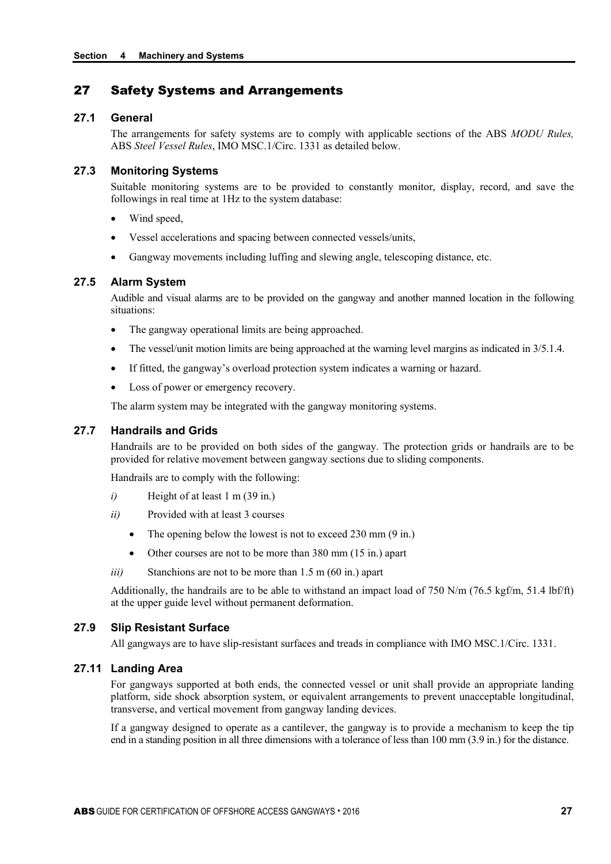## 27 Safety Systems and Arrangements

## **27.1 General**

The arrangements for safety systems are to comply with applicable sections of the ABS *MODU Rules,* ABS *Steel Vessel Rules*, IMO MSC.1/Circ. 1331 as detailed below.

#### **27.3 Monitoring Systems**

Suitable monitoring systems are to be provided to constantly monitor, display, record, and save the followings in real time at 1Hz to the system database:

- Wind speed,
- Vessel accelerations and spacing between connected vessels/units,
- Gangway movements including luffing and slewing angle, telescoping distance, etc.

#### **27.5 Alarm System**

Audible and visual alarms are to be provided on the gangway and another manned location in the following situations:

- The gangway operational limits are being approached.
- The vessel/unit motion limits are being approached at the warning level margins as indicated in 3/5.1.4.
- If fitted, the gangway's overload protection system indicates a warning or hazard.
- Loss of power or emergency recovery.

The alarm system may be integrated with the gangway monitoring systems.

#### **27.7 Handrails and Grids**

Handrails are to be provided on both sides of the gangway. The protection grids or handrails are to be provided for relative movement between gangway sections due to sliding components.

Handrails are to comply with the following:

- *i*) Height of at least 1 m (39 in.)
- *ii)* Provided with at least 3 courses
	- The opening below the lowest is not to exceed 230 mm (9 in.)
	- Other courses are not to be more than 380 mm (15 in.) apart
- *iii*) Stanchions are not to be more than 1.5 m (60 in.) apart

Additionally, the handrails are to be able to withstand an impact load of 750 N/m (76.5 kgf/m, 51.4 lbf/ft) at the upper guide level without permanent deformation.

## **27.9 Slip Resistant Surface**

All gangways are to have slip-resistant surfaces and treads in compliance with IMO MSC.1/Circ. 1331.

#### **27.11 Landing Area**

For gangways supported at both ends, the connected vessel or unit shall provide an appropriate landing platform, side shock absorption system, or equivalent arrangements to prevent unacceptable longitudinal, transverse, and vertical movement from gangway landing devices.

If a gangway designed to operate as a cantilever, the gangway is to provide a mechanism to keep the tip end in a standing position in all three dimensions with a tolerance of less than 100 mm (3.9 in.) for the distance.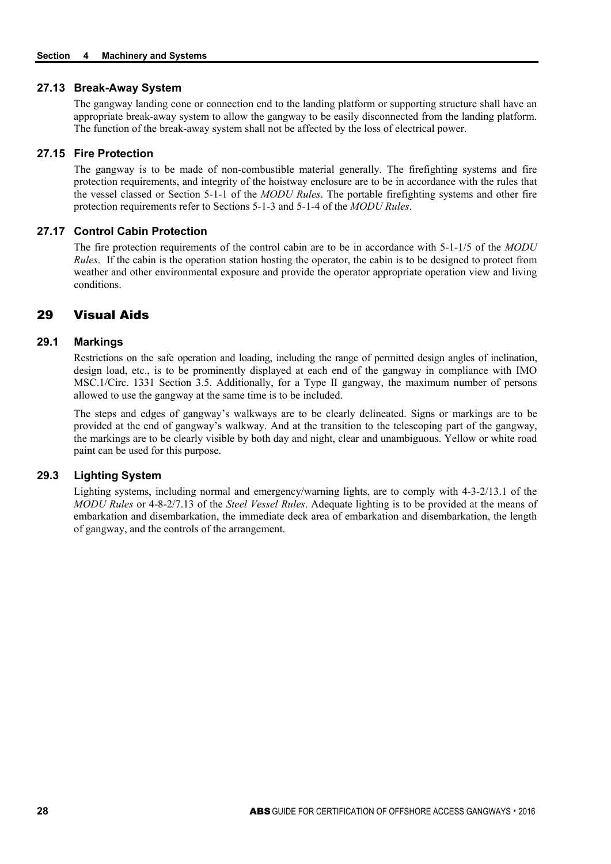#### **27.13 Break-Away System**

The gangway landing cone or connection end to the landing platform or supporting structure shall have an appropriate break-away system to allow the gangway to be easily disconnected from the landing platform. The function of the break-away system shall not be affected by the loss of electrical power.

#### **27.15 Fire Protection**

The gangway is to be made of non-combustible material generally. The firefighting systems and fire protection requirements, and integrity of the hoistway enclosure are to be in accordance with the rules that the vessel classed or Section 5-1-1 of the *MODU Rules*. The portable firefighting systems and other fire protection requirements refer to Sections 5-1-3 and 5-1-4 of the *MODU Rules*.

## **27.17 Control Cabin Protection**

The fire protection requirements of the control cabin are to be in accordance with 5-1-1/5 of the *MODU Rules*. If the cabin is the operation station hosting the operator, the cabin is to be designed to protect from weather and other environmental exposure and provide the operator appropriate operation view and living conditions.

## 29 Visual Aids

## **29.1 Markings**

Restrictions on the safe operation and loading, including the range of permitted design angles of inclination, design load, etc., is to be prominently displayed at each end of the gangway in compliance with IMO MSC.1/Circ. 1331 Section 3.5. Additionally, for a Type II gangway, the maximum number of persons allowed to use the gangway at the same time is to be included.

The steps and edges of gangway's walkways are to be clearly delineated. Signs or markings are to be provided at the end of gangway's walkway. And at the transition to the telescoping part of the gangway, the markings are to be clearly visible by both day and night, clear and unambiguous. Yellow or white road paint can be used for this purpose.

#### **29.3 Lighting System**

Lighting systems, including normal and emergency/warning lights, are to comply with 4-3-2/13.1 of the *MODU Rules* or 4-8-2/7.13 of the *Steel Vessel Rules*. Adequate lighting is to be provided at the means of embarkation and disembarkation, the immediate deck area of embarkation and disembarkation, the length of gangway, and the controls of the arrangement.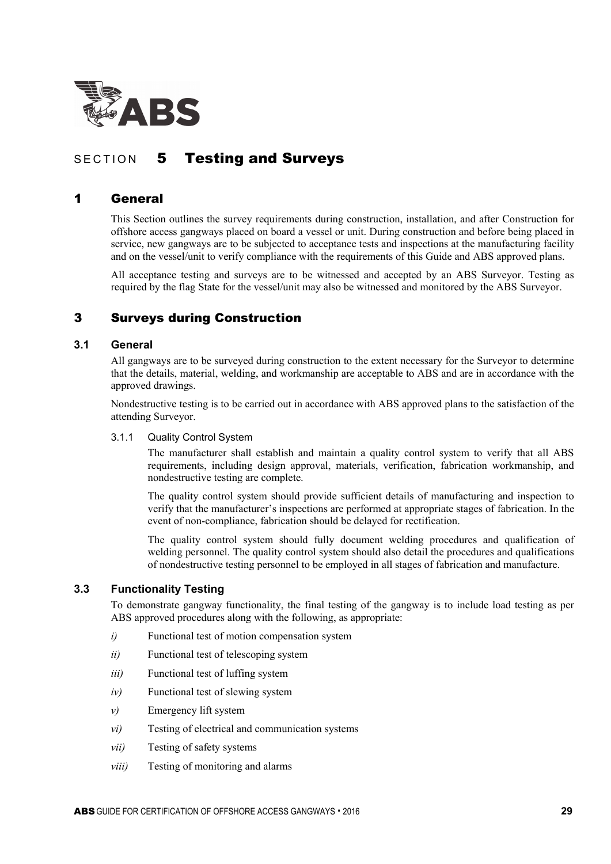

# SECTION 5 Testing and Surveys

## 1 General

This Section outlines the survey requirements during construction, installation, and after Construction for offshore access gangways placed on board a vessel or unit. During construction and before being placed in service, new gangways are to be subjected to acceptance tests and inspections at the manufacturing facility and on the vessel/unit to verify compliance with the requirements of this Guide and ABS approved plans.

All acceptance testing and surveys are to be witnessed and accepted by an ABS Surveyor. Testing as required by the flag State for the vessel/unit may also be witnessed and monitored by the ABS Surveyor.

## 3 Surveys during Construction

## **3.1 General**

All gangways are to be surveyed during construction to the extent necessary for the Surveyor to determine that the details, material, welding, and workmanship are acceptable to ABS and are in accordance with the approved drawings.

Nondestructive testing is to be carried out in accordance with ABS approved plans to the satisfaction of the attending Surveyor.

#### 3.1.1 Quality Control System

The manufacturer shall establish and maintain a quality control system to verify that all ABS requirements, including design approval, materials, verification, fabrication workmanship, and nondestructive testing are complete.

The quality control system should provide sufficient details of manufacturing and inspection to verify that the manufacturer's inspections are performed at appropriate stages of fabrication. In the event of non-compliance, fabrication should be delayed for rectification.

The quality control system should fully document welding procedures and qualification of welding personnel. The quality control system should also detail the procedures and qualifications of nondestructive testing personnel to be employed in all stages of fabrication and manufacture.

## **3.3 Functionality Testing**

To demonstrate gangway functionality, the final testing of the gangway is to include load testing as per ABS approved procedures along with the following, as appropriate:

- *i*) Functional test of motion compensation system
- *ii*) Functional test of telescoping system
- *iii*) Functional test of luffing system
- *iv*) Functional test of slewing system
- *v*) Emergency lift system
- *vi*) Testing of electrical and communication systems
- *vii*) Testing of safety systems
- *viii*) Testing of monitoring and alarms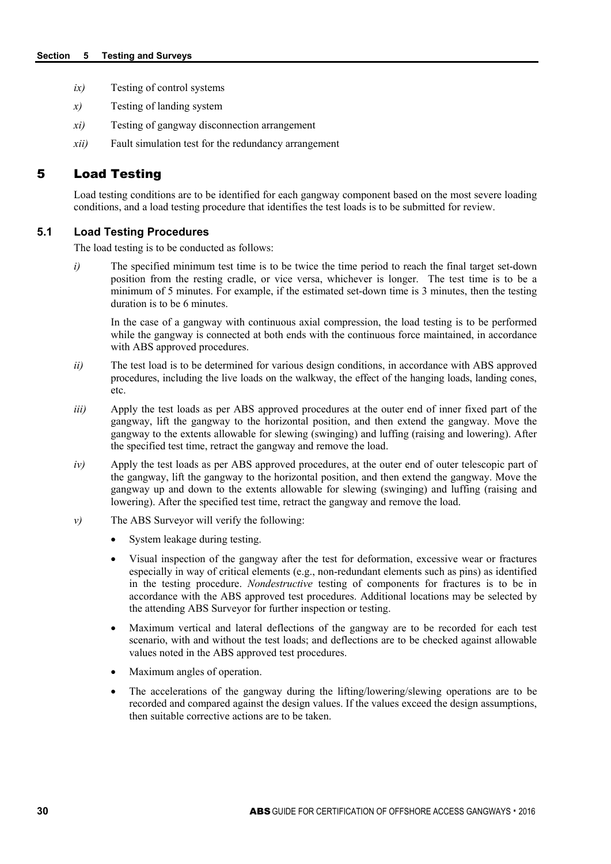- *ix)* Testing of control systems
- *x)* Testing of landing system
- *xi)* Testing of gangway disconnection arrangement
- *xii)* Fault simulation test for the redundancy arrangement

## 5 Load Testing

Load testing conditions are to be identified for each gangway component based on the most severe loading conditions, and a load testing procedure that identifies the test loads is to be submitted for review.

## **5.1 Load Testing Procedures**

The load testing is to be conducted as follows:

*i*) The specified minimum test time is to be twice the time period to reach the final target set-down position from the resting cradle, or vice versa, whichever is longer. The test time is to be a minimum of 5 minutes. For example, if the estimated set-down time is 3 minutes, then the testing duration is to be 6 minutes.

In the case of a gangway with continuous axial compression, the load testing is to be performed while the gangway is connected at both ends with the continuous force maintained, in accordance with ABS approved procedures.

- *ii*) The test load is to be determined for various design conditions, in accordance with ABS approved procedures, including the live loads on the walkway, the effect of the hanging loads, landing cones, etc.
- *iii*) Apply the test loads as per ABS approved procedures at the outer end of inner fixed part of the gangway, lift the gangway to the horizontal position, and then extend the gangway. Move the gangway to the extents allowable for slewing (swinging) and luffing (raising and lowering). After the specified test time, retract the gangway and remove the load.
- *iv*) Apply the test loads as per ABS approved procedures, at the outer end of outer telescopic part of the gangway, lift the gangway to the horizontal position, and then extend the gangway. Move the gangway up and down to the extents allowable for slewing (swinging) and luffing (raising and lowering). After the specified test time, retract the gangway and remove the load.
- *v*) The ABS Surveyor will verify the following:
	- System leakage during testing.
	- Visual inspection of the gangway after the test for deformation, excessive wear or fractures especially in way of critical elements (e.g., non-redundant elements such as pins) as identified in the testing procedure. *Nondestructive* testing of components for fractures is to be in accordance with the ABS approved test procedures. Additional locations may be selected by the attending ABS Surveyor for further inspection or testing.
	- Maximum vertical and lateral deflections of the gangway are to be recorded for each test scenario, with and without the test loads; and deflections are to be checked against allowable values noted in the ABS approved test procedures.
	- Maximum angles of operation.
	- The accelerations of the gangway during the lifting/lowering/slewing operations are to be recorded and compared against the design values. If the values exceed the design assumptions, then suitable corrective actions are to be taken.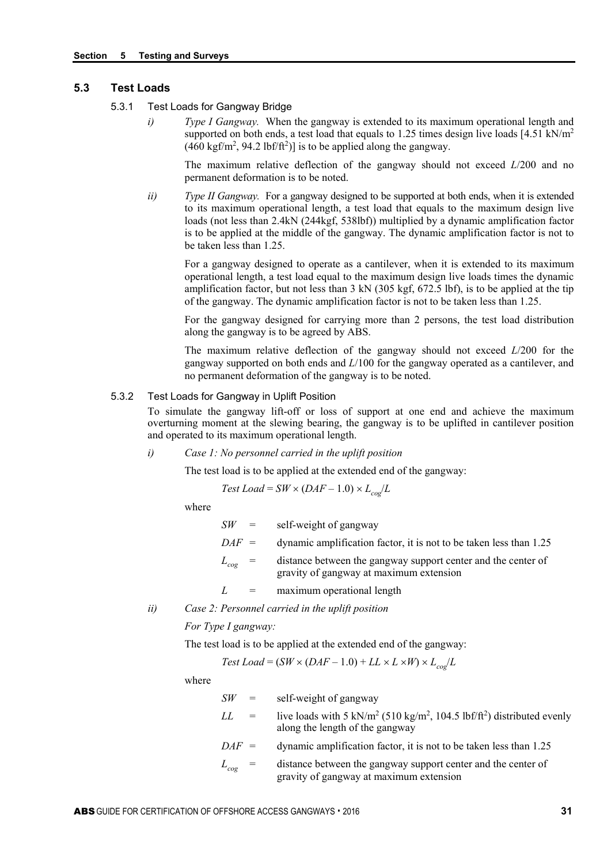#### **5.3 Test Loads**

- 5.3.1 Test Loads for Gangway Bridge
	- *i*) *Type I Gangway.* When the gangway is extended to its maximum operational length and supported on both ends, a test load that equals to 1.25 times design live loads [4.51 kN/m<sup>2</sup>  $(460 \text{ kgf/m}^2, 94.2 \text{ lbf/ft}^2)]$  is to be applied along the gangway.

The maximum relative deflection of the gangway should not exceed *L*/200 and no permanent deformation is to be noted.

*ii*) *Type II Gangway.* For a gangway designed to be supported at both ends, when it is extended to its maximum operational length, a test load that equals to the maximum design live loads (not less than 2.4kN (244kgf, 538lbf)) multiplied by a dynamic amplification factor is to be applied at the middle of the gangway. The dynamic amplification factor is not to be taken less than 1.25.

For a gangway designed to operate as a cantilever, when it is extended to its maximum operational length, a test load equal to the maximum design live loads times the dynamic amplification factor, but not less than 3 kN (305 kgf, 672.5 lbf), is to be applied at the tip of the gangway. The dynamic amplification factor is not to be taken less than 1.25.

For the gangway designed for carrying more than 2 persons, the test load distribution along the gangway is to be agreed by ABS.

The maximum relative deflection of the gangway should not exceed *L*/200 for the gangway supported on both ends and *L*/100 for the gangway operated as a cantilever, and no permanent deformation of the gangway is to be noted.

#### 5.3.2 Test Loads for Gangway in Uplift Position

To simulate the gangway lift-off or loss of support at one end and achieve the maximum overturning moment at the slewing bearing, the gangway is to be uplifted in cantilever position and operated to its maximum operational length.

*i) Case 1: No personnel carried in the uplift position*

The test load is to be applied at the extended end of the gangway:

Test Load = SW × 
$$
(DAF - 1.0) \times L_{cog}/L
$$

where

| $SW =$      | self-weight of gangway                                                                                   |
|-------------|----------------------------------------------------------------------------------------------------------|
| $DAF =$     | dynamic amplification factor, it is not to be taken less than 1.25                                       |
| $L_{cog}$ = | distance between the gangway support center and the center of<br>gravity of gangway at maximum extension |
|             | maximum operational length                                                                               |

*ii) Case 2: Personnel carried in the uplift position*

*For Type I gangway:*

The test load is to be applied at the extended end of the gangway:

Test Load = 
$$
(SW \times (DAF - 1.0) + LL \times L \times W) \times L_{cog}/L
$$

where

| -SW         | $=$               | self-weight of gangway                                                                                                                         |
|-------------|-------------------|------------------------------------------------------------------------------------------------------------------------------------------------|
| LL.         | $\alpha = \alpha$ | live loads with 5 kN/m <sup>2</sup> (510 kg/m <sup>2</sup> , 104.5 lbf/ft <sup>2</sup> ) distributed evenly<br>along the length of the gangway |
| $DAF =$     |                   | dynamic amplification factor, it is not to be taken less than 1.25                                                                             |
| $L_{cog}$ = |                   | distance between the gangway support center and the center of<br>gravity of gangway at maximum extension                                       |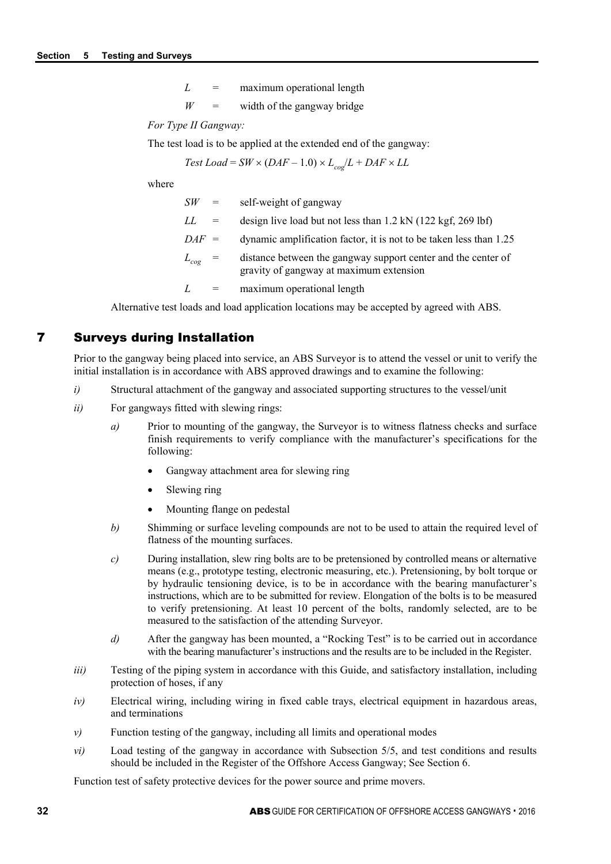*L* = maximum operational length

 $W =$  width of the gangway bridge

*For Type II Gangway:*

The test load is to be applied at the extended end of the gangway:

 $Test$  *Load* =  $SW \times (DAF - 1.0) \times L_{co} / L + DAF \times LL$ 

where

| SW          | $\alpha = 1$ | self-weight of gangway                                                                                   |
|-------------|--------------|----------------------------------------------------------------------------------------------------------|
| LL          | $\alpha = 1$ | design live load but not less than 1.2 kN (122 kgf, 269 lbf)                                             |
| $DAF =$     |              | dynamic amplification factor, it is not to be taken less than 1.25                                       |
| $L_{cog}$ = |              | distance between the gangway support center and the center of<br>gravity of gangway at maximum extension |
| L           |              | maximum operational length                                                                               |

Alternative test loads and load application locations may be accepted by agreed with ABS.

## 7 Surveys during Installation

Prior to the gangway being placed into service, an ABS Surveyor is to attend the vessel or unit to verify the initial installation is in accordance with ABS approved drawings and to examine the following:

- *i*) Structural attachment of the gangway and associated supporting structures to the vessel/unit
- *ii*) For gangways fitted with slewing rings:
	- *a*) Prior to mounting of the gangway, the Surveyor is to witness flatness checks and surface finish requirements to verify compliance with the manufacturer's specifications for the following:
		- Gangway attachment area for slewing ring
		- Slewing ring
		- Mounting flange on pedestal
	- *b)* Shimming or surface leveling compounds are not to be used to attain the required level of flatness of the mounting surfaces.
	- *c)* During installation, slew ring bolts are to be pretensioned by controlled means or alternative means (e.g., prototype testing, electronic measuring, etc.). Pretensioning, by bolt torque or by hydraulic tensioning device, is to be in accordance with the bearing manufacturer's instructions, which are to be submitted for review. Elongation of the bolts is to be measured to verify pretensioning. At least 10 percent of the bolts, randomly selected, are to be measured to the satisfaction of the attending Surveyor.
	- *d)* After the gangway has been mounted, a "Rocking Test" is to be carried out in accordance with the bearing manufacturer's instructions and the results are to be included in the Register.
- *iii*) Testing of the piping system in accordance with this Guide, and satisfactory installation, including protection of hoses, if any
- *iv*) Electrical wiring, including wiring in fixed cable trays, electrical equipment in hazardous areas, and terminations
- *v*) Function testing of the gangway, including all limits and operational modes
- *vi*) Load testing of the gangway in accordance with Subsection 5/5, and test conditions and results should be included in the Register of the Offshore Access Gangway; See Section 6.

Function test of safety protective devices for the power source and prime movers.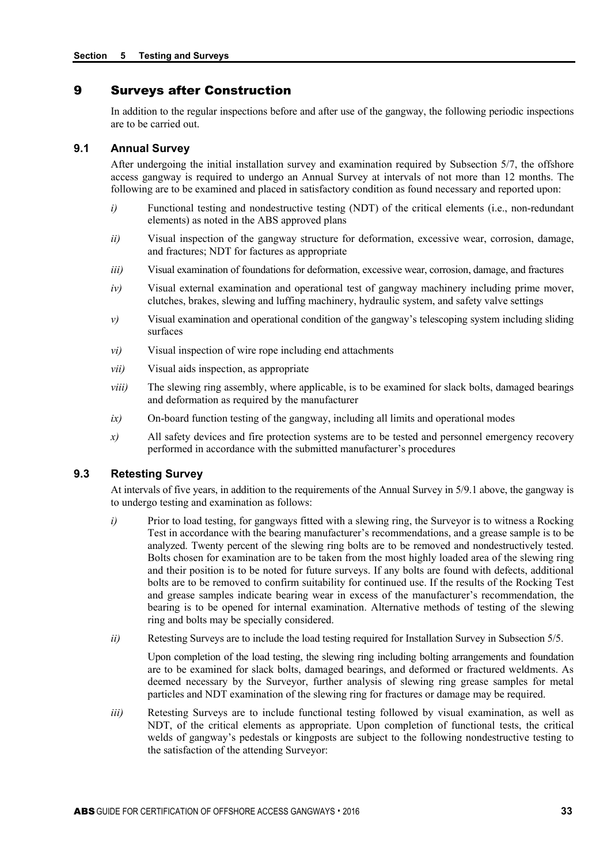## 9 Surveys after Construction

In addition to the regular inspections before and after use of the gangway, the following periodic inspections are to be carried out.

#### **9.1 Annual Survey**

After undergoing the initial installation survey and examination required by Subsection 5/7, the offshore access gangway is required to undergo an Annual Survey at intervals of not more than 12 months. The following are to be examined and placed in satisfactory condition as found necessary and reported upon:

- *i*) Functional testing and nondestructive testing (NDT) of the critical elements (i.e., non-redundant elements) as noted in the ABS approved plans
- *ii*) Visual inspection of the gangway structure for deformation, excessive wear, corrosion, damage, and fractures; NDT for factures as appropriate
- *iii*) Visual examination of foundations for deformation, excessive wear, corrosion, damage, and fractures
- *iv*) Visual external examination and operational test of gangway machinery including prime mover, clutches, brakes, slewing and luffing machinery, hydraulic system, and safety valve settings
- *v*) Visual examination and operational condition of the gangway's telescoping system including sliding surfaces
- *vi)* Visual inspection of wire rope including end attachments
- *vii)* Visual aids inspection, as appropriate
- *viii*) The slewing ring assembly, where applicable, is to be examined for slack bolts, damaged bearings and deformation as required by the manufacturer
- *ix)* On-board function testing of the gangway, including all limits and operational modes
- *x)* All safety devices and fire protection systems are to be tested and personnel emergency recovery performed in accordance with the submitted manufacturer's procedures

#### **9.3 Retesting Survey**

At intervals of five years, in addition to the requirements of the Annual Survey in 5/9.1 above, the gangway is to undergo testing and examination as follows:

- *i*) Prior to load testing, for gangways fitted with a slewing ring, the Surveyor is to witness a Rocking Test in accordance with the bearing manufacturer's recommendations, and a grease sample is to be analyzed. Twenty percent of the slewing ring bolts are to be removed and nondestructively tested. Bolts chosen for examination are to be taken from the most highly loaded area of the slewing ring and their position is to be noted for future surveys. If any bolts are found with defects, additional bolts are to be removed to confirm suitability for continued use. If the results of the Rocking Test and grease samples indicate bearing wear in excess of the manufacturer's recommendation, the bearing is to be opened for internal examination. Alternative methods of testing of the slewing ring and bolts may be specially considered.
- *ii*) Retesting Surveys are to include the load testing required for Installation Survey in Subsection 5/5.

Upon completion of the load testing, the slewing ring including bolting arrangements and foundation are to be examined for slack bolts, damaged bearings, and deformed or fractured weldments. As deemed necessary by the Surveyor, further analysis of slewing ring grease samples for metal particles and NDT examination of the slewing ring for fractures or damage may be required.

*iii*) Retesting Surveys are to include functional testing followed by visual examination, as well as NDT, of the critical elements as appropriate. Upon completion of functional tests, the critical welds of gangway's pedestals or kingposts are subject to the following nondestructive testing to the satisfaction of the attending Surveyor: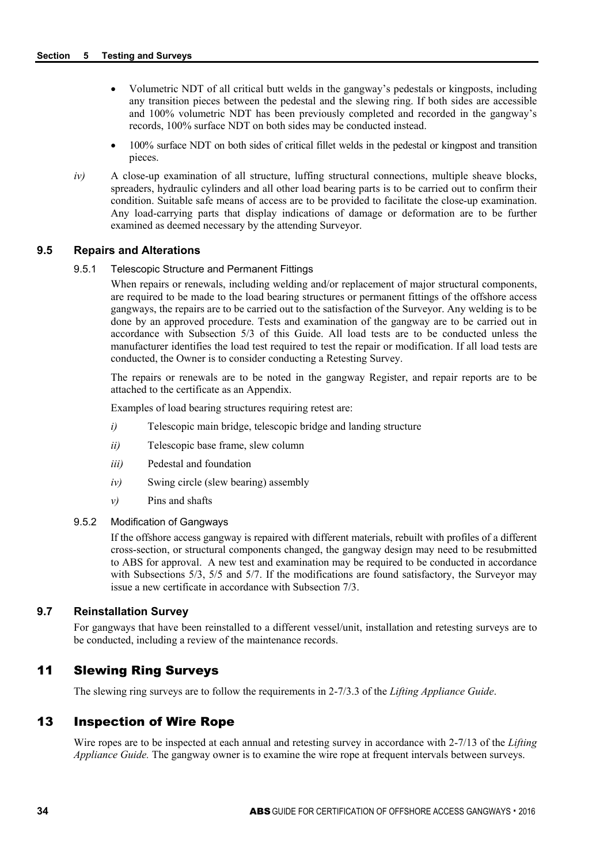- Volumetric NDT of all critical butt welds in the gangway's pedestals or kingposts, including any transition pieces between the pedestal and the slewing ring. If both sides are accessible and 100% volumetric NDT has been previously completed and recorded in the gangway's records, 100% surface NDT on both sides may be conducted instead.
- 100% surface NDT on both sides of critical fillet welds in the pedestal or kingpost and transition pieces.
- *iv*) A close-up examination of all structure, luffing structural connections, multiple sheave blocks, spreaders, hydraulic cylinders and all other load bearing parts is to be carried out to confirm their condition. Suitable safe means of access are to be provided to facilitate the close-up examination. Any load-carrying parts that display indications of damage or deformation are to be further examined as deemed necessary by the attending Surveyor.

#### **9.5 Repairs and Alterations**

#### 9.5.1 Telescopic Structure and Permanent Fittings

When repairs or renewals, including welding and/or replacement of major structural components, are required to be made to the load bearing structures or permanent fittings of the offshore access gangways, the repairs are to be carried out to the satisfaction of the Surveyor. Any welding is to be done by an approved procedure. Tests and examination of the gangway are to be carried out in accordance with Subsection 5/3 of this Guide. All load tests are to be conducted unless the manufacturer identifies the load test required to test the repair or modification. If all load tests are conducted, the Owner is to consider conducting a Retesting Survey.

The repairs or renewals are to be noted in the gangway Register, and repair reports are to be attached to the certificate as an Appendix.

Examples of load bearing structures requiring retest are:

- *i*) Telescopic main bridge, telescopic bridge and landing structure
- *ii)* Telescopic base frame, slew column
- *iii)* Pedestal and foundation
- *iv)* Swing circle (slew bearing) assembly
- *v)* Pins and shafts

## 9.5.2 Modification of Gangways

If the offshore access gangway is repaired with different materials, rebuilt with profiles of a different cross-section, or structural components changed, the gangway design may need to be resubmitted to ABS for approval. A new test and examination may be required to be conducted in accordance with Subsections 5/3, 5/5 and 5/7. If the modifications are found satisfactory, the Surveyor may issue a new certificate in accordance with Subsection 7/3.

## **9.7 Reinstallation Survey**

For gangways that have been reinstalled to a different vessel/unit, installation and retesting surveys are to be conducted, including a review of the maintenance records.

## 11 Slewing Ring Surveys

The slewing ring surveys are to follow the requirements in 2-7/3.3 of the *Lifting Appliance Guide*.

## 13 Inspection of Wire Rope

Wire ropes are to be inspected at each annual and retesting survey in accordance with 2-7/13 of the *Lifting Appliance Guide.* The gangway owner is to examine the wire rope at frequent intervals between surveys.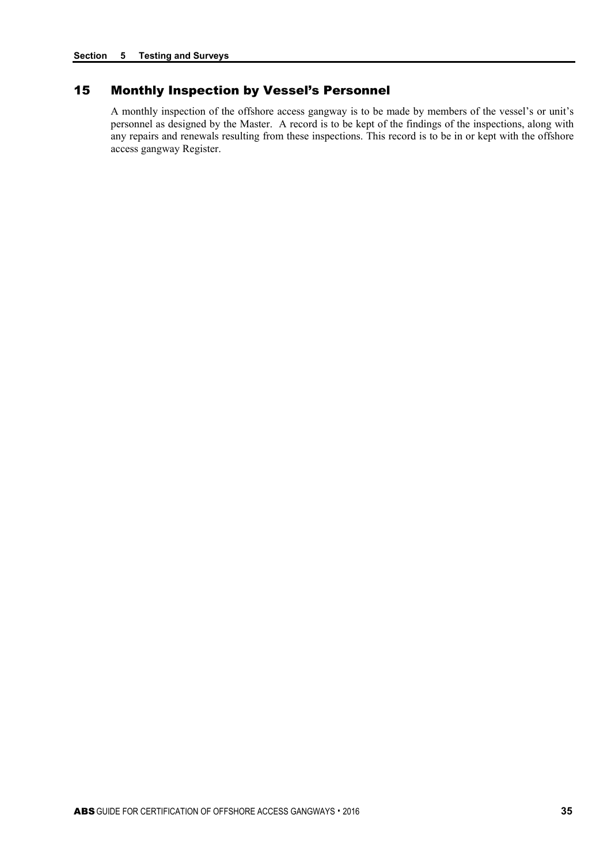## 15 Monthly Inspection by Vessel's Personnel

A monthly inspection of the offshore access gangway is to be made by members of the vessel's or unit's personnel as designed by the Master. A record is to be kept of the findings of the inspections, along with any repairs and renewals resulting from these inspections. This record is to be in or kept with the offshore access gangway Register.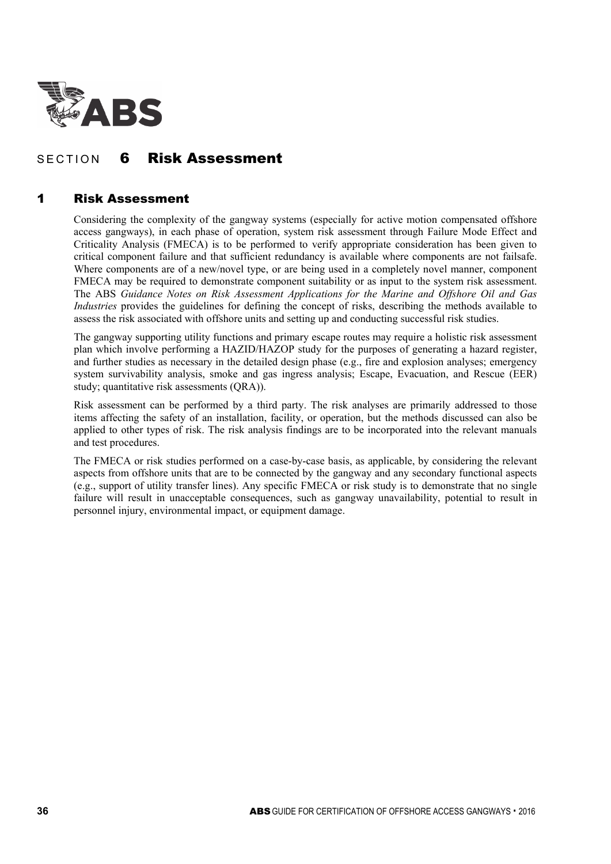

# SECTION 6 Risk Assessment

## 1 Risk Assessment

Considering the complexity of the gangway systems (especially for active motion compensated offshore access gangways), in each phase of operation, system risk assessment through Failure Mode Effect and Criticality Analysis (FMECA) is to be performed to verify appropriate consideration has been given to critical component failure and that sufficient redundancy is available where components are not failsafe. Where components are of a new/novel type, or are being used in a completely novel manner, component FMECA may be required to demonstrate component suitability or as input to the system risk assessment. The ABS *Guidance Notes on Risk Assessment Applications for the Marine and Offshore Oil and Gas Industries* provides the guidelines for defining the concept of risks, describing the methods available to assess the risk associated with offshore units and setting up and conducting successful risk studies.

The gangway supporting utility functions and primary escape routes may require a holistic risk assessment plan which involve performing a HAZID/HAZOP study for the purposes of generating a hazard register, and further studies as necessary in the detailed design phase (e.g., fire and explosion analyses; emergency system survivability analysis, smoke and gas ingress analysis; Escape, Evacuation, and Rescue (EER) study; quantitative risk assessments (QRA)).

Risk assessment can be performed by a third party. The risk analyses are primarily addressed to those items affecting the safety of an installation, facility, or operation, but the methods discussed can also be applied to other types of risk. The risk analysis findings are to be incorporated into the relevant manuals and test procedures.

The FMECA or risk studies performed on a case-by-case basis, as applicable, by considering the relevant aspects from offshore units that are to be connected by the gangway and any secondary functional aspects (e.g., support of utility transfer lines). Any specific FMECA or risk study is to demonstrate that no single failure will result in unacceptable consequences, such as gangway unavailability, potential to result in personnel injury, environmental impact, or equipment damage.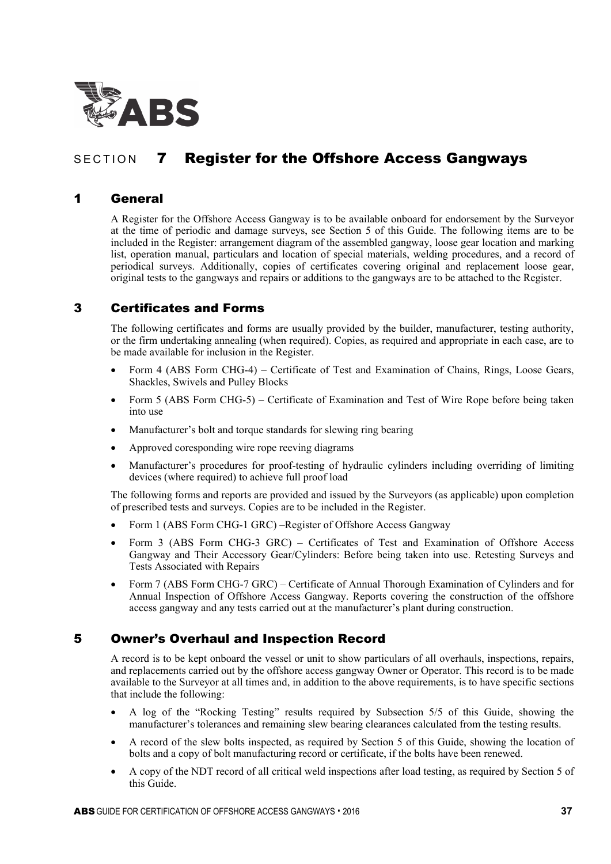

# SECTION 7 Register for the Offshore Access Gangways

## 1 General

A Register for the Offshore Access Gangway is to be available onboard for endorsement by the Surveyor at the time of periodic and damage surveys, see Section 5 of this Guide. The following items are to be included in the Register: arrangement diagram of the assembled gangway, loose gear location and marking list, operation manual, particulars and location of special materials, welding procedures, and a record of periodical surveys. Additionally, copies of certificates covering original and replacement loose gear, original tests to the gangways and repairs or additions to the gangways are to be attached to the Register.

## 3 Certificates and Forms

The following certificates and forms are usually provided by the builder, manufacturer, testing authority, or the firm undertaking annealing (when required). Copies, as required and appropriate in each case, are to be made available for inclusion in the Register.

- Form 4 (ABS Form CHG-4) Certificate of Test and Examination of Chains, Rings, Loose Gears, Shackles, Swivels and Pulley Blocks
- Form 5 (ABS Form CHG-5) Certificate of Examination and Test of Wire Rope before being taken into use
- Manufacturer's bolt and torque standards for slewing ring bearing
- Approved coresponding wire rope reeving diagrams
- Manufacturer's procedures for proof-testing of hydraulic cylinders including overriding of limiting devices (where required) to achieve full proof load

The following forms and reports are provided and issued by the Surveyors (as applicable) upon completion of prescribed tests and surveys. Copies are to be included in the Register.

- Form 1 (ABS Form CHG-1 GRC) –Register of Offshore Access Gangway
- Form 3 (ABS Form CHG-3 GRC) Certificates of Test and Examination of Offshore Access Gangway and Their Accessory Gear/Cylinders: Before being taken into use. Retesting Surveys and Tests Associated with Repairs
- Form 7 (ABS Form CHG-7 GRC) Certificate of Annual Thorough Examination of Cylinders and for Annual Inspection of Offshore Access Gangway. Reports covering the construction of the offshore access gangway and any tests carried out at the manufacturer's plant during construction.

## 5 Owner's Overhaul and Inspection Record

A record is to be kept onboard the vessel or unit to show particulars of all overhauls, inspections, repairs, and replacements carried out by the offshore access gangway Owner or Operator. This record is to be made available to the Surveyor at all times and, in addition to the above requirements, is to have specific sections that include the following:

- A log of the "Rocking Testing" results required by Subsection 5/5 of this Guide, showing the manufacturer's tolerances and remaining slew bearing clearances calculated from the testing results.
- A record of the slew bolts inspected, as required by Section 5 of this Guide, showing the location of bolts and a copy of bolt manufacturing record or certificate, if the bolts have been renewed.
- A copy of the NDT record of all critical weld inspections after load testing, as required by Section 5 of this Guide.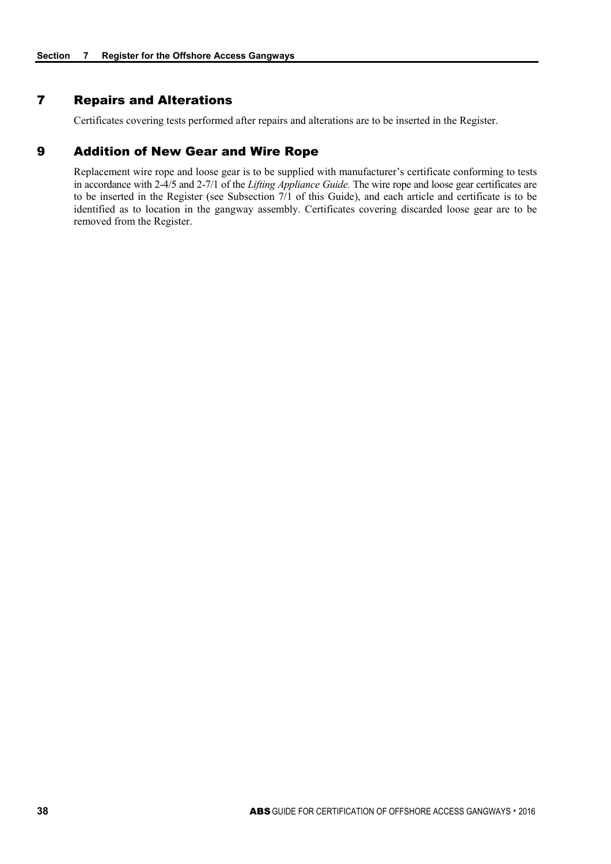## 7 Repairs and Alterations

Certificates covering tests performed after repairs and alterations are to be inserted in the Register.

## 9 Addition of New Gear and Wire Rope

Replacement wire rope and loose gear is to be supplied with manufacturer's certificate conforming to tests in accordance with 2-4/5 and 2-7/1 of the *Lifting Appliance Guide.* The wire rope and loose gear certificates are to be inserted in the Register (see Subsection 7/1 of this Guide), and each article and certificate is to be identified as to location in the gangway assembly. Certificates covering discarded loose gear are to be removed from the Register.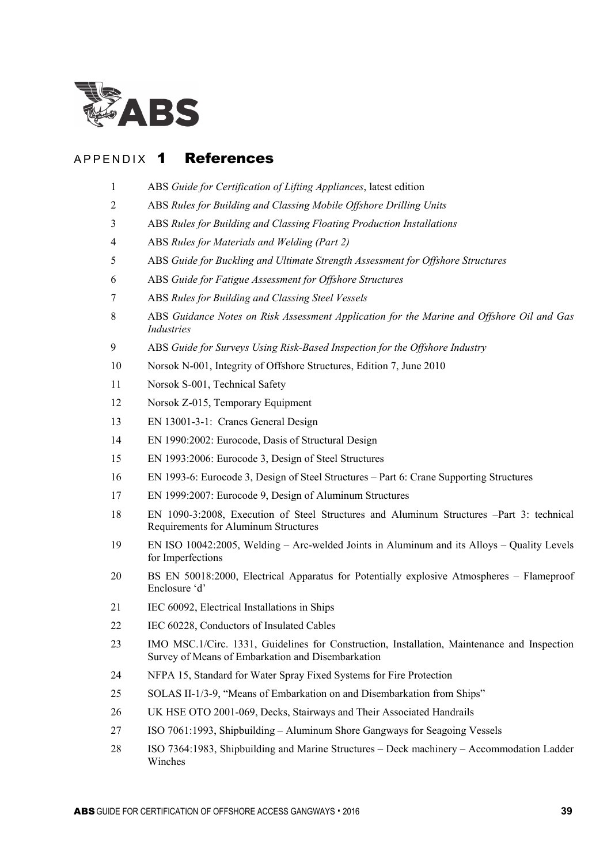

## APPENDIX 1 References

- ABS *Guide for Certification of Lifting Appliances*, latest edition
- ABS *Rules for Building and Classing Mobile Offshore Drilling Units*
- ABS *Rules for Building and Classing Floating Production Installations*
- ABS *Rules for Materials and Welding (Part 2)*
- ABS *Guide for Buckling and Ultimate Strength Assessment for Offshore Structures*
- ABS *Guide for Fatigue Assessment for Offshore Structures*
- ABS *Rules for Building and Classing Steel Vessels*
- ABS *Guidance Notes on Risk Assessment Application for the Marine and Offshore Oil and Gas Industries*
- ABS *Guide for Surveys Using Risk-Based Inspection for the Offshore Industry*
- Norsok N-001, Integrity of Offshore Structures, Edition 7, June 2010
- Norsok S-001, Technical Safety
- Norsok Z-015, Temporary Equipment
- EN 13001-3-1: Cranes General Design
- EN 1990:2002: Eurocode, Dasis of Structural Design
- EN 1993:2006: Eurocode 3, Design of Steel Structures
- EN 1993-6: Eurocode 3, Design of Steel Structures Part 6: Crane Supporting Structures
- EN 1999:2007: Eurocode 9, Design of Aluminum Structures
- EN 1090-3:2008, Execution of Steel Structures and Aluminum Structures –Part 3: technical Requirements for Aluminum Structures
- EN ISO 10042:2005, Welding Arc-welded Joints in Aluminum and its Alloys Quality Levels for Imperfections
- BS EN 50018:2000, Electrical Apparatus for Potentially explosive Atmospheres Flameproof Enclosure 'd'
- IEC 60092, Electrical Installations in Ships
- 22 IEC 60228, Conductors of Insulated Cables
- IMO MSC.1/Circ. 1331, Guidelines for Construction, Installation, Maintenance and Inspection Survey of Means of Embarkation and Disembarkation
- NFPA 15, Standard for Water Spray Fixed Systems for Fire Protection
- SOLAS II-1/3-9, "Means of Embarkation on and Disembarkation from Ships"
- UK HSE OTO 2001-069, Decks, Stairways and Their Associated Handrails
- ISO 7061:1993, Shipbuilding Aluminum Shore Gangways for Seagoing Vessels
- ISO 7364:1983, Shipbuilding and Marine Structures Deck machinery Accommodation Ladder Winches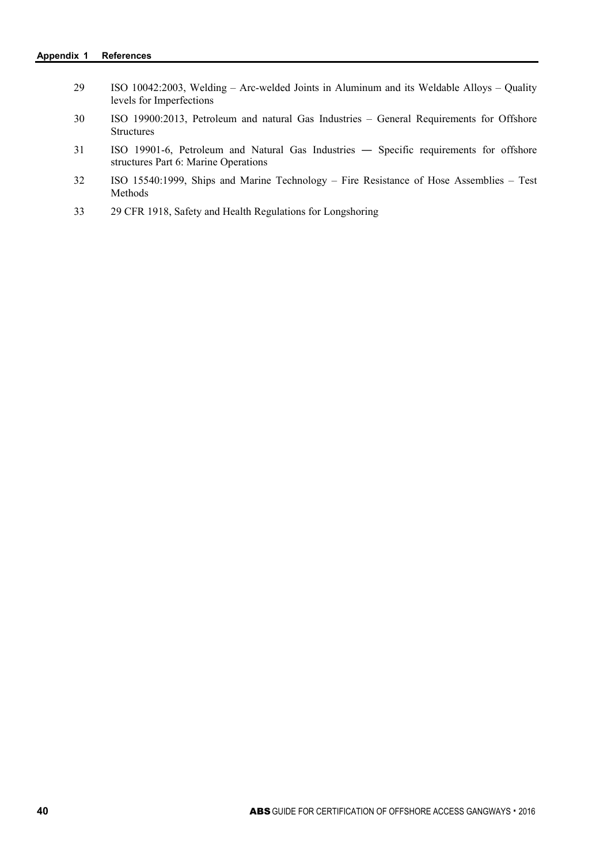| 29 | ISO 10042:2003, Welding – Arc-welded Joints in Aluminum and its Weldable Alloys – Quality<br>levels for Imperfections          |
|----|--------------------------------------------------------------------------------------------------------------------------------|
| 30 | ISO 19900:2013, Petroleum and natural Gas Industries – General Requirements for Offshore<br><b>Structures</b>                  |
| 31 | ISO 19901-6, Petroleum and Natural Gas Industries — Specific requirements for offshore<br>structures Part 6: Marine Operations |
| 32 | ISO 15540:1999, Ships and Marine Technology – Fire Resistance of Hose Assemblies – Test<br><b>Methods</b>                      |

33 29 CFR 1918, Safety and Health Regulations for Longshoring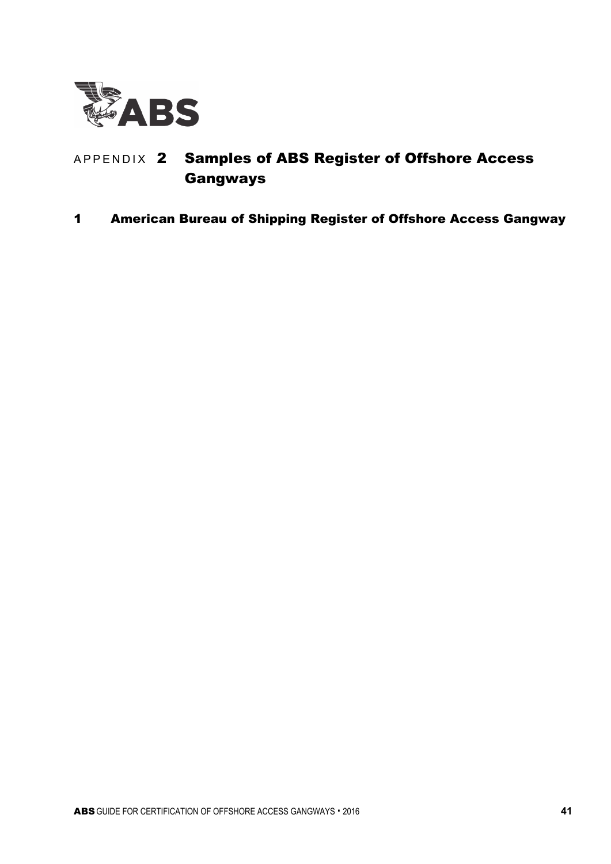

# APPENDIX 2 Samples of ABS Register of Offshore Access Gangways

1 American Bureau of Shipping Register of Offshore Access Gangway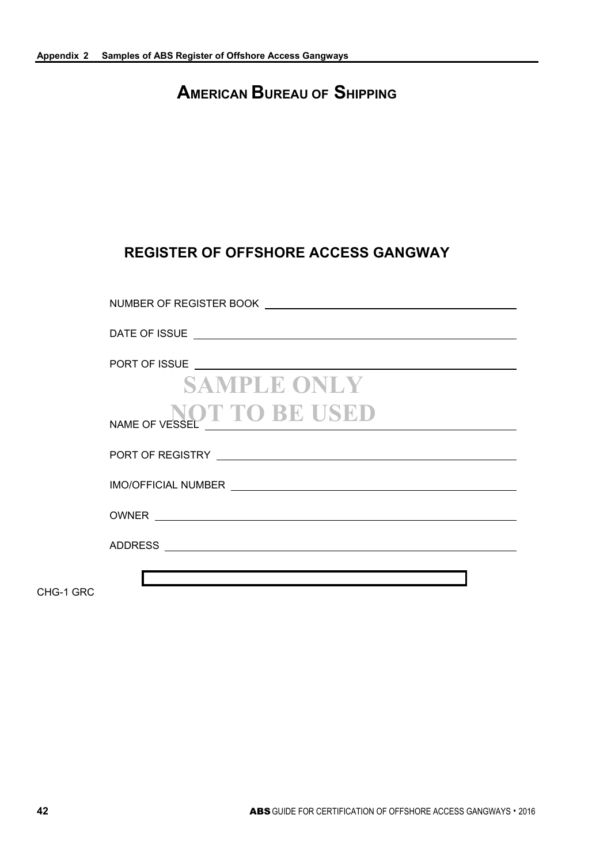# **AMERICAN BUREAU OF SHIPPING**

# **REGISTER OF OFFSHORE ACCESS GANGWAY**

| <b>SAMPLE ONLY</b>        |
|---------------------------|
| NAME OF VESSEL TO BE USED |
|                           |
|                           |
|                           |
|                           |
|                           |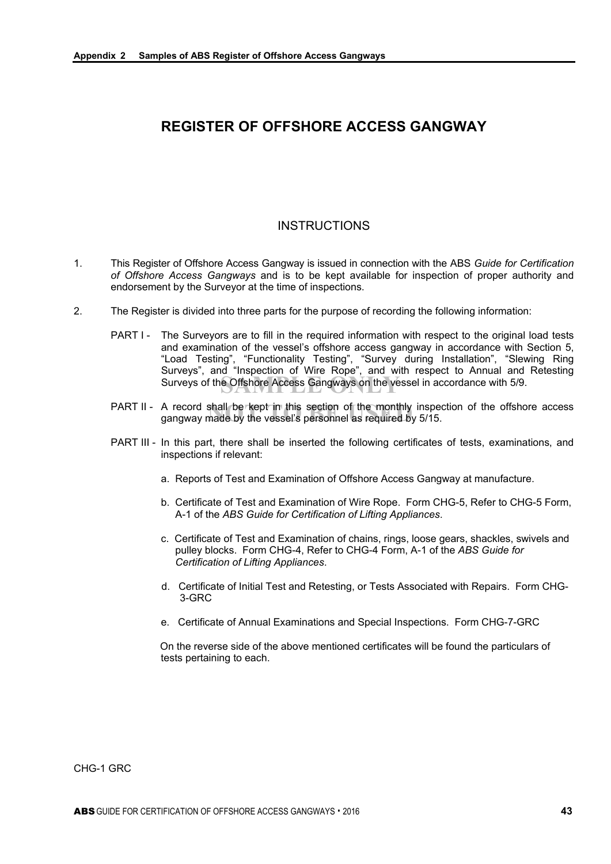# **REGISTER OF OFFSHORE ACCESS GANGWAY**

## INSTRUCTIONS

- 1. This Register of Offshore Access Gangway is issued in connection with the ABS *Guide for Certification of Offshore Access Gangways* and is to be kept available for inspection of proper authority and endorsement by the Surveyor at the time of inspections.
- 2. The Register is divided into three parts for the purpose of recording the following information:
	- Surveys of the Offshore Access Gangways on the vessel in accordance with 5/9. PART I - The Surveyors are to fill in the required information with respect to the original load tests and examination of the vessel's offshore access gangway in accordance with Section 5, "Load Testing", "Functionality Testing", "Survey during Installation", "Slewing Ring Surveys", and "Inspection of Wire Rope", and with respect to Annual and Retesting
	- A record shall be kept in this section of the monthly inspe<br>gangway made by the vessel's personnel <mark>as r</mark>equired by 5/15. PART II - A record shall be kept in this section of the monthly inspection of the offshore access
	- PART III In this part, there shall be inserted the following certificates of tests, examinations, and inspections if relevant:
		- a. Reports of Test and Examination of Offshore Access Gangway at manufacture.
		- b. Certificate of Test and Examination of Wire Rope. Form CHG-5, Refer to CHG-5 Form, A-1 of the *ABS Guide for Certification of Lifting Appliances*.
		- c. Certificate of Test and Examination of chains, rings, loose gears, shackles, swivels and pulley blocks. Form CHG-4, Refer to CHG-4 Form, A-1 of the *ABS Guide for Certification of Lifting Appliances*.
		- d. Certificate of Initial Test and Retesting, or Tests Associated with Repairs. Form CHG-3-GRC
		- e. Certificate of Annual Examinations and Special Inspections. Form CHG-7-GRC

On the reverse side of the above mentioned certificates will be found the particulars of tests pertaining to each.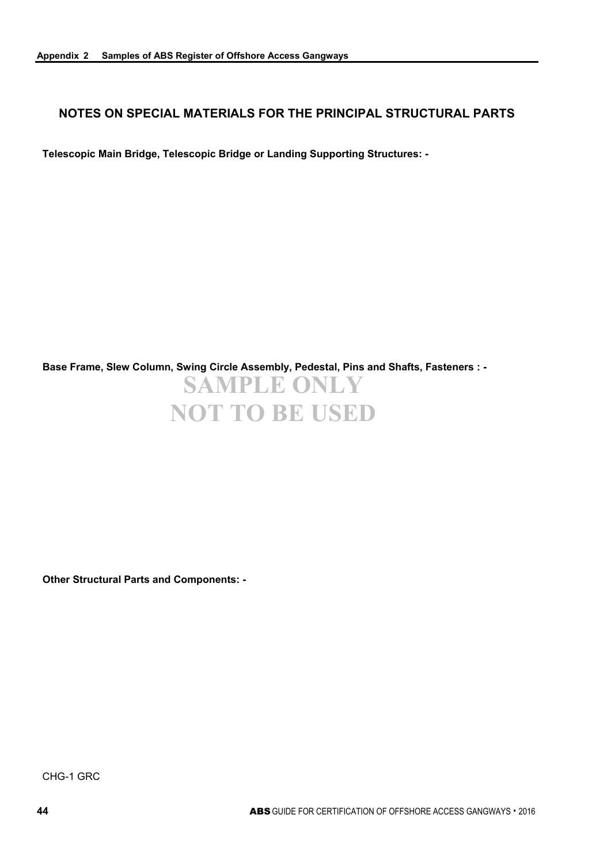## **NOTES ON SPECIAL MATERIALS FOR THE PRINCIPAL STRUCTURAL PARTS**

**Telescopic Main Bridge, Telescopic Bridge or Landing Supporting Structures: -**

**SAMPLE ONLY NOT TO BE USED Base Frame, Slew Column, Swing Circle Assembly, Pedestal, Pins and Shafts, Fasteners : -**

**Other Structural Parts and Components: -**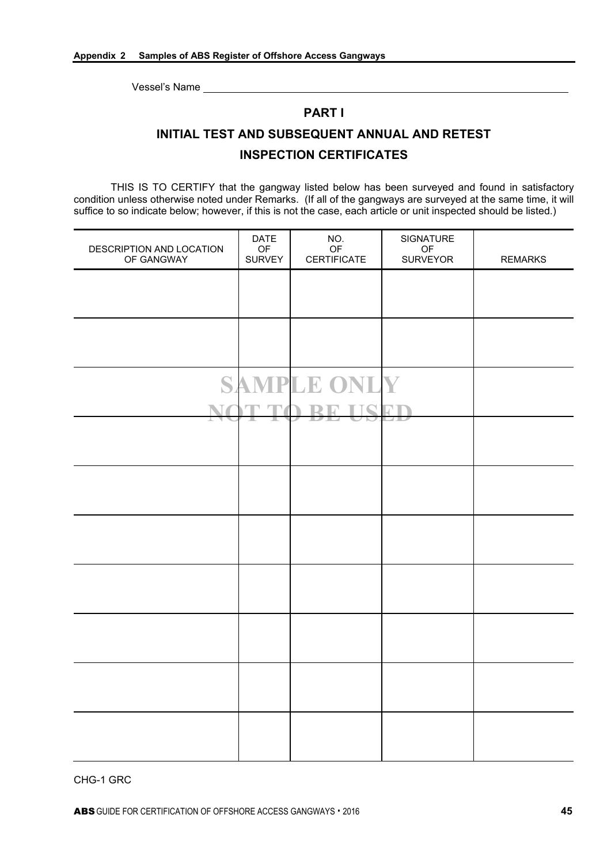## **PART I**

# **INITIAL TEST AND SUBSEQUENT ANNUAL AND RETEST INSPECTION CERTIFICATES**

THIS IS TO CERTIFY that the gangway listed below has been surveyed and found in satisfactory condition unless otherwise noted under Remarks. (If all of the gangways are surveyed at the same time, it will suffice to so indicate below; however, if this is not the case, each article or unit inspected should be listed.)

| DESCRIPTION AND LOCATION<br>OF GANGWAY | <b>DATE</b><br>OF<br><b>SURVEY</b> | NO.<br>$\mathsf{OF}% _{T}\left( \mathcal{M}_{T}\right)$<br><b>CERTIFICATE</b> | SIGNATURE<br>OF<br><b>SURVEYOR</b> | <b>REMARKS</b> |
|----------------------------------------|------------------------------------|-------------------------------------------------------------------------------|------------------------------------|----------------|
|                                        |                                    |                                                                               |                                    |                |
|                                        |                                    |                                                                               |                                    |                |
|                                        |                                    |                                                                               |                                    |                |
|                                        |                                    | <b>SAMPLE ONLY</b>                                                            |                                    |                |
|                                        |                                    | TQ                                                                            |                                    |                |
|                                        |                                    |                                                                               |                                    |                |
|                                        |                                    |                                                                               |                                    |                |
|                                        |                                    |                                                                               |                                    |                |
|                                        |                                    |                                                                               |                                    |                |
|                                        |                                    |                                                                               |                                    |                |
|                                        |                                    |                                                                               |                                    |                |
|                                        |                                    |                                                                               |                                    |                |
|                                        |                                    |                                                                               |                                    |                |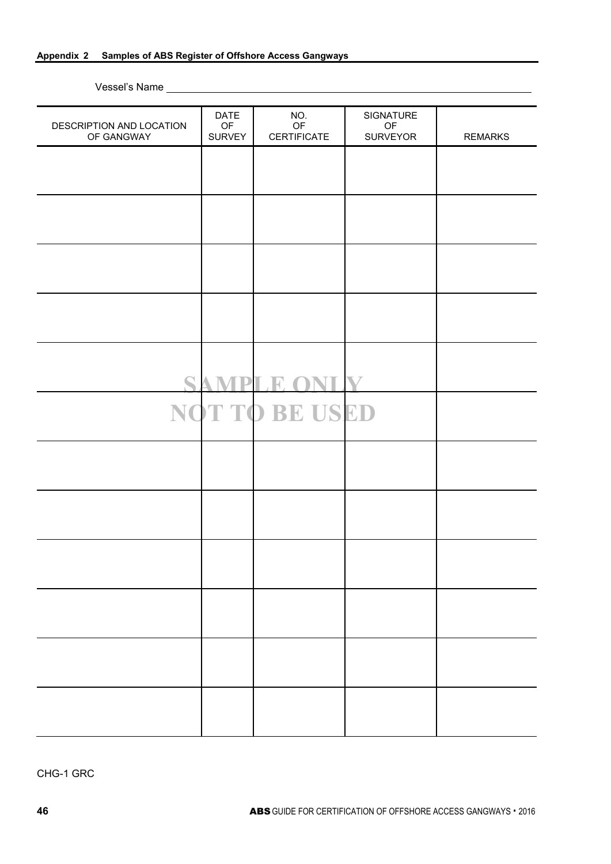#### **Appendix 2 Samples of ABS Register of Offshore Access Gangways**

Vessel's Name

| DESCRIPTION AND LOCATION<br>OF GANGWAY | <b>DATE</b><br>OF<br><b>SURVEY</b> | NO.<br>OF<br><b>CERTIFICATE</b> | SIGNATURE<br>OF<br><b>SURVEYOR</b> | <b>REMARKS</b> |
|----------------------------------------|------------------------------------|---------------------------------|------------------------------------|----------------|
|                                        |                                    |                                 |                                    |                |
|                                        |                                    |                                 |                                    |                |
|                                        |                                    |                                 |                                    |                |
|                                        |                                    |                                 |                                    |                |
|                                        |                                    |                                 |                                    |                |
|                                        | $\mathbf{p}_\mathbf{l}$            | NT<br>$\mathbb{R}$<br>D         | $\boldsymbol{\nabla}$              |                |
|                                        |                                    | NOT TO BE USED                  |                                    |                |
|                                        |                                    |                                 |                                    |                |
|                                        |                                    |                                 |                                    |                |
|                                        |                                    |                                 |                                    |                |
|                                        |                                    |                                 |                                    |                |
|                                        |                                    |                                 |                                    |                |
|                                        |                                    |                                 |                                    |                |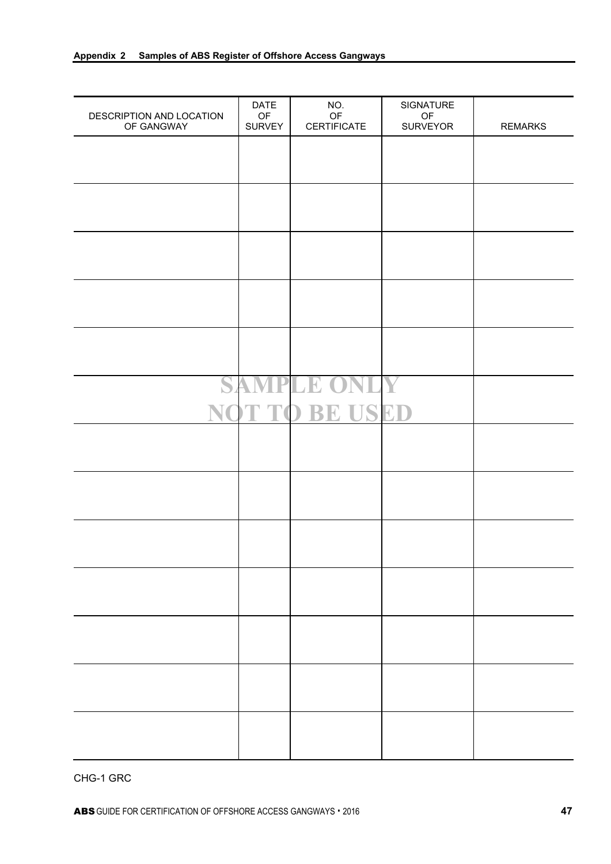| DESCRIPTION AND LOCATION<br>OF GANGWAY | <b>DATE</b><br>OF<br><b>SURVEY</b> | NO.<br>OF<br><b>CERTIFICATE</b> | SIGNATURE<br>$\mathsf{OF}% _{T}\left( \mathcal{M}_{T}\right)$<br>SURVEYOR | <b>REMARKS</b> |
|----------------------------------------|------------------------------------|---------------------------------|---------------------------------------------------------------------------|----------------|
|                                        |                                    |                                 |                                                                           |                |
|                                        |                                    |                                 |                                                                           |                |
|                                        |                                    |                                 |                                                                           |                |
|                                        |                                    |                                 |                                                                           |                |
|                                        |                                    |                                 |                                                                           |                |
|                                        |                                    |                                 |                                                                           |                |
| $\blacktriangleleft$                   | Ŋ<br>$\Delta$                      | <b>IPLE OI</b>                  |                                                                           |                |
|                                        |                                    | T TO BE USED                    |                                                                           |                |
|                                        |                                    |                                 |                                                                           |                |
|                                        |                                    |                                 |                                                                           |                |
|                                        |                                    |                                 |                                                                           |                |
|                                        |                                    |                                 |                                                                           |                |
|                                        |                                    |                                 |                                                                           |                |
|                                        |                                    |                                 |                                                                           |                |
|                                        |                                    |                                 |                                                                           |                |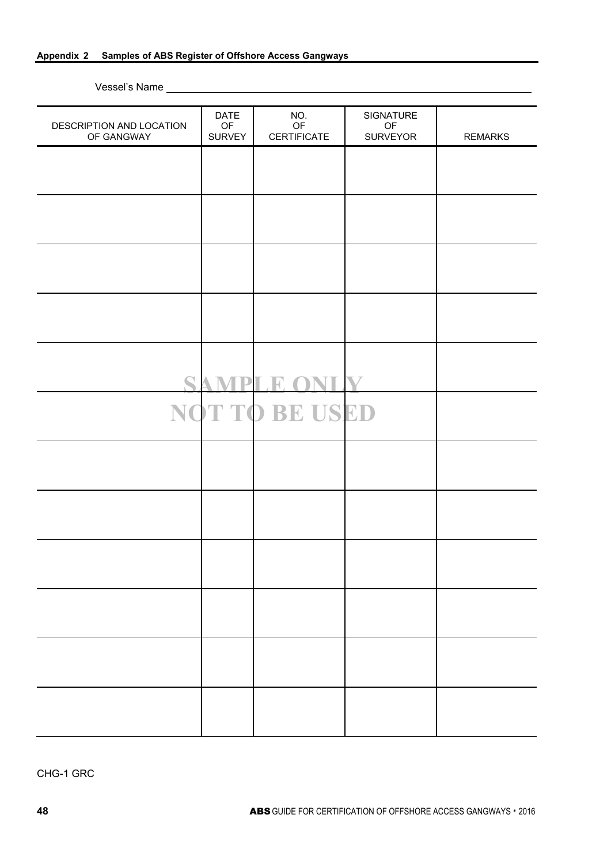#### **Appendix 2 Samples of ABS Register of Offshore Access Gangways**

Vessel's Name

| DESCRIPTION AND LOCATION<br>OF GANGWAY | <b>DATE</b><br>OF<br><b>SURVEY</b> | NO.<br>OF<br><b>CERTIFICATE</b> | SIGNATURE<br>OF<br><b>SURVEYOR</b> | <b>REMARKS</b> |
|----------------------------------------|------------------------------------|---------------------------------|------------------------------------|----------------|
|                                        |                                    |                                 |                                    |                |
|                                        |                                    |                                 |                                    |                |
|                                        |                                    |                                 |                                    |                |
|                                        |                                    |                                 |                                    |                |
|                                        |                                    |                                 |                                    |                |
|                                        |                                    |                                 |                                    |                |
|                                        |                                    |                                 |                                    |                |
| $\mathbf S$                            |                                    | <b>VT</b><br>PI R               | $\boldsymbol{\mathbf{V}}$          |                |
|                                        |                                    | NOT TO BE USED                  |                                    |                |
|                                        |                                    |                                 |                                    |                |
|                                        |                                    |                                 |                                    |                |
|                                        |                                    |                                 |                                    |                |
|                                        |                                    |                                 |                                    |                |
|                                        |                                    |                                 |                                    |                |
|                                        |                                    |                                 |                                    |                |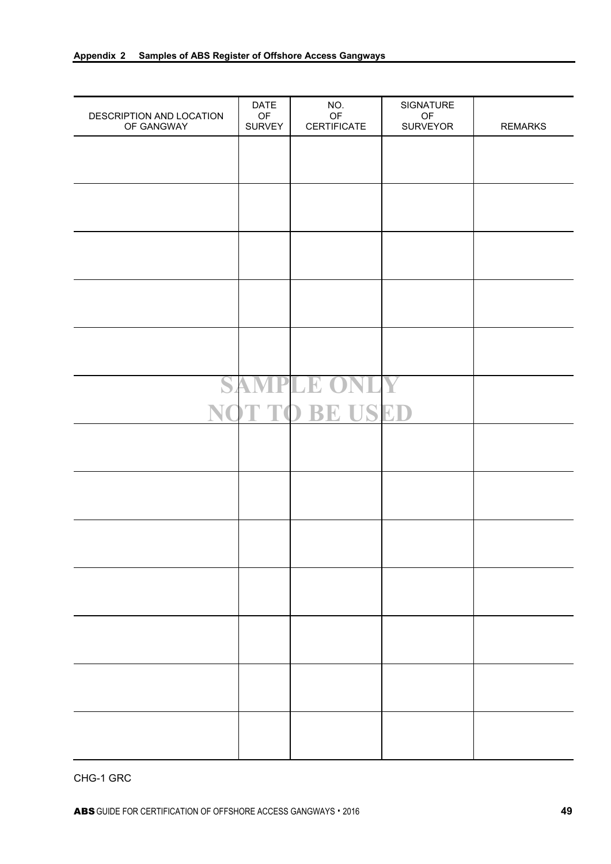| DESCRIPTION AND LOCATION<br>OF GANGWAY | <b>DATE</b><br>OF<br><b>SURVEY</b> | NO.<br>OF<br><b>CERTIFICATE</b> | SIGNATURE<br>$\mathsf{OF}% _{T}\left( \mathcal{M}_{T}\right)$<br>SURVEYOR | <b>REMARKS</b> |
|----------------------------------------|------------------------------------|---------------------------------|---------------------------------------------------------------------------|----------------|
|                                        |                                    |                                 |                                                                           |                |
|                                        |                                    |                                 |                                                                           |                |
|                                        |                                    |                                 |                                                                           |                |
|                                        |                                    |                                 |                                                                           |                |
|                                        |                                    |                                 |                                                                           |                |
|                                        |                                    |                                 |                                                                           |                |
| $\blacktriangleleft$                   | Ŋ<br>$\Delta$                      | <b>IPLE OI</b>                  |                                                                           |                |
|                                        |                                    | T TO BE USED                    |                                                                           |                |
|                                        |                                    |                                 |                                                                           |                |
|                                        |                                    |                                 |                                                                           |                |
|                                        |                                    |                                 |                                                                           |                |
|                                        |                                    |                                 |                                                                           |                |
|                                        |                                    |                                 |                                                                           |                |
|                                        |                                    |                                 |                                                                           |                |
|                                        |                                    |                                 |                                                                           |                |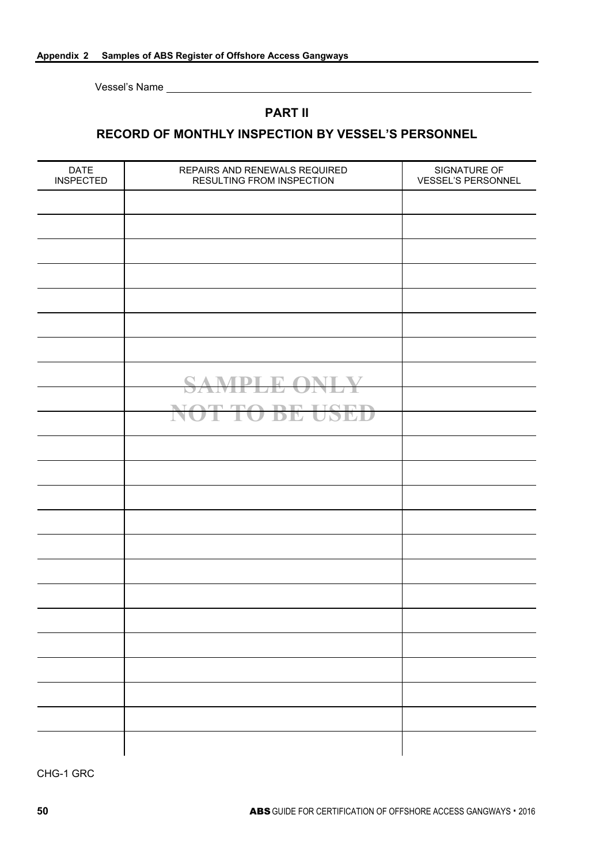## **PART II**

## **RECORD OF MONTHLY INSPECTION BY VESSEL'S PERSONNEL**

| <b>DATE</b><br><b>INSPECTED</b> | REPAIRS AND RENEWALS REQUIRED<br>RESULTING FROM INSPECTION | SIGNATURE OF<br><b>VESSEL'S PERSONNEL</b> |
|---------------------------------|------------------------------------------------------------|-------------------------------------------|
|                                 |                                                            |                                           |
|                                 |                                                            |                                           |
|                                 |                                                            |                                           |
|                                 |                                                            |                                           |
|                                 |                                                            |                                           |
|                                 |                                                            |                                           |
|                                 |                                                            |                                           |
|                                 | <b>SAMPLE ONLY</b>                                         |                                           |
|                                 |                                                            |                                           |
|                                 | NOT TO BE USED                                             |                                           |
|                                 |                                                            |                                           |
|                                 |                                                            |                                           |
|                                 |                                                            |                                           |
|                                 |                                                            |                                           |
|                                 |                                                            |                                           |
|                                 |                                                            |                                           |
|                                 |                                                            |                                           |
|                                 |                                                            |                                           |
|                                 |                                                            |                                           |
|                                 |                                                            |                                           |
|                                 |                                                            |                                           |
|                                 |                                                            |                                           |
|                                 |                                                            |                                           |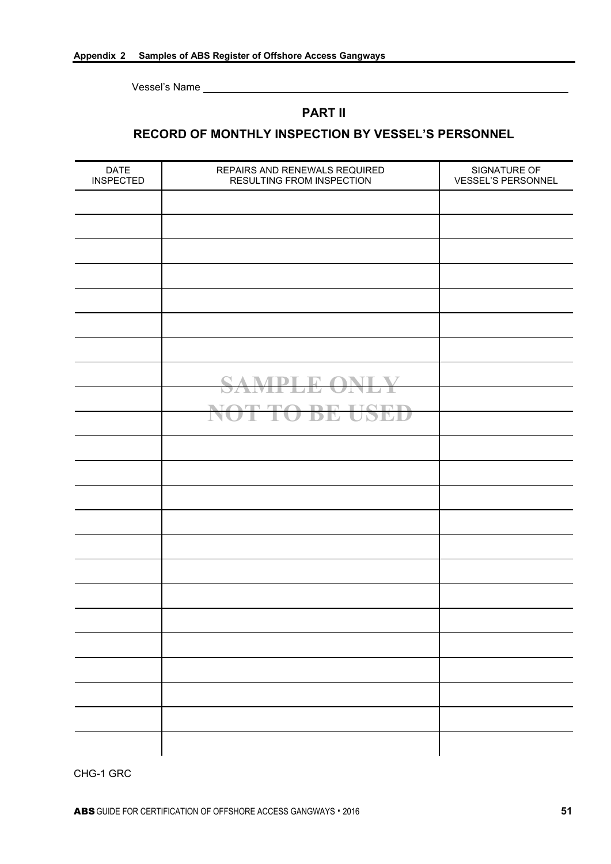## **PART II**

## **RECORD OF MONTHLY INSPECTION BY VESSEL'S PERSONNEL**

| <b>DATE</b><br><b>INSPECTED</b> | REPAIRS AND RENEWALS REQUIRED<br>RESULTING FROM INSPECTION | SIGNATURE OF<br><b>VESSEL'S PERSONNEL</b> |
|---------------------------------|------------------------------------------------------------|-------------------------------------------|
|                                 |                                                            |                                           |
|                                 |                                                            |                                           |
|                                 |                                                            |                                           |
|                                 |                                                            |                                           |
|                                 |                                                            |                                           |
|                                 |                                                            |                                           |
|                                 |                                                            |                                           |
|                                 | <b>SAMPLE ONLY</b>                                         |                                           |
|                                 | NOT TO BE USED                                             |                                           |
|                                 |                                                            |                                           |
|                                 |                                                            |                                           |
|                                 |                                                            |                                           |
|                                 |                                                            |                                           |
|                                 |                                                            |                                           |
|                                 |                                                            |                                           |
|                                 |                                                            |                                           |
|                                 |                                                            |                                           |
|                                 |                                                            |                                           |
|                                 |                                                            |                                           |
|                                 |                                                            |                                           |
|                                 |                                                            |                                           |
|                                 |                                                            |                                           |
|                                 |                                                            |                                           |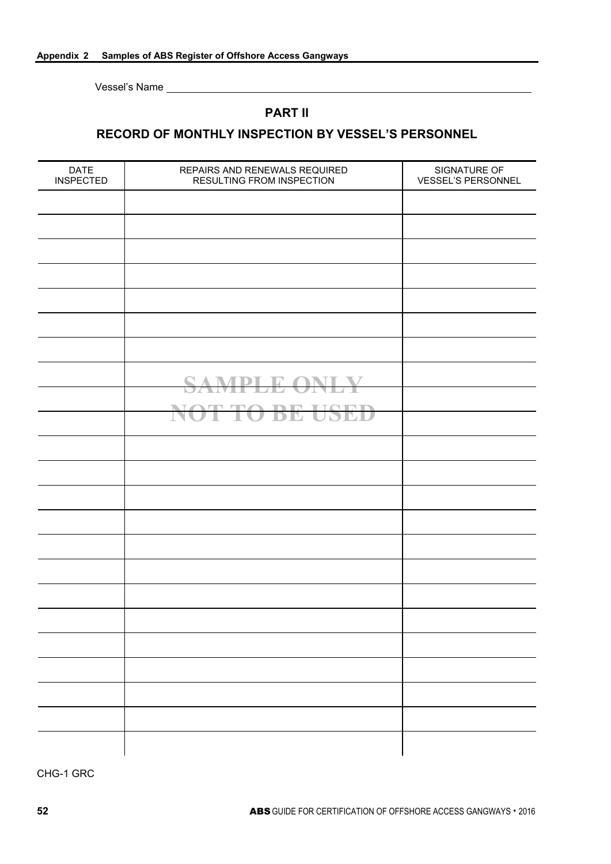## **PART II**

## **RECORD OF MONTHLY INSPECTION BY VESSEL'S PERSONNEL**

| <b>DATE</b><br><b>INSPECTED</b> | REPAIRS AND RENEWALS REQUIRED<br><b>RESULTING FROM INSPECTION</b> | SIGNATURE OF<br>VESSEL'S PERSONNEL |
|---------------------------------|-------------------------------------------------------------------|------------------------------------|
|                                 |                                                                   |                                    |
|                                 |                                                                   |                                    |
|                                 |                                                                   |                                    |
|                                 |                                                                   |                                    |
|                                 |                                                                   |                                    |
|                                 |                                                                   |                                    |
|                                 |                                                                   |                                    |
|                                 | <b>SAMPLE ONLY</b>                                                |                                    |
|                                 |                                                                   |                                    |
|                                 | NOT TO BE USED                                                    |                                    |
|                                 |                                                                   |                                    |
|                                 |                                                                   |                                    |
|                                 |                                                                   |                                    |
|                                 |                                                                   |                                    |
|                                 |                                                                   |                                    |
|                                 |                                                                   |                                    |
|                                 |                                                                   |                                    |
|                                 |                                                                   |                                    |
|                                 |                                                                   |                                    |
|                                 |                                                                   |                                    |
|                                 |                                                                   |                                    |
|                                 |                                                                   |                                    |
|                                 |                                                                   |                                    |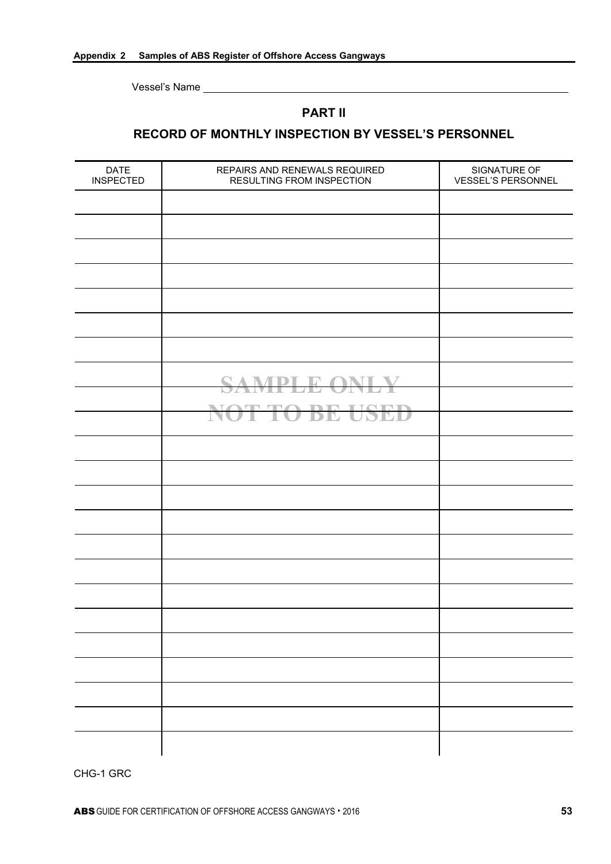## **PART II**

## **RECORD OF MONTHLY INSPECTION BY VESSEL'S PERSONNEL**

| <b>DATE</b><br><b>INSPECTED</b> | REPAIRS AND RENEWALS REQUIRED<br>RESULTING FROM INSPECTION | SIGNATURE OF<br><b>VESSEL'S PERSONNEL</b> |
|---------------------------------|------------------------------------------------------------|-------------------------------------------|
|                                 |                                                            |                                           |
|                                 |                                                            |                                           |
|                                 |                                                            |                                           |
|                                 |                                                            |                                           |
|                                 |                                                            |                                           |
|                                 |                                                            |                                           |
|                                 |                                                            |                                           |
|                                 | <b>SAMPLE ONLY</b>                                         |                                           |
|                                 | NOT TO BE USED                                             |                                           |
|                                 |                                                            |                                           |
|                                 |                                                            |                                           |
|                                 |                                                            |                                           |
|                                 |                                                            |                                           |
|                                 |                                                            |                                           |
|                                 |                                                            |                                           |
|                                 |                                                            |                                           |
|                                 |                                                            |                                           |
|                                 |                                                            |                                           |
|                                 |                                                            |                                           |
|                                 |                                                            |                                           |
|                                 |                                                            |                                           |
|                                 |                                                            |                                           |
|                                 |                                                            |                                           |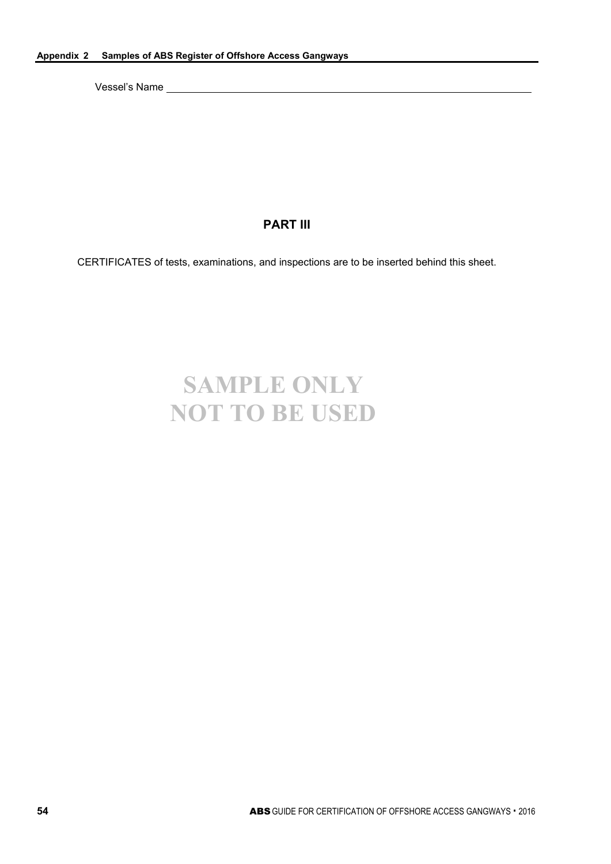## **PART III**

CERTIFICATES of tests, examinations, and inspections are to be inserted behind this sheet.

# **SAMPLE ONLY NOT TO BE USED**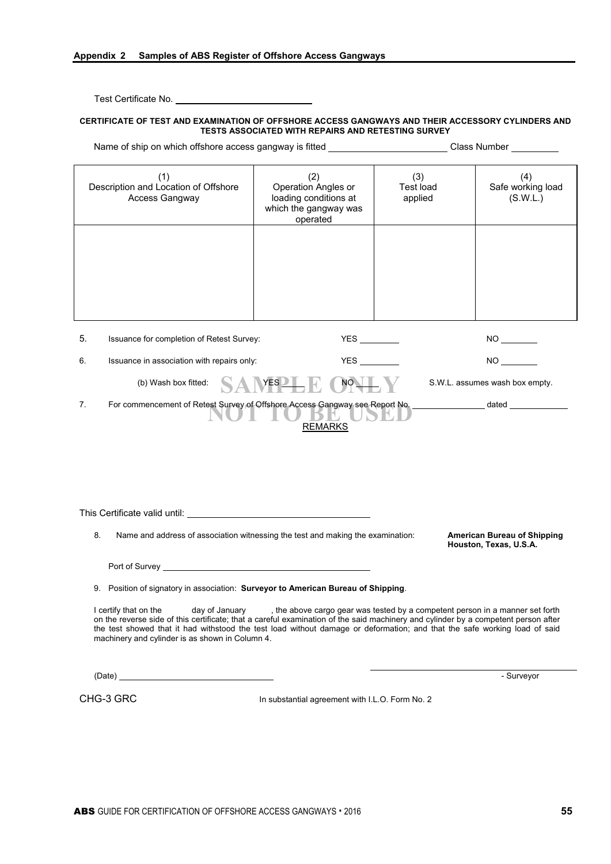Test Certificate No.

#### **CERTIFICATE OF TEST AND EXAMINATION OF OFFSHORE ACCESS GANGWAYS AND THEIR ACCESSORY CYLINDERS AND TESTS ASSOCIATED WITH REPAIRS AND RETESTING SURVEY**

| Name of ship on which offshore access gangway is fitted                                                                                                                                                                                                                                                                                                       | Class Number                                                                             |                             |                                                              |
|---------------------------------------------------------------------------------------------------------------------------------------------------------------------------------------------------------------------------------------------------------------------------------------------------------------------------------------------------------------|------------------------------------------------------------------------------------------|-----------------------------|--------------------------------------------------------------|
| (1)<br>Description and Location of Offshore<br>Access Gangway                                                                                                                                                                                                                                                                                                 | (2)<br>Operation Angles or<br>loading conditions at<br>which the gangway was<br>operated | (3)<br>Test load<br>applied | (4)<br>Safe working load<br>(S.W.L.)                         |
|                                                                                                                                                                                                                                                                                                                                                               |                                                                                          |                             |                                                              |
| 5.<br>Issuance for completion of Retest Survey:                                                                                                                                                                                                                                                                                                               |                                                                                          |                             | NO <sub>2</sub>                                              |
| Issuance in association with repairs only:<br>6.                                                                                                                                                                                                                                                                                                              |                                                                                          |                             | NO <sub>2</sub>                                              |
| (b) Wash box fitted:                                                                                                                                                                                                                                                                                                                                          | $YES$ <sup>1</sup><br>NO_                                                                |                             | S.W.L. assumes wash box empty.                               |
| 7.                                                                                                                                                                                                                                                                                                                                                            | <b>REMARKS</b>                                                                           |                             |                                                              |
| This Certificate valid until: University of the Certificate valid until:                                                                                                                                                                                                                                                                                      |                                                                                          |                             |                                                              |
| 8.<br>Name and address of association witnessing the test and making the examination:                                                                                                                                                                                                                                                                         |                                                                                          |                             | <b>American Bureau of Shipping</b><br>Houston, Texas, U.S.A. |
|                                                                                                                                                                                                                                                                                                                                                               |                                                                                          |                             |                                                              |
| 9. Position of signatory in association: Surveyor to American Bureau of Shipping.                                                                                                                                                                                                                                                                             |                                                                                          |                             |                                                              |
| I certify that on the<br>day of January<br>on the reverse side of this certificate; that a careful examination of the said machinery and cylinder by a competent person after<br>the test showed that it had withstood the test load without damage or deformation; and that the safe working load of said<br>machinery and cylinder is as shown in Column 4. | , the above cargo gear was tested by a competent person in a manner set forth            |                             |                                                              |
|                                                                                                                                                                                                                                                                                                                                                               |                                                                                          |                             | - Surveyor                                                   |
| CHG-3 GRC                                                                                                                                                                                                                                                                                                                                                     | In substantial agreement with I.L.O. Form No. 2                                          |                             |                                                              |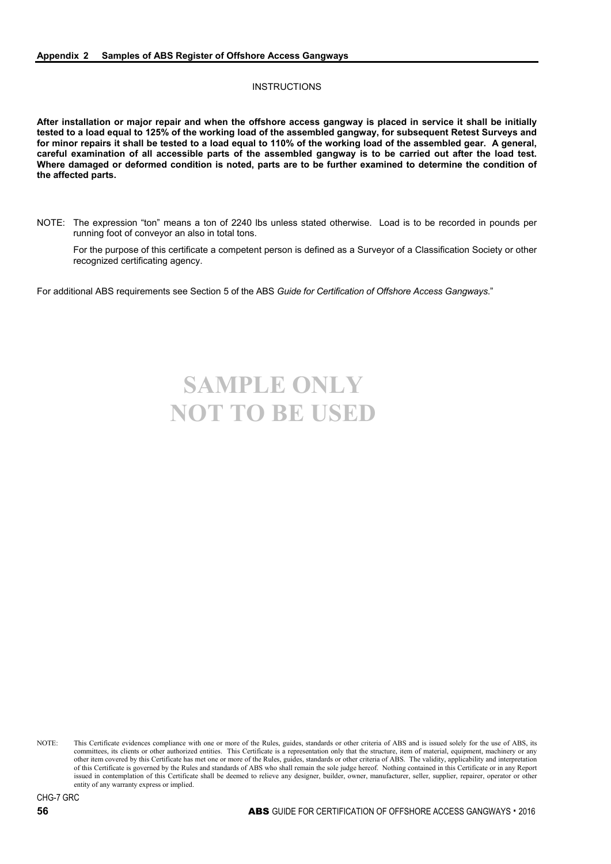#### **INSTRUCTIONS**

**After installation or major repair and when the offshore access gangway is placed in service it shall be initially tested to a load equal to 125% of the working load of the assembled gangway, for subsequent Retest Surveys and for minor repairs it shall be tested to a load equal to 110% of the working load of the assembled gear. A general, careful examination of all accessible parts of the assembled gangway is to be carried out after the load test. Where damaged or deformed condition is noted, parts are to be further examined to determine the condition of the affected parts.**

NOTE: The expression "ton" means a ton of 2240 lbs unless stated otherwise. Load is to be recorded in pounds per running foot of conveyor an also in total tons.

For the purpose of this certificate a competent person is defined as a Surveyor of a Classification Society or other recognized certificating agency.

For additional ABS requirements see Section 5 of the ABS *Guide for Certification of Offshore Access Gangways*."

# **SAMPLE ONLY NOT TO BE USED**

NOTE: This Certificate evidences compliance with one or more of the Rules, guides, standards or other criteria of ABS and is issued solely for the use of ABS, its committees, its clients or other authorized entities. This Certificate is a representation only that the structure, item of material, equipment, machinery or any other item covered by this Certificate has met one or more of the Rules, guides, standards or other criteria of ABS. The validity, applicability and interpretation of this Certificate is governed by the Rules and standards of ABS who shall remain the sole judge hereof. Nothing contained in this Certificate or in any Report issued in contemplation of this Certificate shall be deemed to relieve any designer, builder, owner, manufacturer, seller, supplier, repairer, operator or other entity of any warranty express or implied.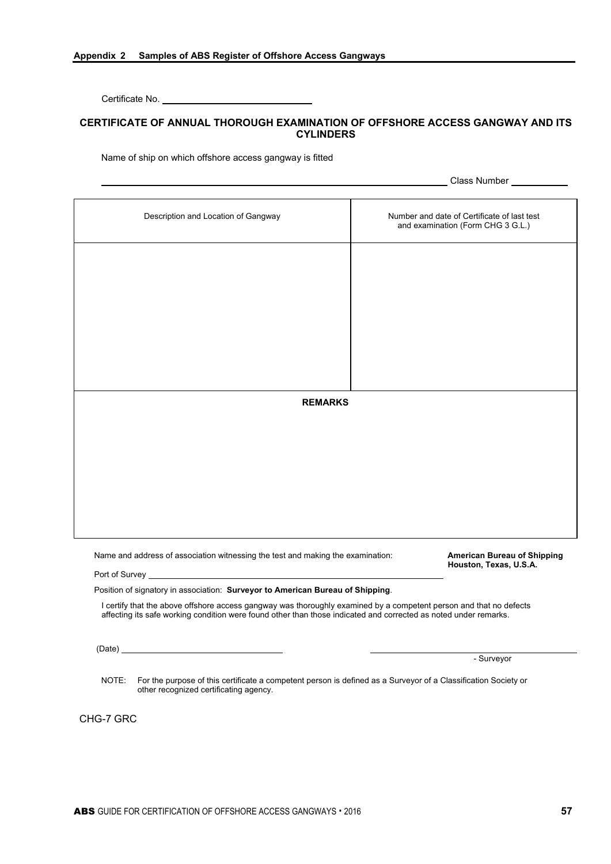Certificate No.

#### **CERTIFICATE OF ANNUAL THOROUGH EXAMINATION OF OFFSHORE ACCESS GANGWAY AND ITS CYLINDERS**

Name of ship on which offshore access gangway is fitted

**Class Number Constant Class Number** 

| Description and Location of Gangway                                                                                                                                                                                                    | Number and date of Certificate of last test<br>and examination (Form CHG 3 G.L.) |  |  |
|----------------------------------------------------------------------------------------------------------------------------------------------------------------------------------------------------------------------------------------|----------------------------------------------------------------------------------|--|--|
|                                                                                                                                                                                                                                        |                                                                                  |  |  |
|                                                                                                                                                                                                                                        |                                                                                  |  |  |
|                                                                                                                                                                                                                                        |                                                                                  |  |  |
|                                                                                                                                                                                                                                        |                                                                                  |  |  |
|                                                                                                                                                                                                                                        |                                                                                  |  |  |
|                                                                                                                                                                                                                                        |                                                                                  |  |  |
|                                                                                                                                                                                                                                        |                                                                                  |  |  |
|                                                                                                                                                                                                                                        |                                                                                  |  |  |
| <b>REMARKS</b>                                                                                                                                                                                                                         |                                                                                  |  |  |
|                                                                                                                                                                                                                                        |                                                                                  |  |  |
|                                                                                                                                                                                                                                        |                                                                                  |  |  |
|                                                                                                                                                                                                                                        |                                                                                  |  |  |
|                                                                                                                                                                                                                                        |                                                                                  |  |  |
|                                                                                                                                                                                                                                        |                                                                                  |  |  |
|                                                                                                                                                                                                                                        |                                                                                  |  |  |
|                                                                                                                                                                                                                                        |                                                                                  |  |  |
| Name and address of association witnessing the test and making the examination:                                                                                                                                                        | <b>American Bureau of Shipping</b><br>Houston, Texas, U.S.A.                     |  |  |
|                                                                                                                                                                                                                                        |                                                                                  |  |  |
| Position of signatory in association: Surveyor to American Bureau of Shipping.                                                                                                                                                         |                                                                                  |  |  |
| I certify that the above offshore access gangway was thoroughly examined by a competent person and that no defects<br>affecting its safe working condition were found other than those indicated and corrected as noted under remarks. |                                                                                  |  |  |

(Date)

- Surveyor

NOTE: For the purpose of this certificate a competent person is defined as a Surveyor of a Classification Society or other recognized certificating agency.

CHG-7 GRC